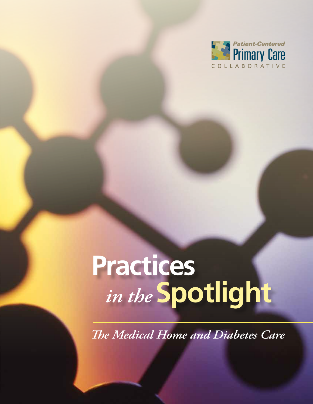

# **Practices** *in the***Spotlight**

*The Medical Home and Diabetes Care*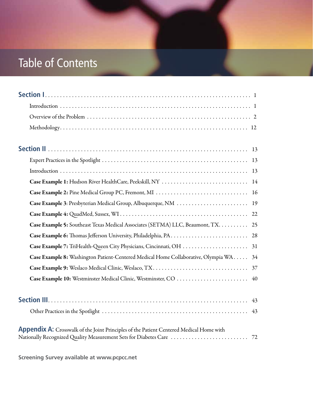# Table of Contents

| Case Example 5: Southeast Texas Medical Associates (SETMA) LLC, Beaumont, TX. 25        |
|-----------------------------------------------------------------------------------------|
|                                                                                         |
|                                                                                         |
| Case Example 8: Washington Patient-Centered Medical Home Collaborative, Olympia WA 34   |
|                                                                                         |
|                                                                                         |
|                                                                                         |
|                                                                                         |
|                                                                                         |
| Appendix A: Crosswalk of the Joint Principles of the Patient Centered Medical Home with |

**Screening Survey available at www.pcpcc.net**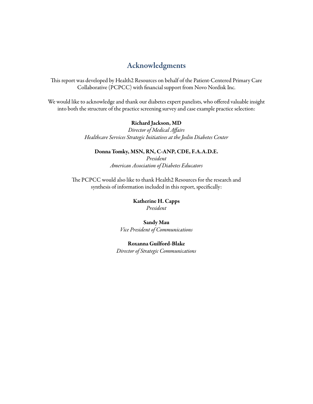# Acknowledgments

This report was developed by Health2 Resources on behalf of the Patient-Centered Primary Care Collaborative (PCPCC) with financial support from Novo Nordisk Inc.

We would like to acknowledge and thank our diabetes expert panelists, who offered valuable insight into both the structure of the practice screening survey and case example practice selection:

#### Richard Jackson, MD

*Director of Medical Affairs Healthcare Services Strategic Initiatives at the Joslin Diabetes Center*

Donna Tomky, MSN, RN, C-ANP, CDE, F.A.A.D.E.

*President American Association of Diabetes Educators*

The PCPCC would also like to thank Health2 Resources for the research and synthesis of information included in this report, specifically:

> Katherine H. Capps *President*

Sandy Mau *Vice President of Communications*

Roxanna Guilford-Blake

*Director of Strategic Communications*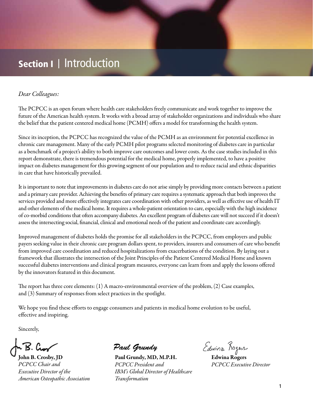# Section I **|** Introduction

## *Dear Colleagues:*

The PCPCC is an open forum where health care stakeholders freely communicate and work together to improve the future of the American health system. It works with a broad array of stakeholder organizations and individuals who share the belief that the patient centered medical home (PCMH) offers a model for transforming the health system.

Since its inception, the PCPCC has recognized the value of the PCMH as an environment for potential excellence in chronic care management. Many of the early PCMH pilot programs selected monitoring of diabetes care in particular as a benchmark of a project's ability to both improve care outcomes and lower costs. As the case studies included in this report demonstrate, there is tremendous potential for the medical home, properly implemented, to have a positive impact on diabetes management for this growing segment of our population and to reduce racial and ethnic disparities in care that have historically prevailed.

It is important to note that improvements in diabetes care do not arise simply by providing more contacts between a patient and a primary care provider. Achieving the benefits of primary care requires a systematic approach that both improves the services provided and more effectively integrates care coordination with other providers, as well as effective use of health IT and other elements of the medical home. It requires a whole-patient orientation to care, especially with the high incidence of co-morbid conditions that often accompany diabetes. An excellent program of diabetes care will not succeed if it doesn't assess the intersecting social, financial, clinical and emotional needs of the patient and coordinate care accordingly.

Improved management of diabetes holds the promise for all stakeholders in the PCPCC, from employers and public payers seeking value in their chronic care program dollars spent, to providers, insurers and consumers of care who benefit from improved care coordination and reduced hospitalizations from exacerbations of the condition. By laying out a framework that illustrates the intersection of the Joint Principles of the Patient Centered Medical Home and known successful diabetes interventions and clinical program measures, everyone can learn from and apply the lessons offered by the innovators featured in this document.

The report has three core elements: (1) A macro-environmental overview of the problem, (2) Case examples, and (3) Summary of responses from select practices in the spotlight.

We hope you find these efforts to engage consumers and patients in medical home evolution to be useful, effective and inspiring.

Sincerely,

John B. Crosby, JD *PCPCC Chair and Executive Director of the American Osteopathic Association*

*Paul Grundy*

Paul Grundy, MD, M.P.H. *PCPCC President and IBM's Global Director of Healthcare Transformation*

Edwina Kozen

*PCPCC Executive Director*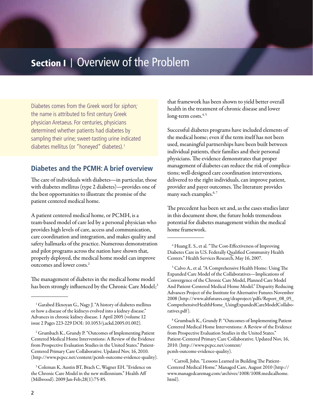# Section I **|** Overview of the Problem

Diabetes comes from the Greek word for siphon; the name is attributed to first century Greek physician Aretaeus. For centuries, physicians determined whether patients had diabetes by sampling their urine; sweet-tasting urine indicated diabetes mellitus (or "honeyed" diabetes).<sup>1</sup>

## **Diabetes and the PCMH: A brief overview**

The care of individuals with diabetes—in particular, those with diabetes mellitus (type 2 diabetes)—provides one of the best opportunities to illustrate the promise of the patient centered medical home.

A patient centered medical home, or PCMH, is a team-based model of care led by a personal physician who provides high levels of care, access and communication, care coordination and integration, and makes quality and safety hallmarks of the practice. Numerous demonstration and pilot programs across the nation have shown that, properly deployed, the medical home model can improve outcomes and lower costs.2

The management of diabetes in the medical home model has been strongly influenced by the Chronic Care Model;<sup>3</sup>

that framework has been shown to yield better overall health in the treatment of chronic disease and lower long-term costs.<sup>4, 5</sup>

Successful diabetes programs have included elements of the medical home; even if the term itself has not been used, meaningful partnerships have been built between individual patients, their families and their personal physicians. The evidence demonstrates that proper management of diabetes can reduce the risk of complications; well-designed care coordination interventions, delivered to the right individuals, can improve patient, provider and payer outcomes. The literature provides many such examples.<sup>6,7</sup>

The precedent has been set and, as the cases studies later in this document show, the future holds tremendous potential for diabetes management within the medical home framework.

6 Grumbach K., Grundy P. "Outcomes of Implementing Patient Centered Medical Home Interventions: A Review of the Evidence from Prospective Evaluation Studies in the United States." Patient-Centered Primary Care Collaborative. Updated Nov, 16, 2010. (http://www.pcpcc.net/content/ pcmh-outcome-evidence-quality).

7 Carroll, John. "Lessons Learned in Building The Patient-Centered Medical Home." Managed Care, August 2010 (http:// www.managedcaremag.com/archives/1008/1008.medicalhome. html).

<sup>&</sup>lt;sup>1</sup> Garabed Eknoyan G., Nagy J. "A history of diabetes mellitus or how a disease of the kidneys evolved into a kidney disease." Advances in chronic kidney disease. 1 April 2005 (volume 12 issue 2 Pages 223-229 DOI: 10.1053/j.ackd.2005.01.002).

<sup>2</sup> Grumbach K., Grundy P. "Outcomes of Implementing Patient Centered Medical Home Interventions: A Review of the Evidence from Prospective Evaluation Studies in the United States." Patient-Centered Primary Care Collaborative. Updated Nov, 16, 2010. (http://www.pcpcc.net/content/pcmh-outcome-evidence-quality).

<sup>3</sup> Coleman K, Austin BT, Brach C, Wagner EH. "Evidence on the Chronic Care Model in the new millennium." Health Aff (Millwood). 2009 Jan-Feb;28(1):75-85.

<sup>4</sup> Huang E. S., et al. "The Cost-Effectiveness of Improving Diabetes Care in U.S. Federally Qualified Community Health Centers." Health Services Research, May 16, 2007.

<sup>5</sup> Calvo A., et al. "A Comprehensive Health Home: Using The Expanded Care Model of the Collaboratives—Implications of Convergence of the Chronic Care Model, Planned Care Model And Patient-Centered Medical Home Model." Disparity Reducing Advances Project of the Institute for Alternative Futures November 2008 (http://www.altfutures.org/draproject/pdfs/Report\_08\_05\_ ComprehensiveHealthHome\_UsingExpandedCareModelCollaboratives.pdf ).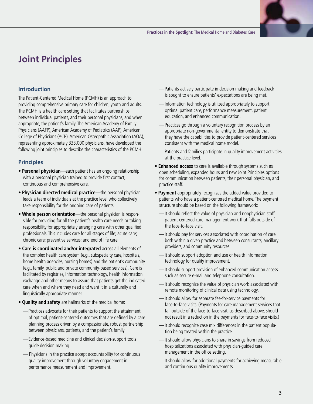

# **Joint Principles**

#### **Introduction**

The Patient-Centered Medical Home (PCMH) is an approach to providing comprehensive primary care for children, youth and adults. The PCMH is a health care setting that facilitates partnerships between individual patients, and their personal physicians, and when appropriate, the patient's family. The American Academy of Family Physicians (AAFP), American Academy of Pediatrics (AAP), American College of Physicians (ACP), American Osteopathic Association (AOA), representing approximately 333,000 physicians, have developed the following joint principles to describe the characteristics of the PCMH.

#### **Principles**

- **Personal physician**—each patient has an ongoing relationship with a personal physician trained to provide first contact, continuous and comprehensive care.
- **Physician directed medical practice**—the personal physician leads a team of individuals at the practice level who collectively take responsibility for the ongoing care of patients.
- **Whole person orientation**—the personal physician is responsible for providing for all the patient's health care needs or taking responsibility for appropriately arranging care with other qualified professionals. This includes care for all stages of life; acute care; chronic care; preventive services; and end of life care.
- **Care is coordinated and/or integrated** across all elements of the complex health care system (e.g., subspecialty care, hospitals, home health agencies, nursing homes) and the patient's community (e.g., family, public and private community-based services). Care is facilitated by registries, information technology, health information exchange and other means to assure that patients get the indicated care when and where they need and want it in a culturally and linguistically appropriate manner.
- **Quality and safety** are hallmarks of the medical home:
	- —Practices advocate for their patients to support the attainment of optimal, patient-centered outcomes that are defined by a care planning process driven by a compassionate, robust partnership between physicians, patients, and the patient's family.
	- —Evidence-based medicine and clinical decision-support tools guide decision making.
	- Physicians in the practice accept accountability for continuous quality improvement through voluntary engagement in performance measurement and improvement.
- —Patients actively participate in decision making and feedback is sought to ensure patients' expectations are being met.
- —Information technology is utilized appropriately to support optimal patient care, performance measurement, patient education, and enhanced communication.
- —Practices go through a voluntary recognition process by an appropriate non-governmental entity to demonstrate that they have the capabilities to provide patient-centered services consistent with the medical home model.
- —Patients and families participate in quality improvement activities at the practice level.
- **Enhanced access** to care is available through systems such as open scheduling, expanded hours and new Joint Principles options for communication between patients, their personal physician, and practice staff.
- **Payment** appropriately recognizes the added value provided to patients who have a patient-centered medical home. The payment structure should be based on the following framework:
	- —It should reflect the value of physician and nonphysician staff patient-centered care management work that falls outside of the face-to-face visit.
	- —It should pay for services associated with coordination of care both within a given practice and between consultants, ancillary providers, and community resources.
	- —It should support adoption and use of health information technology for quality improvement.
	- —It should support provision of enhanced communication access such as secure e-mail and telephone consultation.
	- —It should recognize the value of physician work associated with remote monitoring of clinical data using technology.
	- —It should allow for separate fee-for-service payments for face-to-face visits. (Payments for care management services that fall outside of the face-to-face visit, as described above, should not result in a reduction in the payments for face-to-face visits.)
	- —It should recognize case mix differences in the patient population being treated within the practice.
	- —It should allow physicians to share in savings from reduced hospitalizations associated with physician-guided care management in the office setting.
	- —It should allow for additional payments for achieving measurable and continuous quality improvements.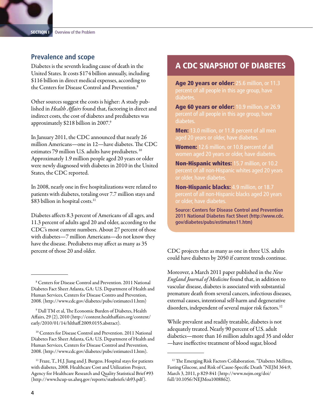## **Prevalence and scope**

Diabetes is the seventh leading cause of death in the United States. It costs \$174 billion annually, including \$116 billion in direct medical expenses, according to the Centers for Disease Control and Prevention.<sup>8</sup>

Other sources suggest the costs is higher: A study published in *Health Affairs* found that, factoring in direct and indirect costs, the cost of diabetes and prediabetes was approximately \$218 billion in 2007.9

In January 2011, the CDC announced that nearly 26 million Americans—one in 12—have diabetes. The CDC estimates 79 million U.S. adults have prediabetes.<sup>10</sup> Approximately 1.9 million people aged 20 years or older were newly diagnosed with diabetes in 2010 in the United States, the CDC reported.

In 2008, nearly one in five hospitalizations were related to patients with diabetes, totaling over 7.7 million stays and \$83 billion in hospital costs.<sup>11</sup>

Diabetes affects 8.3 percent of Americans of all ages, and 11.3 percent of adults aged 20 and older, according to the CDC's most current numbers. About 27 percent of those with diabetes—7 million Americans—do not know they have the disease. Prediabetes may affect as many as 35 percent of those 20 and older.

# A CDC snapshot of diabetes

Age 20 years or older: 25.6 million, or 11.3 diabetes.

Age 60 years or older: 10.9 million, or 26.9 diabetes.

Men: 13.0 million, or 11.8 percent of all men

Women: 12.6 million, or 10.8 percent of all

Non-Hispanic whites: 15.7 million, or 10.2 or older, have diabetes.

Non-Hispanic blacks: 4.9 million, or 18.7 or older, have diabetes.

**Source: Centers for Disease Control and Prevention 2011 National Diabetes Fact Sheet (http://www.cdc. gov/diabetes/pubs/estimates11.htm)**

CDC projects that as many as one in three U.S. adults could have diabetes by 2050 if current trends continue.

Moreover, a March 2011 paper published in the *New England Journal of Medicine* found that, in addition to vascular disease, diabetes is associated with substantial premature death from several cancers, infectious diseases, external causes, intentional self-harm and degenerative disorders, independent of several major risk factors.<sup>12</sup>

While prevalent and readily treatable, diabetes is not adequately treated. Nearly 90 percent of U.S. adult diabetics—more than 16 million adults aged 35 and older —have ineffective treatment of blood sugar, blood

<sup>8</sup> Centers for Disease Control and Prevention. 2011 National Diabetes Fact Sheet Atlanta, GA: U.S. Department of Health and Human Services, Centers for Disease Contro and Prevention, 2008. (http://www.cdc.gov/diabetes/pubs/estimates11.htm)

<sup>9</sup> Dall TM et al, The Economic Burden of Diabetes, Health Affairs, 29 (2), 2010 (http://content.healthaffairs.org/content/ early/2010/01/14/hlthaff.2009.0155.abstract).

<sup>&</sup>lt;sup>10</sup> Centers for Disease Control and Prevention. 2011 National Diabetes Fact Sheet Atlanta, GA: U.S. Department of Health and Human Services, Centers for Disease Control and Prevention, 2008. (http://www.cdc.gov/diabetes/pubs/estimates11.htm).

<sup>&</sup>lt;sup>11</sup> Fraze, T., H.J. Jiang and J. Burgess. Hospital stays for patients with diabetes, 2008. Healthcare Cost and Utilization Project, Agency for Healthcare Research and Quality Statistical Brief #93 (http://www.hcup-us.ahrq.gov/reports/statbriefs/sb93.pdf ).

<sup>&</sup>lt;sup>12</sup> The Emerging Risk Factors Collaboration. "Diabetes Mellitus, Fasting Glucose, and Risk of Cause-Specific Death "NEJM 364:9, March 3, 2011, p 829-841 (http://www.nejm.org/doi/ full/10.1056/NEJMoa1008862).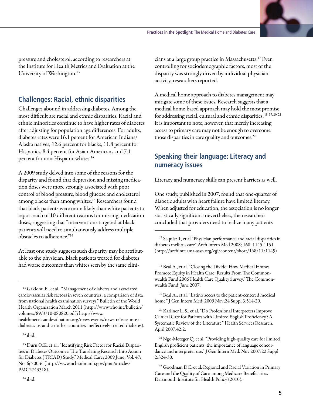

pressure and cholesterol, according to researchers at the Institute for Health Metrics and Evaluation at the University of Washington.<sup>13</sup>

## **Challenges: Racial, ethnic disparities**

Challenges abound in addressing diabetes. Among the most difficult are racial and ethnic disparities. Racial and ethnic minorities continue to have higher rates of diabetes after adjusting for population age differences. For adults, diabetes rates were 16.1 percent for American Indians/ Alaska natives, 12.6 percent for blacks, 11.8 percent for Hispanics, 8.4 percent for Asian-Americans and 7.1 percent for non-Hispanic whites.<sup>14</sup>

A 2009 study delved into some of the reasons for the disparity and found that depression and missing medication doses were more strongly associated with poor control of blood pressure, blood glucose and cholesterol among blacks than among whites.<sup>15</sup> Researchers found that black patients were more likely than white patients to report each of 10 different reasons for missing medication doses, suggesting that "interventions targeted at black patients will need to simultaneously address multiple obstacles to adherence."16

At least one study suggests such disparity may be attributable to the physician. Black patients treated for diabetes had worse outcomes than whites seen by the same clinicians at a large group practice in Massachusetts.17 Even controlling for sociodemographic factors, most of the disparity was strongly driven by individual physician activity, researchers reported.

A medical home approach to diabetes management may mitigate some of these issues. Research suggests that a medical home-based approach may hold the most promise for addressing racial, cultural and ethnic disparities. 18, 19, 20, 21 It is important to note, however, that merely increasing access to primary care may not be enough to overcome those disparities in care quality and outcomes.<sup>22</sup>

# **Speaking their language: Literacy and numeracy issues**

Literacy and numeracy skills can present barriers as well.

One study, published in 2007, found that one-quarter of diabetic adults with heart failure have limited literacy. When adjusted for education, the association is no longer statistically significant; nevertheless, the researchers concluded that providers need to realize many patients

<sup>&</sup>lt;sup>13</sup> Gakidou E., et al. "Management of diabetes and associated cardiovascular risk factors in seven countries: a comparison of data from national health examination surveys," Bulletin of the World Health Organization March 2011 (http://www.who.int/bulletin/ volumes/89/3/10-080820.pdf ; http://www.

healthmetricsandevaluation.org/news-events/news-release-mostdiabetics-us-and-six-other-countries-ineffectively-treated-diabetes).

 $14$  ibid.

<sup>&</sup>lt;sup>15</sup> Duru O.K. et al., "Identifying Risk Factor for Racial Disparities in Diabetes Outcomes: The Translating Research Into Action for Diabetes (TRIAD) Study." Medical Care; 2009 June; Vol. 47; No. 6; 700-6. (http://www.ncbi.nlm.nih.gov/pmc/articles/ PMC2743318).

<sup>&</sup>lt;sup>17</sup> Sequist T, et al "Physician performance and racial disparities in diabetes mellitus care" Arch Intern Med 2008; 168: 1145-1151. (http://archinte.ama-assn.org/cgi/content/short/168/11/1145)

<sup>18</sup> Beal A., et al. "Closing the Divide: How Medical Homes Promote Equity in Health Care: Results From The Commonwealth Fund 2006 Health Care Quality Survey." The Commonwealth Fund, June 2007.

<sup>&</sup>lt;sup>19</sup> Beal A., et al. "Latino access to the patient-centered medical home," J Gen Intern Med, 2009 Nov;24 Suppl 3:514-20.

<sup>20</sup> Karliner L. S., et al. "Do Professional Interpreters Improve Clinical Care for Patients with Limited English Proficiency? A Systematic Review of the Literature," Health Services Research, April 2007,42:2.

<sup>&</sup>lt;sup>21</sup> Ngo-Metzger Q, et al. "Providing high-quality care for limited English proficient patients: the importance of language concordance and interpreter use." J Gen Intern Med, Nov 2007;22 Suppl 2:324-30.

<sup>&</sup>lt;sup>22</sup> Goodman DC, et al. Regional and Racial Variation in Primary Care and the Quality of Care among Medicare Beneficiaries. Dartmouth Institute for Health Policy (2010).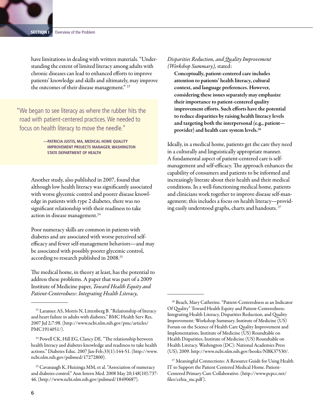have limitations in dealing with written materials. "Understanding the extent of limited literacy among adults with chronic diseases can lead to enhanced efforts to improve patients' knowledge and skills and ultimately, may improve the outcomes of their disease management."<sup>23</sup>

"We began to see literacy as where the rubber hits the road with patient-centered practices. We needed to focus on health literacy to move the needle."

> **—Patricia Justis, MA, Medical Home Quality Improvement Projects Manager, Washington State Department of Health**

Another study, also published in 2007, found that although low health literacy was significantly associated with worse glycemic control and poorer disease knowledge in patients with type 2 diabetes, there was no significant relationship with their readiness to take action in disease management.<sup>24</sup>

Poor numeracy skills are common in patients with diabetes and are associated with worse perceived selfefficacy and fewer self-management behaviors—and may be associated with possibly poorer glycemic control, according to research published in 2008.<sup>25</sup>

The medical home, in theory at least, has the potential to address these problems. A paper that was part of a 2009 Institute of Medicine paper, *Toward Health Equity and Patient-Centeredness: Integrating Health Literacy,* 

#### *Disparities Reduction, and Quality Improvement (Workshop Summary),* stated:

Conceptually, patient-centered care includes attention to patients' health literacy, cultural context, and language preferences. However, considering these issues separately may emphasize their importance to patient-centered quality improvement efforts. Such efforts have the potential to reduce disparities by raising health literacy levels and targeting both the interpersonal (e.g., patient provider) and health care system levels.26

Ideally, in a medical home, patients get the care they need in a culturally and linguistically appropriate manner. A fundamental aspect of patient-centered care is selfmanagement and self-efficacy. The approach enhances the capability of consumers and patients to be informed and increasingly literate about their health and their medical conditions. In a well-functioning medical home, patients and clinicians work together to improve disease self-management; this includes a focus on health literacy—providing easily understood graphs, charts and handouts. 27

<sup>&</sup>lt;sup>23</sup> Laramee AS, Morris N, Littenberg B. "Relationship of literacy and heart failure in adults with diabetes." BMC Health Serv Res. 2007 Jul 2;7:98. (http://www.ncbi.nlm.nih.gov/pmc/articles/ PMC1914051/).

<sup>&</sup>lt;sup>24</sup> Powell CK, Hill EG, Clancy DE. "The relationship between health literacy and diabetes knowledge and readiness to take health actions." Diabetes Educ. 2007 Jan-Feb;33(1):144-51. (http://www. ncbi.nlm.nih.gov/pubmed/17272800).

<sup>&</sup>lt;sup>25</sup> Cavanaugh K, Huizinga MM, et al. "Association of numeracy and diabetes control." Ann Intern Med. 2008 May 20;148(10):737- 46. (http://www.ncbi.nlm.nih.gov/pubmed/18490687).

<sup>26</sup> Beach, Mary Catherine. "Patient-Centeredness as an Indicator Of Quality" Toward Health Equity and Patient-Centeredness: Integrating Health Literacy, Disparities Reduction, and Quality Improvement: Workshop Summary. Institute of Medicine (US) Forum on the Science of Health Care Quality Improvement and Implementation; Institute of Medicine (US) Roundtable on Health Disparities; Institute of Medicine (US) Roundtable on Health Literacy. Washington (DC): National Academies Press (US); 2009. http://www.ncbi.nlm.nih.gov/books/NBK37530/.

<sup>&</sup>lt;sup>27</sup> Meaningful Connections: A Resource Guide for Using Health IT to Support the Patient Centered Medical Home. Patient-Centered Primary Care Collaborative. (http://www.pcpcc.net/ files/cehia\_mc.pdf ).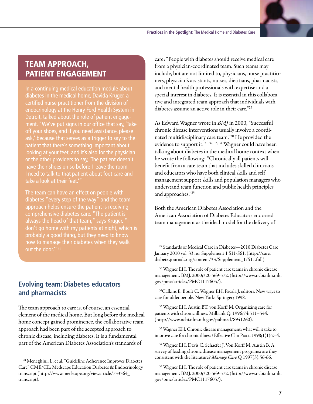

# Team approach, patient engagement

In a continuing medical education module about diabetes in the medical home, Davida Kruger, a certified nurse practitioner from the division of endocrinology at the Henry Ford Health System in Detroit, talked about the role of patient engagement. "We've put signs in our office that say, 'Take off your shoes, and if you need assistance, please ask,' because that serves as a trigger to say to the patient that there's something important about looking at your feet, and it's also for the physician or the other providers to say, 'The patient doesn't have their shoes on so before I leave the room, I need to talk to that patient about foot care and take a look at their feet.'"

The team can have an effect on people with approach helps ensure the patient is receiving comprehensive diabetes care. "The patient is always the head of that team," says Kruger. "I don't go home with my patients at night, which is probably a good thing, but they need to know how to manage their diabetes when they walk out the door.'"<sup>28</sup>

# **Evolving team: Diabetes educators and pharmacists**

The team approach to care is, of course, an essential element of the medical home. But long before the medical home concept gained prominence, the collaborative team approach had been part of the accepted approach to chronic disease, including diabetes. It is a fundamental part of the American Diabetes Association's standards of

care: "People with diabetes should receive medical care from a physician-coordinated team. Such teams may include, but are not limited to, physicians, nurse practitioners, physician's assistants, nurses, dietitians, pharmacists, and mental health professionals with expertise and a special interest in diabetes. It is essential in this collaborative and integrated team approach that individuals with diabetes assume an active role in their care."29

As Edward Wagner wrote in *BMJ* in 2000, "Successful chronic disease interventions usually involve a coordinated multidisciplinary care team."30 He provided the evidence to support it. 31, 32, 33, 34 Wagner could have been talking about diabetes in the medical home context when he wrote the following: "Chronically ill patients will benefit from a care team that includes skilled clinicians and educators who have both clinical skills and self management support skills and population managers who understand team function and public health principles and approaches."35

Both the American Diabetes Association and the American Association of Diabetes Educators endorsed team management as the ideal model for the delivery of

<sup>32</sup> Wagner EH, Austin BT, von Korff M. Organizing care for patients with chronic illness. Milbank Q. 1996;74:511–544. (http://www.ncbi.nlm.nih.gov/pubmed/8941260).

<sup>&</sup>lt;sup>28</sup> Meneghini, L, et al. "Guideline Adherence Improves Diabetes Care" CME/CE; Medscape Education Diabetes & Endocrinology transcript (http://www.medscape.org/viewarticle/733364\_ transcript).

<sup>29</sup> Standards of Medical Care in Diabetes—2010 Diabetes Care January 2010 vol. 33 no. Supplement 1 S11-S61. (http://care. diabetesjournals.org/content/33/Supplement\_1/S11.full).

<sup>&</sup>lt;sup>30</sup> Wagner EH. The role of patient care teams in chronic disease management. BMJ. 2000;320:569-572. (http://www.ncbi.nlm.nih. gov/pmc/articles/PMC1117605/).

<sup>&</sup>lt;sup>31</sup>Calkins E, Boult C, Wagner EH, Pacala J, editors. New ways to care for older people. New York: Springer; 1998.

<sup>&</sup>lt;sup>33</sup> Wagner EH. Chronic disease management: what will it take to improve care for chronic illness? Effective Clin Pract. 1998;1(1):2–4.

<sup>34</sup> Wagner EH, Davis C, Schaefer J, Von Korff M, Austin B. A survey of leading chronic disease management programs: are they consistent with the literature? *Manage Care* Q 1997(3);56-66.

<sup>&</sup>lt;sup>35</sup> Wagner EH. The role of patient care teams in chronic disease management. BMJ. 2000;320:569-572. (http://www.ncbi.nlm.nih. gov/pmc/articles/PMC1117605/).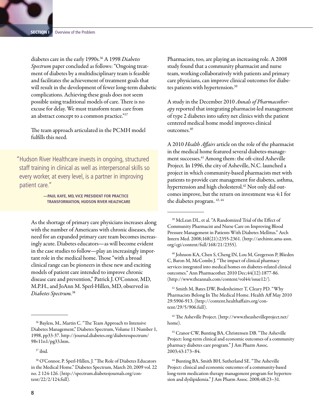diabetes care in the early 1990s.36 A 1998 *Diabetes Spectrum* paper concluded as follows: "Ongoing treatment of diabetes by a multidisciplinary team is feasible and facilitates the achievement of treatment goals that will result in the development of fewer long-term diabetic complications. Achieving these goals does not seem possible using traditional models of care. There is no excuse for delay. We must transform team care from an abstract concept to a common practice."37

The team approach articulated in the PCMH model fulfills this need.

"Hudson River Healthcare invests in ongoing, structured staff training in clinical as well as interpersonal skills so every worker, at every level, is a partner in improving patient care."

> **—Paul Kaye, MD, Vice President for Practice Transformation, Hudson River Healthcare**

As the shortage of primary care physicians increases along with the number of Americans with chronic diseases, the need for an expanded primary care team becomes increasingly acute. Diabetes educators—as will become evident in the case studies to follow—play an increasingly important role in the medical home. Those "with a broad clinical range can be pioneers in these new and exciting models of patient care intended to improve chronic disease care and prevention," Patrick J. O'Connor, MD, M.P.H., and JoAnn M. Sperl-Hillen, MD, observed in *Diabetes Spectrum.*<sup>38</sup>

Pharmacists, too, are playing an increasing role. A 2008 study found that a community pharmacist and nurse team, working collaboratively with patients and primary care physicians, can improve clinical outcomes for diabetes patients with hypertension.39

A study in the December 2010 *Annals of Pharmacotherapy* reported that integrating pharmacist-led management of type 2 diabetes into safety net clinics with the patient centered medical home model improves clinical outcomes.40

A 2010 *Health Affairs* article on the role of the pharmacist in the medical home featured several diabetes-management successes.<sup>41</sup> Among them: the oft-cited Asheville Project. In 1996, the city of Asheville, N.C. launched a project in which community-based pharmacists met with patients to provide care management for diabetes, asthma, hypertension and high cholesterol.<sup>42</sup> Not only did outcomes improve, but the return on investment was 4:1 for the diabetes program.  $43, 44$ 

<sup>40</sup> Johnson KA, Chen S, Cheng IN, Lou M, Gregerson P, Blieden C, Baron M, McCombs J. "The impact of clinical pharmacy services integrated into medical homes on diabetes-related clinical outcomes." Ann Pharmacother. 2010 Dec;44(12):1877-86. (http://www.theannals.com/content/vol44/issue12/).

41 Smith M, Bates DW, Bodenheimer T, Cleary PD. "Why Pharmacists Belong In The Medical Home. Health Aff May 2010 29:5906-913. (http://content.healthaffairs.org/content/29/5/906.full).

42 The Asheville Project. (http://www.theashevilleproject.net/ home).

<sup>&</sup>lt;sup>36</sup> Bayless, M., Martin C. "The Team Approach to Intensive Diabetes Management," Diabetes Spectrum, Volume 11 Number 1, 1998, pp33-37. http://journal.diabetes.org/diabetesspectrum/ 98v11n1/pg33.htm.

<sup>37</sup> ibid.

<sup>38</sup> O'Connor, P. Sperl-Hillen, J. "The Role of Diabetes Educators in the Medical Home." Diabetes Spectrum, March 20, 2009 vol. 22 no. 2 124-126. (http://spectrum.diabetesjournals.org/content/22/2/124.full).

<sup>39</sup> McLean DL, et al. "A Randomized Trial of the Effect of Community Pharmacist and Nurse Care on Improving Blood Pressure Management in Patients With Diabetes Mellitus." Arch Intern Med. 2008;168(21):2355-2361. (http://archinte.ama-assn. org/cgi/content/full/168/21/2355).

<sup>&</sup>lt;sup>43</sup> Cranor CW, Bunting BA, Christensen DB. "The Asheville Project: long-term clinical and economic outcomes of a community pharmacy diabetes care program." J Am Pharm Assoc. 2003;43:173–84.

<sup>&</sup>lt;sup>44</sup> Bunting BA, Smith BH, Sutherland SE. "The Asheville Project: clinical and economic outcomes of a community-based long-term medication therapy management program for hypertension and dyslipidemia." J Am Pharm Assoc. 2008;48:23–31.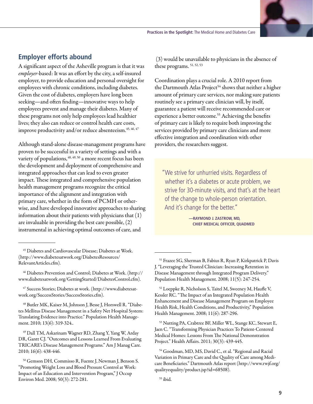

A significant aspect of the Asheville program is that it was *employer*-based: It was an effort by the city, a self-insured employer, to provide education and personal oversight for employees with chronic conditions, including diabetes. Given the cost of diabetes, employers have long been seeking—and often finding—innovative ways to help employees prevent and manage their diabetes. Many of these programs not only help employees lead healthier lives; they also can reduce or control health care costs, improve productivity and/or reduce absenteeism.<sup>45, 46, 47</sup>

Although stand-alone disease-management programs have proven to be successful in a variety of settings and with a variety of populations,  $48, 49, 50$  a more recent focus has been the development and deployment of comprehensive and integrated approaches that can lead to even greater impact. These integrated and comprehensive population health management programs recognize the critical importance of the alignment and integration with primary care, whether in the form of PCMH or otherwise, and have developed innovative approaches to sharing information about their patients with physicians that (1) are invaluable in providing the best care possible, (2) instrumental in achieving optimal outcomes of care, and

45 Diabetes and Cardiovascular Disease; Diabetes at Work. (http://www.diabetesatwork.org/DiabetesResources/ RelevantArticles.cfm).

47 Success Stories; Diabetes at work. (http://www.diabetesatwork.org/SuccessStories/SuccessStories.cfm).

48 Butler MK, Kaiser M, Johnson J, Besse J, Horswell R. "Diabetes Mellitus Disease Management in a Safety Net Hospital System: Translating Evidence into Practice." Population Health Management. 2010; 13(6): 319-324..

49 Dall TM, Askarinam Wagner RD, Zhang Y, Yang W, Arday DR, Gantt CJ. "Outcomes and Lessons Learned From Evaluating TRICARE's Disease Management Programs." Am J Manag Care. 2010; 16(6): 438-446.

 (3) would be unavailable to physicians in the absence of these programs. 51, 52, 53

Coordination plays a crucial role. A 2010 report from the Dartmouth Atlas Project<sup>54</sup> shows that neither a higher amount of primary care services, nor making sure patients routinely see a primary care clinician will, by itself, guarantee a patient will receive recommended care or experience a better outcome.<sup>55</sup> Achieving the benefits of primary care is likely to require both improving the services provided by primary care clinicians and more effective integration and coordination with other providers, the researchers suggest.

"We strive for unhurried visits. Regardless of whether it's a diabetes or acute problem, we strive for 30-minute visits, and that's at the heart of the change to whole-person orientation. And it's change for the better."

> **—Raymond J. Zastrow, MD, Chief Medical Officer, QuadMed**

53 Nutting PA, Crabtree BF, Miller WL, Stange KC, Stewart E, Jaen C. "Transforming Physician Practices To Patient-Centered Medical Homes: Lessons From The National Demonstration Project." Health Affairs. 2011; 30(3): 439-445.

54 Goodman, MD, MS, David C., et al. "Regional and Racial Variation in Primary Care and the Quality of Care among Medicare Beneficiaries." Dartmouth Atlas report (http://www.rwjf.org/ qualityequality/product.jsp?id=68508).

<sup>46</sup> Diabetes Prevention and Control; Diabetes at Work. (http:// www.diabetesatwork.org/GettingStarted/DiabetesControl.cfm).

<sup>50</sup> Gemson DH, Commisso R, Fuente J, Newman J, Benson S. "Promoting Weight Loss and Blood Pressure Control at Work: Impact of an Education and Intervention Program," J Occup Environ Med. 2008; 50(3): 272-281.

<sup>51</sup> Frazee SG, Sherman B, Fabius R, Ryan P, Kirkpatrick P, Davis J. "Leveraging the Trusted Clinician: Increasing Retention in Disease Management through Integrated Program Delivery." Population Health Management. 2008; 11(5): 247-254.

<sup>52</sup> Loeppke R, Nicholson S, Taitel M, Sweeney M, Haufle V, Kessler RC. "The Impact of an Integrated Population Health Enhancement and Disease Management Program on Employee Health Risk, Health Conditions, and Productivity," Population Health Management. 2008; 11(6): 287-296.

<sup>55</sup> ibid.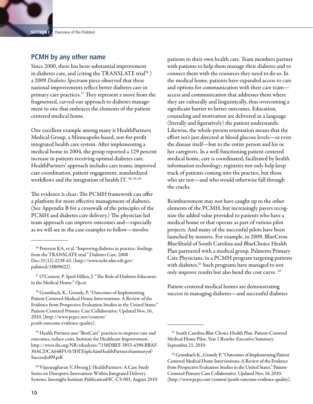#### **PCMH by any other name**

Since 2000, there has been substantial improvement in diabetes care, and (citing the TRANSLATE trial<sup>56</sup>) a 2009 *Diabetes Spectrum* piece observed that these national improvements reflect better diabetes care in primary care practices.<sup>57</sup> They represent a move from the fragmented, carved-out approach to diabetes management to one that embraces the elements of the patient centered medical home.

One excellent example among many is HealthPartners Medical Group, a Minneapolis-based, not-for-profit integrated health care system. After implementing a medical home in 2004, the group reported a 129 percent increase in patients receiving optimal diabetes care. HealthPartners' approach includes care teams, improved care coordination, patient engagement, standardized workflows and the integration of health IT. 58, 59, 60

The evidence is clear: The PCMH framework can offer a platform for more effective management of diabetes. (See Appendix B for a crosswalk of the principles of the PCMH and diabetes care delivery.) The physician-led team approach can improve outcomes and—especially as we will see in the case examples to follow—involve

patients in their own health care. Team members partner with patients to help them manage their diabetes and to connect them with the resources they need to do so. In the medical home, patients have expanded access to care and options for communication with their care team access and communication that addresses them where they are culturally and linguistically, thus overcoming a significant barrier to better outcomes. Education, counseling and motivation are delivered in a language (literally and figuratively) the patient understands. Likewise, the whole-person orientation means that the effort isn't just directed at blood glucose levels—or even the disease itself—but to the entire person and his or her caregivers. In a well-functioning patient centered medical home, care is coordinated, facilitated by health information technology; registries not only help keep track of patients coming into the practice, but those who are not—and who would otherwise fall through the cracks.

Reimbursement may not have caught up to the other elements of the PCMH, but increasingly payers recognize the added value provided to patients who have a medical home or that operate as part of various pilot projects. And many of the successful pilots have been launched by insurers. For example, in 2009, BlueCross BlueShield of South Carolina and BlueChoice Health Plan partnered with a medical group, Palmetto Primary Care Physicians, in a PCMH program targeting patients with diabetes.<sup>61</sup> Such programs have managed to not only improve results but also bend the cost curve .<sup>62</sup>

Patient centered medical homes are demonstrating success in managing diabetes—and successful diabetes

<sup>56</sup> Peterson KA, et al. "Improving diabetes in practice: findings from the TRANSLATE trial." Diabetes Care. 2008 Dec;31(12):2238-43. (http://www.ncbi.nlm.nih.gov/ pubmed/18809622).

<sup>57</sup> O'Connor, P. Sperl-Hillen, J. "The Role of Diabetes Educators in the Medical Home." *Op.cit.*

<sup>58</sup> Grumbach, K., Grundy, P. "Outcomes of Implementing Patient Centered Medical Home Interventions: A Review of the Evidence from Prospective Evaluation Studies in the United States." Patient-Centered Primary Care Collaborative. Updated Nov, 16, 2010. (http://www.pcpcc.net/content/ pcmh-outcome-evidence-quality).

<sup>59</sup> Health Partners uses "BestCare" practices to improve care and outcomes, reduce costs. Institute for Healthcare Improvement. http://www.ihi.org/NR/rdonlyres/7150DBEF-3853-4390-BBAF-30ACDCA648F5/0/IHITripleAimHealthPartnersSummaryof-SuccessJul09.pdf.

<sup>60</sup> Vijayaraghavan V, Hwang J. HealthPartners: A Case Study Series on Disruptive Innovations Within Integrated Delivery Systems. Innosight Institute PublicationHC-CS-001, August 2010.

<sup>61</sup> South Carolina Blue Choice Health Plan. Patient-Centered Medical Home Pilot, Year 1 Results: Executive Summary. September 21, 2010.

 $62$  Grumbach K., Grundy P. "Outcomes of Implementing Patient Centered Medical Home Interventions: A Review of the Evidence from Prospective Evaluation Studies in the United States." Patient-Centered Primary Care Collaborative. Updated Nov, 16, 2010. (http://www.pcpcc.net/content/pcmh-outcome-evidence-quality).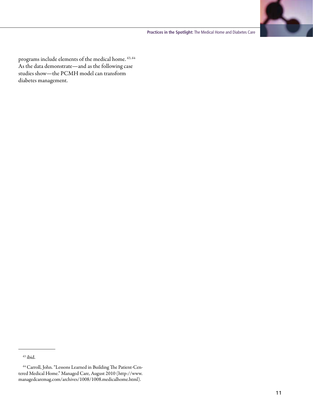



programs include elements of the medical home. 63, 64 As the data demonstrate—and as the following case studies show—the PCMH model can transform diabetes management.

 $63$  ibid.

<sup>64</sup> Carroll, John. "Lessons Learned in Building The Patient-Centered Medical Home." Managed Care, August 2010 (http://www. managedcaremag.com/archives/1008/1008.medicalhome.html).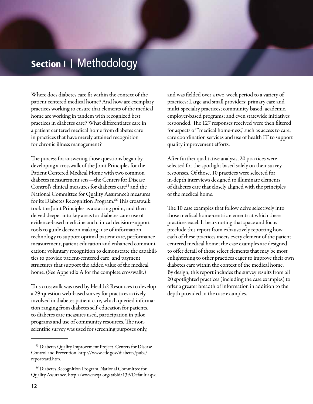# Section I **|** Methodology

Where does diabetes care fit within the context of the patient centered medical home? And how are exemplary practices working to ensure that elements of the medical home are working in tandem with recognized best practices in diabetes care? What differentiates care in a patient centered medical home from diabetes care in practices that have merely attained recognition for chronic illness management?

The process for answering those questions began by developing a crosswalk of the Joint Principles for the Patient Centered Medical Home with two common diabetes measurement sets—the Centers for Disease Control's clinical measures for diabetes care<sup>65</sup> and the National Committee for Quality Assurance's measures for its Diabetes Recognition Program.<sup>66</sup> This crosswalk took the Joint Principles as a starting point, and then delved deeper into key areas for diabetes care: use of evidence-based medicine and clinical decision-support tools to guide decision making; use of information technology to support optimal patient care, performance measurement, patient education and enhanced communication; voluntary recognition to demonstrate the capabilities to provide patient-centered care; and payment structures that support the added value of the medical home. (See Appendix A for the complete crosswalk.)

This crosswalk was used by Health2 Resources to develop a 29-question web-based survey for practices actively involved in diabetes patient care, which queried information ranging from diabetes self-education for patients, to diabetes care measures used, participation in pilot programs and use of community resources. The nonscientific survey was used for screening purposes only,

and was fielded over a two-week period to a variety of practices: Large and small providers; primary care and multi-specialty practices; community-based, academic, employer-based programs; and even statewide initiatives responded. The 127 responses received were then filtered for aspects of "medical home-ness," such as access to care, care coordination services and use of health IT to support quality improvement efforts.

After further qualitative analysis, 20 practices were selected for the spotlight based solely on their survey responses. Of those, 10 practices were selected for in-depth interviews designed to illuminate elements of diabetes care that closely aligned with the principles of the medical home.

The 10 case examples that follow delve selectively into those medical home-centric elements at which these practices excel. It bears noting that space and focus preclude this report from exhaustively reporting how each of these practices meets every element of the patient centered medical home; the case examples are designed to offer detail of those select elements that may be most enlightening to other practices eager to improve their own diabetes care within the context of the medical home. By design, this report includes the survey results from all 20 spotlighted practices (including the case examples) to offer a greater breadth of information in addition to the depth provided in the case examples.

<sup>65</sup> Diabetes Quality Improvement Project. Centers for Disease Control and Prevention. http://www.cdc.gov/diabetes/pubs/ reportcard.htm.

<sup>66</sup> Diabetes Recognition Program. National Committee for Quality Assurance. http://www.ncqa.org/tabid/139/Default.aspx.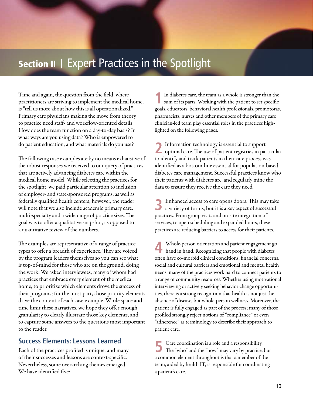# Section II **|** Expert Practices in the Spotlight

Time and again, the question from the field, where practitioners are striving to implement the medical home, is "tell us more about how this is all operationalized." Primary care physicians making the move from theory to practice need staff- and workflow-oriented details: How does the team function on a day-to-day basis? In what ways are you using data? Who is empowered to do patient education, and what materials do you use?

The following case examples are by no means exhaustive of the robust responses we received to our query of practices that are actively advancing diabetes care within the medical home model. While selecting the practices for the spotlight, we paid particular attention to inclusion of employer- and state-sponsored programs, as well as federally qualified health centers; however, the reader will note that we also include academic primary care, multi-specialty and a wide range of practice sizes. The goal was to offer a qualitative snapshot, as opposed to a quantitative review of the numbers.

The examples are representative of a range of practice types to offer a breadth of experience. They are voiced by the program leaders themselves so you can see what is top-of-mind for those who are on the ground, doing the work. We asked interviewees, many of whom had practices that embrace every element of the medical home, to prioritize which elements drove the success of their programs; for the most part, those priority elements drive the content of each case example. While space and time limit these narratives, we hope they offer enough granularity to clearly illustrate those key elements, and to capture some answers to the questions most important to the reader.

# **Success Elements: Lessons Learned**

Each of the practices profiled is unique, and many of their successes and lessons are context-specific. Nevertheless, some overarching themes emerged. We have identified five:

In diabetes care, the team as a whole is stronger than the sum of its parts. Working with the patient to set specific goals, educators, behavioral health professionals, promotoras, pharmacists, nurses and other members of the primary care clinician-led team play essential roles in the practices highlighted on the following pages.

2 Information technology is essential to support optimal care. The use of patient registries in particular to identify and track patients in their care process was identified as a bottom-line essential for population-based diabetes care management. Successful practices know who their patients with diabetes are, and regularly mine the data to ensure they receive the care they need.

**3** Enhanced access to care opens doors. This may take a variety of forms, but it is a key aspect of successful practices. From group visits and on-site integration of services, to open scheduling and expanded hours, these practices are reducing barriers to access for their patients.

**4** Whole-person orientation and patient engagement go hand in hand. Recognizing that people with diabetes often have co-morbid clinical conditions, financial concerns, social and cultural barriers and emotional and mental health needs, many of the practices work hard to connect patients to a range of community resources. Whether using motivational interviewing or actively seeking behavior change opportunities, there is a strong recognition that health is not just the absence of disease, but whole-person wellness. Moreover, the patient is fully engaged as part of the process; many of those profiled strongly reject notions of "compliance" or even "adherence" as terminology to describe their approach to patient care.

**5** Care coordination is a role and a responsibility. The "who" and the "how" may vary by practice, but a common element throughout is that a member of the team, aided by health IT, is responsible for coordinating a patient's care.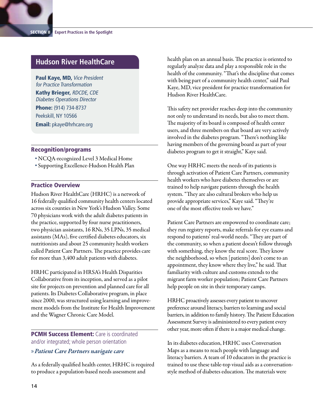# **Hudson River HealthCare**

Paul Kaye, MD, Vice President for Practice Transformation Kathy Brieger, RDCDE, CDE Diabetes Operations Director Phone: (914) 734-8737 Peekskill, NY 10566 Email: pkaye@hrhcare.org

#### Recognition/programs

- ȅȅ NCQA-recognized Level 3 Medical Home
- ȅȅ Supporting Excellence-Hudson Health Plan

#### Practice Overview

Hudson River HealthCare (HRHC) is a network of 16 federally qualified community health centers located across six counties in New York's Hudson Valley. Some 70 physicians work with the adult diabetes patients in the practice, supported by four nurse practitioners, two physician assistants, 16 RNs, 35 LPNs, 35 medical assistants (MAs), five certified diabetes educators, six nutritionists and about 25 community health workers called Patient Care Partners. The practice provides care for more than 3,400 adult patients with diabetes.

HRHC participated in HRSA's Health Disparities Collaborative from its inception, and served as a pilot site for projects on prevention and planned care for all patients. Its Diabetes Collaborative program, in place since 2000, was structured using learning and improvement models from the Institute for Health Improvement and the Wagner Chronic Care Model.

**PCMH Success Element:** Care is coordinated and/or integrated; whole person orientation

#### »*Patient Care Partners navigate care*

As a federally qualified health center, HRHC is required to produce a population-based needs assessment and

health plan on an annual basis. The practice is oriented to regularly analyze data and play a responsible role in the health of the community. "That's the discipline that comes with being part of a community health center," said Paul Kaye, MD, vice president for practice transformation for Hudson River HealthCare.

This safety net provider reaches deep into the community not only to understand its needs, but also to meet them. The majority of its board is composed of health center users, and three members on that board are very actively involved in the diabetes program. "There's nothing like having members of the governing board as part of your diabetes program to get it straight," Kaye said.

One way HRHC meets the needs of its patients is through activation of Patient Care Partners, community health workers who have diabetes themselves or are trained to help navigate patients through the health system. "They are also cultural brokers who help us provide appropriate services," Kaye said. "They're one of the most effective tools we have."

Patient Care Partners are empowered to coordinate care; they run registry reports, make referrals for eye exams and respond to patients' real-world needs. "They are part of the community, so when a patient doesn't follow through with something, they know the real score. They know the neighborhood, so when [patients] don't come to an appointment, they know where they live," he said. That familiarity with culture and customs extends to the migrant farm worker population; Patient Care Partners help people on site in their temporary camps.

HRHC proactively assesses every patient to uncover preference around literacy, barriers to learning and social barriers, in addition to family history. The Patient Education Assessment Survey is administered to every patient every other year, more often if there is a major medical change.

In its diabetes education, HRHC uses Conversation Maps as a means to reach people with language and literacy barriers. A team of 10 educators in the practice is trained to use these table-top visual aids as a conversationstyle method of diabetes education. The materials were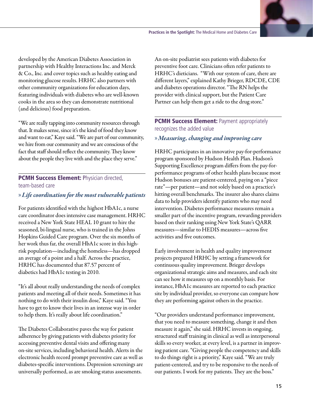

developed by the American Diabetes Association in partnership with Healthy Interactions Inc. and Merck & Co., Inc. and cover topics such as healthy eating and monitoring glucose results. HRHC also partners with other community organizations for education days, featuring individuals with diabetes who are well-known cooks in the area so they can demonstrate nutritional (and delicious) food preparation.

"We are really tapping into community resources through that. It makes sense, since it's the kind of food they know and want to eat," Kaye said. "We are part of our community, we hire from our community and we are conscious of the fact that staff should reflect the community. They know about the people they live with and the place they serve."

#### **PCMH Success Element: Physician directed,** team-based care

#### »*Life coordination for the most vulnerable patients*

For patients identified with the highest HbA1c, a nurse care coordinator does intensive case management. HRHC received a New York State HEAL 10 grant to hire the seasoned, bi-lingual nurse, who is trained in the Johns Hopkins Guided Care program. Over the six months of her work thus far, the overall HbA1c score in this highrisk population—including the homeless—has dropped an average of a point and a half. Across the practice, HRHC has documented that 87.57 percent of diabetics had HbA1c testing in 2010.

"It's all about really understanding the needs of complex patients and meeting all of their needs. Sometimes it has nothing to do with their insulin dose," Kaye said. "You have to get to know their lives in an intense way in order to help them. It's really about life coordination."

The Diabetes Collaborative paves the way for patient adherence by giving patients with diabetes priority for accessing preventive dental visits and offering many on-site services, including behavioral health. Alerts in the electronic health record prompt preventive care as well as diabetes-specific interventions. Depression screenings are universally performed, as are smoking status assessments.

An on-site podiatrist sees patients with diabetes for preventive foot care. Clinicians often refer patients to HRHC's dieticians. "With our system of care, there are different layers," explained Kathy Brieger, RDCDE, CDE and diabetes operations director. "The RN helps the provider with clinical support, but the Patient Care Partner can help them get a ride to the drug store."

# **PCMH Success Element: Payment appropriately** recognizes the added value

#### »*Measuring, changing and improving care*

HRHC participates in an innovative pay-for-performance program sponsored by Hudson Health Plan. Hudson's Supporting Excellence program differs from the pay-forperformance programs of other health plans because most Hudson bonuses are patient-centered, paying on a "piece rate"—per patient—and not solely based on a practice's hitting overall benchmarks. The insurer also shares claims data to help providers identify patients who may need intervention. Diabetes performance measures remain a smaller part of the incentive program, rewarding providers based on their ranking using New York State's QARR measures—similar to HEDIS measures—across five activities and five outcomes.

Early involvement in health and quality improvement projects prepared HRHC by setting a framework for continuous quality improvement. Brieger develops organizational strategic aims and measures, and each site can see how it measures up on a monthly basis. For instance, HbA1c measures are reported to each practice site by individual provider, so everyone can compare how they are performing against others in the practice.

"Our providers understand performance improvement, that you need to measure something, change it and then measure it again," she said. HRHC invests in ongoing, structured staff training in clinical as well as interpersonal skills so every worker, at every level, is a partner in improving patient care. "Giving people the competency and skills to do things right is a priority," Kaye said. "We are truly patient-centered, and try to be responsive to the needs of our patients. I work for my patients. They are the boss."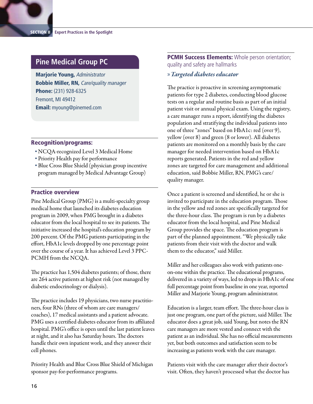## **Pine Medical Group PC**

**Marjorie Young, Administrator** Bobbie Miller, RN, Care/quality manager Phone: (231) 928-6325 Fremont, MI 49412 Email: myoung@pinemed.com

#### Recognition/programs:

- ȅȅ NCQA-recognized Level 3 Medical Home
- ȅȅ Priority Health pay for performance
- ȅȅ Blue Cross Blue Shield (physician group incentive program managed by Medical Advantage Group)

#### Practice overview

Pine Medical Group (PMG) is a multi-specialty group medical home that launched its diabetes education program in 2009, when PMG brought in a diabetes educator from the local hospital to see its patients. The initiative increased the hospital's education program by 200 percent. Of the PMG patients participating in the effort, HbA1c levels dropped by one percentage point over the course of a year. It has achieved Level 3 PPC-PCMH from the NCQA.

The practice has 1,504 diabetes patients; of those, there are 264 active patients at highest risk (not managed by diabetic endocrinology or dialysis).

The practice includes 19 physicians, two nurse practitioners, four RNs (three of whom are care managers/ coaches), 17 medical assistants and a patient advocate. PMG uses a certified diabetes educator from its affiliated hospital. PMG's office is open until the last patient leaves at night, and it also has Saturday hours. The doctors handle their own inpatient work, and they answer their cell phones.

Priority Health and Blue Cross Blue Shield of Michigan sponsor pay-for-performance programs.

**PCMH Success Elements: Whole person orientation;** quality and safety are hallmarks

#### »*Targeted diabetes educator*

The practice is proactive in screening asymptomatic patients for type 2 diabetes, conducting blood glucose tests on a regular and routine basis as part of an initial patient visit or annual physical exam. Using the registry, a care manager runs a report, identifying the diabetes population and stratifying the individual patients into one of three "zones" based on HbA1c: red (over 9), yellow (over 8) and green (8 or lower). All diabetes patients are monitored on a monthly basis by the care manager for needed intervention based on HbA1c reports generated. Patients in the red and yellow zones are targeted for care management and additional education, said Bobbie Miller, RN, PMG's care/ quality manager.

Once a patient is screened and identified, he or she is invited to participate in the education program. Those in the yellow and red zones are specifically targeted for the three-hour class. The program is run by a diabetes educator from the local hospital, and Pine Medical Group provides the space. The education program is part of the planned appointment. "We physically take patients from their visit with the doctor and walk them to the educator," said Miller.

Miller and her colleagues also work with patients oneon-one within the practice. The educational programs, delivered in a variety of ways, led to drops in HbA1c of one full percentage point from baseline in one year, reported Miller and Marjorie Young, program administrator.

Education is a larger, team effort. The three-hour class is just one program, one part of the picture, said Miller. The educator does a great job, said Young, but notes the RN care managers are more vested and connect with the patient as an individual. She has no official measurements yet, but both outcomes and satisfaction seem to be increasing as patients work with the care manager.

Patients visit with the care manager after their doctor's visit. Often, they haven't processed what the doctor has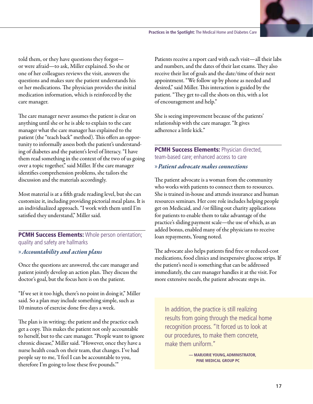

told them, or they have questions they forgot or were afraid—to ask, Miller explained. So she or one of her colleagues reviews the visit, answers the questions and makes sure the patient understands his or her medications. The physician provides the initial medication information, which is reinforced by the care manager.

The care manager never assumes the patient is clear on anything until she or he is able to explain to the care manager what the care manager has explained to the patient (the "teach back" method). This offers an opportunity to informally assess both the patient's understanding of diabetes and the patient's level of literacy. "I have them read something in the context of the two of us going over a topic together," said Miller. If the care manager identifies comprehension problems, she tailors the discussion and the materials accordingly.

Most material is at a fifth grade reading level, but she can customize it, including providing pictorial meal plans. It is an individualized approach. "I work with them until I'm satisfied they understand," Miller said.

**PCMH Success Elements: Whole person orientation;** quality and safety are hallmarks

#### »*Accountability and action plans*

Once the questions are answered, the care manager and patient jointly develop an action plan. They discuss the doctor's goal, but the focus here is on the patient.

"If we set it too high, there's no point in doing it," Miller said. So a plan may include something simple, such as 10 minutes of exercise done five days a week.

The plan is in writing; the patient and the practice each get a copy. This makes the patient not only accountable to herself, but to the care manager. "People want to ignore chronic disease," Miller said. "However, once they have a nurse health coach on their team, that changes. I've had people say to me, 'I feel I can be accountable to you, therefore I'm going to lose these five pounds.'"

Patients receive a report card with each visit—all their labs and numbers, and the dates of their last exams. They also receive their list of goals and the date/time of their next appointment. "We follow up by phone as needed and desired," said Miller. This interaction is guided by the patient. "They get to call the shots on this, with a lot of encouragement and help."

She is seeing improvement because of the patients' relationship with the care manager. "It gives adherence a little kick."

#### PCMH Success Elements: Physician directed, team-based care; enhanced access to care

#### »*Patient advocate makes connections*

The patient advocate is a woman from the community who works with patients to connect them to resources. She is trained in-house and attends insurance and human resources seminars. Her core role includes helping people get on Medicaid, and /or filling out charity applications for patients to enable them to take advantage of the practice's sliding payment scale—the use of which, as an added bonus, enabled many of the physicians to receive loan repayments, Young noted.

The advocate also helps patients find free or reduced-cost medications, food clinics and inexpensive glucose strips. If the patient's need is something that can be addressed immediately, the care manager handles it at the visit. For more extensive needs, the patient advocate steps in.

In addition, the practice is still realizing results from going through the medical home recognition process. "It forced us to look at our procedures, to make them concrete, make them uniform."

> **— Marjorie Young, Administrator, Pine Medical Group PC**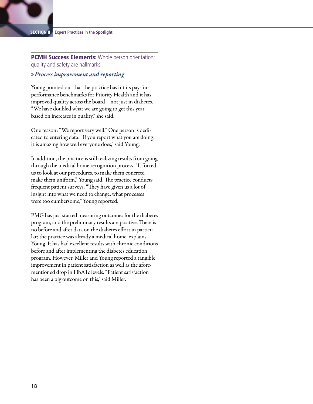SECTION II **Expert Practices in the Spotlight**

**PCMH Success Elements: Whole person orientation;** quality and safety are hallmarks

»*Process improvement and reporting*

Young pointed out that the practice has hit its pay-forperformance benchmarks for Priority Health and it has improved quality across the board—not just in diabetes. "We have doubled what we are going to get this year based on increases in quality," she said.

One reason: "We report very well." One person is dedicated to entering data. "If you report what you are doing, it is amazing how well everyone does," said Young.

In addition, the practice is still realizing results from going through the medical home recognition process. "It forced us to look at our procedures, to make them concrete, make them uniform," Young said. The practice conducts frequent patient surveys. "They have given us a lot of insight into what we need to change, what processes were too cumbersome," Young reported.

PMG has just started measuring outcomes for the diabetes program, and the preliminary results are positive. There is no before and after data on the diabetes effort in particular; the practice was already a medical home, explains Young. It has had excellent results with chronic conditions before and after implementing the diabetes education program. However, Miller and Young reported a tangible improvement in patient satisfaction as well as the aforementioned drop in HbA1c levels. "Patient satisfaction has been a big outcome on this," said Miller.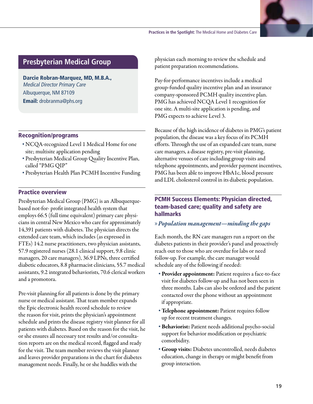

Darcie Robran-Marquez, MD, M.B.A., Medical Director Primary Care Albuquerque, NM 87109 Email: drobranma@phs.org

#### Recognition/programs

- ȅȅ NCQA-recognized Level 1 Medical Home for one site; multisite application pending
- ȅȅ Presbyterian Medical Group Quality Incentive Plan, called "PMG QIP"
- ȅȅ Presbyterian Health Plan PCMH Incentive Funding

#### Practice overview

Presbyterian Medical Group (PMG) is an Albuquerquebased not-for- profit integrated health system that employs 66.5 (full time equivalent) primary care physicians in central New Mexico who care for approximately 14,391 patients with diabetes. The physician directs the extended care team, which includes (as expressed in FTEs) 14.2 nurse practitioners, two physician assistants, 57.9 registered nurses (28.1 clinical support, 9.8 clinic managers, 20 care managers), 36.9 LPNs, three certified diabetic educators, 8.8 pharmacist clinicians, 55.7 medical assistants, 9.2 integrated behaviorists, 70.6 clerical workers and a promotora.

Pre-visit planning for all patients is done by the primary nurse or medical assistant. That team member expands the Epic electronic health record schedule to review the reason for visit, prints the physician's appointment schedule and prints the disease registry visit planner for all patients with diabetes. Based on the reason for the visit, he or she ensures all necessary test results and/or consultation reports are on the medical record, flagged and ready for the visit. The team member reviews the visit planner and leaves provider preparations in the chart for diabetes management needs. Finally, he or she huddles with the

physician each morning to review the schedule and patient preparation recommendations.

Pay-for-performance incentives include a medical group-funded quality incentive plan and an insurance company-sponsored PCMH quality incentive plan. PMG has achieved NCQA Level 1 recognition for one site. A multi-site application is pending, and PMG expects to achieve Level 3.

Because of the high incidence of diabetes in PMG's patient population, the disease was a key focus of its PCMH efforts. Through the use of an expanded care team, nurse care managers, a disease registry, pre-visit planning, alternative venues of care including group visits and telephone appointments, and provider payment incentives, PMG has been able to improve HbA1c, blood pressure and LDL cholesterol control in its diabetic population.

#### PCMH Success Elements: Physician directed, team-based care; quality and safety are hallmarks

#### »*Population management—minding the gaps*

Each month, the RN care managers run a report on the diabetes patients in their provider's panel and proactively reach out to those who are overdue for labs or need follow-up. For example, the care manager would schedule any of the following if needed:

- Provider appointment: Patient requires a face-to-face visit for diabetes follow-up and has not been seen in three months. Labs can also be ordered and the patient contacted over the phone without an appointment if appropriate.
- ȅȅ Telephone appointment: Patient requires follow up for recent treatment changes.
- ȅȅ Behaviorist: Patient needs additional psycho-social support for behavior modification or psychiatric comorbidity.
- ȅȅ Group visits: Diabetes uncontrolled, needs diabetes education, change in therapy or might benefit from group interaction.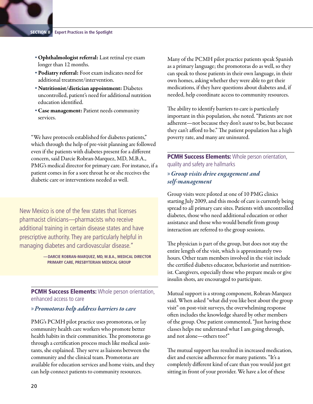- **Ophthalmologist referral:** Last retinal eye exam longer than 12 months.
- ȅȅ Podiatry referral: Foot exam indicates need for additional treatment/intervention.
- ȅȅ Nutritionist/dietician appointment: Diabetes uncontrolled, patient's need for additional nutrition education identified.
- ȅȅ Case management: Patient needs community services.

"We have protocols established for diabetes patients," which through the help of pre-visit planning are followed even if the patients with diabetes present for a different concern, said Darcie Robran-Marquez, MD, M.B.A., PMG's medical director for primary care. For instance, if a patient comes in for a sore throat he or she receives the diabetic care or interventions needed as well.

New Mexico is one of the few states that licenses pharmacist clinicians—pharmacists who receive additional training in certain disease states and have prescriptive authority. They are particularly helpful in managing diabetes and cardiovascular disease."

> **—Darcie Robran-Marquez, MD, M.B.A., Medical Director Primary Care, Presbyterian Medical Group**

**PCMH Success Elements: Whole person orientation,** enhanced access to care

#### »*Promotoras help address barriers to care*

PMG's PCMH pilot practice uses promotoras, or lay community health care workers who promote better health habits in their communities. The promotoras go through a certification process much like medical assistants, she explained. They serve as liaisons between the community and the clinical team. Promotoras are available for education services and home visits, and they can help connect patients to community resources.

Many of the PCMH pilot practice patients speak Spanish as a primary language; the promotoras do as well, so they can speak to those patients in their own language, in their own homes, asking whether they were able to get their medications, if they have questions about diabetes and, if needed, help coordinate access to community resources.

The ability to identify barriers to care is particularly important in this population, she noted. "Patients are not adherent—not because they don't *want* to be, but because they can't afford to be." The patient population has a high poverty rate, and many are uninsured.

**PCMH Success Elements: Whole person orientation,** quality and safety are hallmarks

#### »*Group visits drive engagement and self-management*

Group visits were piloted at one of 10 PMG clinics starting July 2009, and this mode of care is currently being spread to all primary care sites. Patients with uncontrolled diabetes, those who need additional education or other assistance and those who would benefit from group interaction are referred to the group sessions.

The physician is part of the group, but does not stay the entire length of the visit, which is approximately two hours. Other team members involved in the visit include the certified diabetes educator, behaviorist and nutritionist. Caregivers, especially those who prepare meals or give insulin shots, are encouraged to participate.

Mutual support is a strong component, Robran-Marquez said. When asked "what did you like best about the group visit" on post-visit surveys, the overwhelming response often includes the knowledge shared by other members of the group. One patient commented, "Just having these classes helps me understand what I am going through, and not alone—others too!"

The mutual support has resulted in increased medication, diet and exercise adherence for many patients. "It's a completely different kind of care than you would just get sitting in front of your provider. We have a lot of these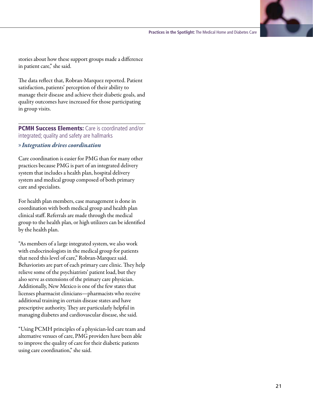

stories about how these support groups made a difference in patient care," she said.

The data reflect that, Robran-Marquez reported. Patient satisfaction, patients' perception of their ability to manage their disease and achieve their diabetic goals, and quality outcomes have increased for those participating in group visits.

#### **PCMH Success Elements:** Care is coordinated and/or integrated; quality and safety are hallmarks

#### » *Integration drives coordination*

Care coordination is easier for PMG than for many other practices because PMG is part of an integrated delivery system that includes a health plan, hospital delivery system and medical group composed of both primary care and specialists.

For health plan members, case management is done in coordination with both medical group and health plan clinical staff. Referrals are made through the medical group to the health plan, or high utilizers can be identified by the health plan.

"As members of a large integrated system, we also work with endocrinologists in the medical group for patients that need this level of care," Robran-Marquez said. Behaviorists are part of each primary care clinic. They help relieve some of the psychiatrists' patient load, but they also serve as extensions of the primary care physician. Additionally, New Mexico is one of the few states that licenses pharmacist clinicians—pharmacists who receive additional training in certain disease states and have prescriptive authority. They are particularly helpful in managing diabetes and cardiovascular disease, she said.

"Using PCMH principles of a physician-led care team and alternative venues of care, PMG providers have been able to improve the quality of care for their diabetic patients using care coordination," she said.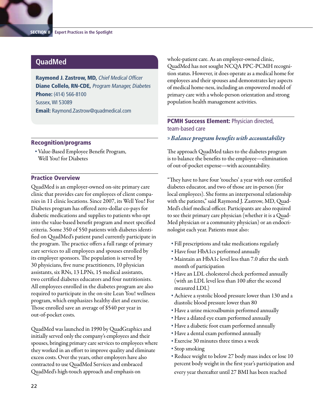# **QuadMed**

Raymond J. Zastrow, MD, Chief Medical Officer Diane Collelo, RN-CDE, Program Manager, Diabetes Phone: (414) 566-8100 Sussex, WI 53089 Email: Raymond.Zastrow@quadmedical.com

#### Recognition/programs

ȅȅ Value-Based Employee Benefit Program, Well You! for Diabetes

#### Practice Overview

QuadMed is an employer-owned on-site primary care clinic that provides care for employees of client companies in 11 clinic locations. Since 2007, its Well You! For Diabetes program has offered zero-dollar co-pays for diabetic medications and supplies to patients who opt into the value-based benefit program and meet specified criteria. Some 350 of 550 patients with diabetes identified on QuadMed's patient panel currently participate in the program. The practice offers a full range of primary care services to all employees and spouses enrolled by its employer sponsors. The population is served by 30 physicians, five nurse practitioners, 10 physician assistants, six RNs, 13 LPNs, 15 medical assistants, two certified diabetes educators and four nutritionists. All employees enrolled in the diabetes program are also required to participate in the on-site Lean You! wellness program, which emphasizes healthy diet and exercise. Those enrolled save an average of \$540 per year in out-of-pocket costs.

QuadMed was launched in 1990 by QuadGraphics and initially served only the company's employees and their spouses, bringing primary care services to employees where they worked in an effort to improve quality and eliminate excess costs. Over the years, other employers have also contracted to use QuadMed Services and embraced QuadMed's high-touch approach and emphasis on

whole-patient care. As an employer-owned clinic, QuadMed has not sought NCQA PPC-PCMH recognition status. However, it does operate as a medical home for employees and their spouses and demonstrates key aspects of medical home-ness, including an empowered model of primary care with a whole-person orientation and strong population health management activities.

#### **PCMH Success Element: Physician directed,** team-based care

#### »*Balance program benefits with accountability*

The approach QuadMed takes to the diabetes program is to balance the benefits to the employee—elimination of out-of-pocket expense—with accountability.

"They have to have four 'touches' a year with our certified diabetes educator, and two of those are in-person (for local employees). She forms an interpersonal relationship with the patients," said Raymond J. Zastrow, MD, Quad-Med's chief medical officer. Participants are also required to see their primary care physician (whether it is a Quad-Med physician or a community physician) or an endocrinologist each year. Patients must also:

- ȅȅ Fill prescriptions and take medications regularly
- ȅȅ Have four HbA1cs performed annually
- ȅȅ Maintain an HbA1c level less than 7.0 after the sixth month of participation
- ȅȅ Have an LDL cholesterol check performed annually (with an LDL level less than 100 after the second measured LDL)
- ȅȅ Achieve a systolic blood pressure lower than 130 and a diastolic blood pressure lower than 80
- Have a urine microalbumin performed annually
- ȅȅ Have a dilated eye exam performed annually
- ȅȅ Have a diabetic foot exam performed annually
- ȅȅ Have a dental exam performed annually
- ȅȅ Exercise 30 minutes three times a week
- Stop smoking
- Reduce weight to below 27 body mass index or lose 10 percent body weight in the first year's participation and every year thereafter until 27 BMI has been reached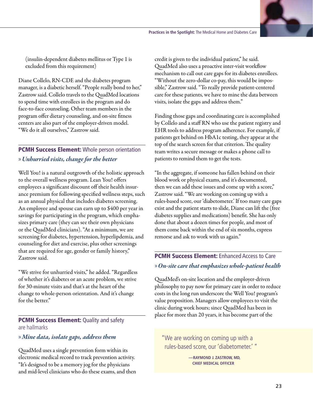

(insulin-dependent diabetes mellitus or Type 1 is excluded from this requirement)

Diane Collelo, RN-CDE and the diabetes program manager, is a diabetic herself. "People really bond to her," Zastrow said. Collelo travels to the QuadMed locations to spend time with enrollees in the program and do face-to-face counseling. Other team members in the program offer dietary counseling, and on-site fitness centers are also part of the employer-driven model. "We do it all ourselves," Zastrow said.

# **PCMH Success Element:** Whole person orientation »*Unhurried visits, change for the better*

Well You! is a natural outgrowth of the holistic approach to the overall wellness program. Lean You! offers employees a significant discount off their health insurance premium for following specified wellness steps, such as an annual physical that includes diabetes screening. An employee and spouse can earn up to \$400 per year in savings for participating in the program, which emphasizes primary care (they can see their own physicians or the QuadMed clinicians). "At a minimum, we are screening for diabetes, hypertension, hyperlipdemia, and counseling for diet and exercise, plus other screenings that are required for age, gender or family history," Zastrow said.

"We strive for unhurried visits," he added. "Regardless of whether it's diabetes or an acute problem, we strive for 30-minute visits and that's at the heart of the change to whole-person orientation. And it's change for the better."

**PCMH Success Element: Quality and safety** are hallmarks

#### »*Mine data, isolate gaps, address them*

QuadMed uses a single prevention form within its electronic medical record to track prevention activity. "It's designed to be a memory jog for the physicians and mid-level clinicians who do these exams, and then credit is given to the individual patient," he said. QuadMed also uses a proactive inter-visit workflow mechanism to call out care gaps for its diabetes enrollees. "Without the zero-dollar co-pay, this would be impossible," Zastrow said. "To really provide patient-centered care for these patients, we have to mine the data between visits, isolate the gaps and address them."

Finding those gaps and coordinating care is accomplished by Collelo and a staff RN who use the patient registry and EHR tools to address program adherence. For example, if patients get behind on HbA1c testing, they appear at the top of the search screen for that criterion. The quality team writes a secure message or makes a phone call to patients to remind them to get the tests.

"In the aggregate, if someone has fallen behind on their blood work or physical exams, and it's documented, then we can add these issues and come up with a score," Zastrow said. "We are working on coming up with a rules-based score, our 'diabetometer.' If too many care gaps exist and the patient starts to slide, Diane can lift the (free diabetes supplies and medications) benefit. She has only done that about a dozen times for people, and most of them come back within the end of six months, express remorse and ask to work with us again."

# **PCMH Success Element:** Enhanced Access to Care »*On-site care that emphasizes whole-patient health*

QuadMed's on-site location and the employer-driven philosophy to pay now for primary care in order to reduce costs in the long run underscore the Well You! program's value proposition. Managers allow employees to visit the clinic during work hours; since QuadMed has been in place for more than 20 years, it has become part of the

"We are working on coming up with a rules-based score, our 'diabetometer.' "

> **—Raymond J. Zastrow, MD, Chief Medical Officer**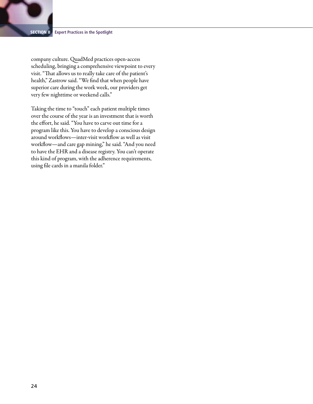company culture. QuadMed practices open-access scheduling, bringing a comprehensive viewpoint to every visit. "That allows us to really take care of the patient's health," Zastrow said. "We find that when people have superior care during the work week, our providers get very few nighttime or weekend calls."

Taking the time to "touch" each patient multiple times over the course of the year is an investment that is worth the effort, he said. "You have to carve out time for a program like this. You have to develop a conscious design around workflows—inter-visit workflow as well as visit workflow—and care gap mining," he said. "And you need to have the EHR and a disease registry. You can't operate this kind of program, with the adherence requirements, using file cards in a manila folder."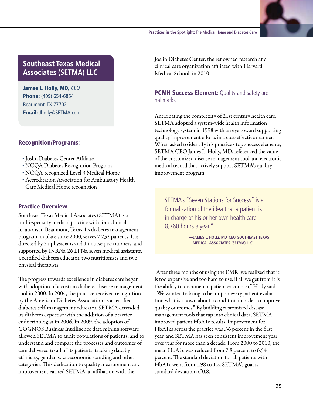

# **Southeast Texas Medical Associates (SETMA) LLC**

James L. Holly, MD, CEO Phone: (409) 654-6854 Beaumont, TX 77702 Email: Jholly@SETMA.com

#### Recognition/Programs:

- ȅȅ Joslin Diabetes Center Affiliate
- ȅȅ NCQA Diabetes Recognition Program
- ȅȅ NCQA-recognized Level 3 Medical Home
- ȅȅ Accreditation Association for Ambulatory Health Care Medical Home recognition

#### Practice Overview

Southeast Texas Medical Associates (SETMA) is a multi-specialty medical practice with four clinical locations in Beaumont, Texas. Its diabetes management program, in place since 2000, serves 7,232 patients. It is directed by 24 physicians and 14 nurse practitioners, and supported by 13 RNs, 26 LPNs, seven medical assistants, a certified diabetes educator, two nutritionists and two physical therapists.

The progress towards excellence in diabetes care began with adoption of a custom diabetes disease management tool in 2000. In 2004, the practice received recognition by the American Diabetes Association as a certified diabetes self-management educator. SETMA extended its diabetes expertise with the addition of a practice endocrinologist in 2006. In 2009, the adoption of COGNOS Business Intelligence data mining software allowed SETMA to audit populations of patients, and to understand and compare the processes and outcomes of care delivered to all of its patients, tracking data by ethnicity, gender, socioeconomic standing and other categories. This dedication to quality measurement and improvement earned SETMA an affiliation with the

Joslin Diabetes Center, the renowned research and clinical care organization affiliated with Harvard Medical School, in 2010.

**PCMH Success Element:** Quality and safety are hallmarks

Anticipating the complexity of 21st century health care, SETMA adopted a system-wide health information technology system in 1998 with an eye toward supporting quality improvement efforts in a cost-effective manner. When asked to identify his practice's top success elements, SETMA CEO James L. Holly, MD, referenced the value of the customized disease management tool and electronic medical record that actively support SETMA's quality improvement program.

SETMA's "Seven Stations for Success" is a formalization of the idea that a patient is "in charge of his or her own health care 8,760 hours a year."

> **—James L. Holly, MD, CEO, Southeast Texas Medical Associates (SETMA) LLC**

"After three months of using the EMR, we realized that it is too expensive and too hard to use, if all we get from it is the ability to document a patient encounter," Holly said. "We wanted to bring to bear upon every patient evaluation what is known about a condition in order to improve quality outcomes." By building customized disease management tools that tap into clinical data, SETMA improved patient HbA1c results. Improvement for HbA1cs across the practice was .36 percent in the first year, and SETMA has seen consistent improvement year over year for more than a decade. From 2000 to 2010, the mean HbA1c was reduced from 7.8 percent to 6.54 percent. The standard deviation for all patients with HbA1c went from 1.98 to 1.2. SETMA's goal is a standard deviation of 0.8.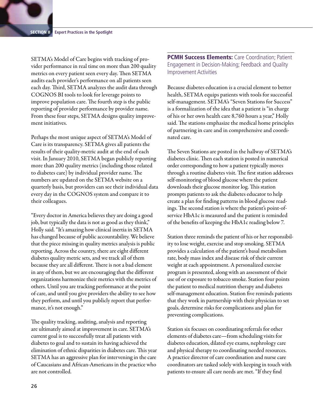SETMA's Model of Care begins with tracking of provider performance in real time on more than 200 quality metrics on every patient seen every day. Then SETMA audits each provider's performance on all patients seen each day. Third, SETMA analyzes the audit data through COGNOS BI tools to look for leverage points to improve population care. The fourth step is the public reporting of provider performance by provider name. From these four steps, SETMA designs quality improvement initiatives.

Perhaps the most unique aspect of SETMA's Model of Care is its transparency. SETMA gives all patients the results of their quality-metric audit at the end of each visit. In January 2010, SETMA began publicly reporting more than 200 quality metrics (including those related to diabetes care) by individual provider name. The numbers are updated on the SETMA website on a quarterly basis, but providers can see their individual data every day in the COGNOS system and compare it to their colleagues.

"Every doctor in America believes they are doing a good job, but typically the data is not as good as they think," Holly said. "It's amazing how clinical inertia in SETMA has changed because of public accountability. We believe that the piece missing in quality metrics analysis is public reporting. Across the country, there are eight different diabetes quality metric sets, and we track all of them because they are all different. There is not a bad element in any of them, but we are encouraging that the different organizations harmonize their metrics with the metrics of others. Until you are tracking performance at the point of care, and until you give providers the ability to see how they perform, and until you publicly report that performance, it's not enough."

The quality tracking, auditing, analysis and reporting are ultimately aimed at improvement in care. SETMA's current goal is to successfully treat all patients with diabetes to goal and to sustain its having achieved the elimination of ethnic disparities in diabetes care. This year SETMA has an aggressive plan for intervening in the care of Caucasians and African-Americans in the practice who are not controlled.

**PCMH Success Elements: Care Coordination; Patient** Engagement in Decision-Making; Feedback and Quality Improvement Activities

Because diabetes education is a crucial element to better health, SETMA equips patients with tools for successful self-management. SETMA's "Seven Stations for Success" is a formalization of the idea that a patient is "in charge of his or her own health care 8,760 hours a year," Holly said. The stations emphasize the medical home principles of partnering in care and in comprehensive and coordinated care.

The Seven Stations are posted in the hallway of SETMA's diabetes clinic. Then each station is posted in numerical order corresponding to how a patient typically moves through a routine diabetes visit. The first station addresses self-monitoring of blood glucose where the patient downloads their glucose monitor log. This station prompts patients to ask the diabetes educator to help create a plan for finding patterns in blood glucose readings. The second station is where the patient's point-ofservice HbA1c is measured and the patient is reminded of the benefits of keeping the HbA1c reading below 7.

Station three reminds the patient of his or her responsibility to lose weight, exercise and stop smoking. SETMA provides a calculation of the patient's basal metabolism rate, body mass index and disease risk of their current weight at each appointment. A personalized exercise program is presented, along with an assessment of their use of or exposure to tobacco smoke. Station four points the patient to medical nutrition therapy and diabetes self-management education. Station five reminds patients that they work in partnership with their physician to set goals, determine risks for complications and plan for preventing complications.

Station six focuses on coordinating referrals for other elements of diabetes care—from scheduling visits for diabetes education, dilated eye exams, nephrology care and physical therapy to coordinating needed resources. A practice director of care coordination and nurse care coordinators are tasked solely with keeping in touch with patients to ensure all care needs are met. "If they find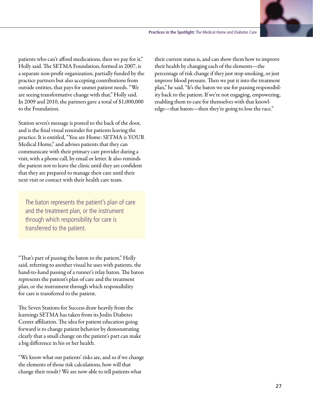patients who can't afford medications, then we pay for it," Holly said. The SETMA Foundation, formed in 2007, is a separate non-profit organization, partially funded by the practice partners but also accepting contributions from outside entities, that pays for unmet patient needs. "We are seeing transformative change with that," Holly said. In 2009 and 2010, the partners gave a total of \$1,000,000 to the Foundation.

Station seven's message is posted to the back of the door, and is the final visual reminder for patients leaving the practice. It is entitled, "You are Home: SETMA is YOUR Medical Home," and advises patients that they can communicate with their primary care provider during a visit, with a phone call, by email or letter. It also reminds the patient not to leave the clinic until they are confident that they are prepared to manage their care until their next visit or contact with their health care team.

The baton represents the patient's plan of care and the treatment plan, or the instrument through which responsibility for care is transferred to the patient.

"That's part of passing the baton to the patient," Holly said, referring to another visual he uses with patients, the hand-to-hand passing of a runner's relay baton. The baton represents the patient's plan of care and the treatment plan, or the instrument through which responsibility for care is transferred to the patient.

The Seven Stations for Success draw heavily from the learnings SETMA has taken from its Joslin Diabetes Center affiliation. The idea for patient education going forward is to change patient behavior by demonstrating clearly that a small change on the patient's part can make a big difference in his or her health.

"We know what our patients' risks are, and so if we change the elements of those risk calculations, how will that change their result? We are now able to tell patients what

their current status is, and can show them how to improve their health by changing each of the elements—the percentage of risk change if they just stop smoking, or just improve blood pressure. Then we put it into the treatment plan," he said. "It's the baton we use for passing responsibility back to the patient. If we're not engaging, empowering, enabling them to care for themselves with that knowledge—that baton—then they're going to lose the race."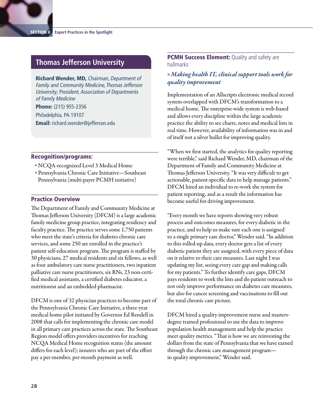# **Thomas Jefferson University**

Richard Wender, MD, Chairman, Department of Family and Community Medicine, Thomas Jefferson University; President, Association of Departments of Family Medicine Phone: (215) 955-2356 Philadelphia, PA 19107 Email: richard.wender@jefferson.edu

#### Recognition/programs:

- ȅȅ NCQA-recognized Level 3 Medical Home
- ȅȅ Pennsylvania Chronic Care Initiative—Southeast Pennsylvania (multi-payer PCMH initiative)

#### Practice Overview

The Department of Family and Community Medicine at Thomas Jefferson University (DFCM) is a large academic family medicine group practice, integrating residency and faculty practice. The practice serves some 1,750 patients who meet the state's criteria for diabetes chronic care services, and some 250 are enrolled in the practice's patient self-education program. The program is staffed by 30 physicians, 27 medical residents and six fellows, as well as four ambulatory care nurse practitioners, two inpatient palliative care nurse practitioners, six RNs, 23 non-certified medical assistants, a certified diabetes educator, a nutritionist and an embedded pharmacist.

DFCM is one of 32 physician practices to become part of the Pennsylvania Chronic Care Initiative, a three-year medical home pilot initiated by Governor Ed Rendell in 2008 that calls for implementing the chronic care model in all primary care practices across the state. The Southeast Region model offers providers incentives for reaching NCQA Medical Home recognition status (the amount differs for each level); insurers who are part of the effort pay a per-member, per-month payment as well.

#### **PCMH Success Element: Quality and safety are** hallmarks

#### »*Making health IT, clinical support tools work for quality improvement*

Implementation of an Allscripts electronic medical record system overlapped with DFCM's transformation to a medical home. The enterprise-wide system is web-based and allows every discipline within the large academic practice the ability to see charts, notes and medical lists in real time. However, availability of information was in and of itself not a silver bullet for improving quality.

"When we first started, the analytics for quality reporting were terrible," said Richard Wender, MD, chairman of the Department of Family and Community Medicine at Thomas Jefferson University. "It was very difficult to get actionable, patient-specific data to help manage patients." DFCM hired an individual to re-work the system for patient reporting, and as a result the information has become useful for driving improvement.

"Every month we have reports showing very robust process and outcomes measures, for every diabetic in the practice, and to help us make sure each one is assigned to a single primary care doctor," Wender said. "In addition to this rolled-up data, every doctor gets a list of every diabetic patient they are assigned, with every piece of data on it relative to their care measures. Last night I was updating my list, seeing every care gap and making calls for my patients." To further identify care gaps, DFCM pays residents to work the lists and do patient outreach to not only improve performance on diabetes care measures, but also for cancer screening and vaccinations to fill out the total chronic care picture.

DFCM hired a quality improvement nurse and mastersdegree trained professional to use the data to improve population health management and help the practice meet quality metrics. "That is how we are reinvesting the dollars from the state of Pennsylvania that we have earned through the chronic care management program in quality improvement," Wender said.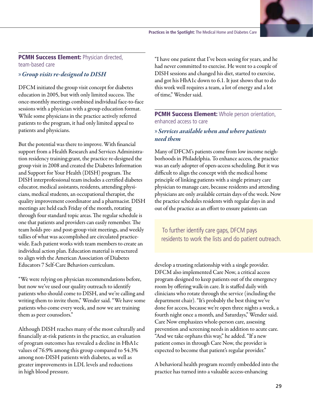

#### PCMH Success Element: Physician directed, team-based care

»*Group visits re-designed to DISH*

DFCM initiated the group visit concept for diabetes education in 2005, but with only limited success. The once-monthly meetings combined individual face-to-face sessions with a physician with a group education format. While some physicians in the practice actively referred patients to the program, it had only limited appeal to patients and physicians.

But the potential was there to improve. With financial support from a Health Research and Services Administration residency training grant, the practice re-designed the group visit in 2008 and created the Diabetes Information and Support for Your Health (DISH) program. The DISH interprofessional team includes a certified diabetes educator, medical assistants, residents, attending physicians, medical students, an occupational therapist, the quality improvement coordinator and a pharmacist. DISH meetings are held each Friday of the month, rotating through four standard topic areas. The regular schedule is one that patients and providers can easily remember. The team holds pre- and post-group visit meetings, and weekly tallies of what was accomplished are circulated practicewide. Each patient works with team members to create an individual action plan. Education material is structured to align with the American Association of Diabetes Educators 7 Self-Care Behaviors curriculum.

"We were relying on physician recommendations before, but now we've used our quality outreach to identify patients who should come to DISH, and we're calling and writing them to invite them," Wender said. "We have some patients who come every week, and now we are training them as peer counselors."

Although DISH reaches many of the most culturally and financially at-risk patients in the practice, an evaluation of program outcomes has revealed a decline in HbA1c values of 76.9% among this group compared to 54.3% among non-DISH patients with diabetes, as well as greater improvements in LDL levels and reductions in high blood pressure.

"I have one patient that I've been seeing for years, and he had never committed to exercise. He went to a couple of DISH sessions and changed his diet, started to exercise, and got his HbA1c down to 6.1. It just shows that to do this work well requires a team, a lot of energy and a lot of time," Wender said.

#### **PCMH Success Element:** Whole person orientation, enhanced access to care

## »*Services available when and where patients need them*

Many of DFCM's patients come from low income neighborhoods in Philadelphia. To enhance access, the practice was an early adopter of open-access scheduling. But it was difficult to align the concept with the medical home principle of linking patients with a single primary care physician to manage care, because residents and attending physicians are only available certain days of the week. Now the practice schedules residents with regular days in and out of the practice as an effort to ensure patients can

 To further identify care gaps, DFCM pays residents to work the lists and do patient outreach.

develop a trusting relationship with a single provider. DFCM also implemented Care Now, a critical access program designed to keep patients out of the emergency room by offering walk-in care. It is staffed daily with clinicians who rotate through the service (including the department chair). "It's probably the best thing we've done for access, because we're open three nights a week, a fourth night once a month, and Saturdays," Wender said. Care Now emphasizes whole-person care, assessing prevention and screening needs in addition to acute care. "And we take orphans this way," he added. "If a new patient comes in through Care Now, the provider is expected to become that patient's regular provider."

A behavioral health program recently embedded into the practice has turned into a valuable access-enhancing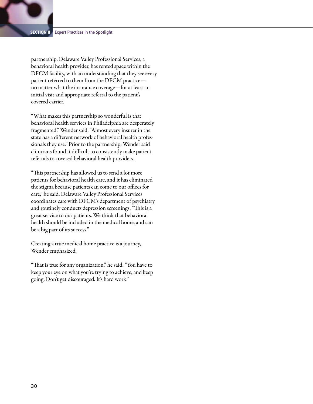partnership. Delaware Valley Professional Services, a behavioral health provider, has rented space within the DFCM facility, with an understanding that they see every patient referred to them from the DFCM practice no matter what the insurance coverage—for at least an initial visit and appropriate referral to the patient's covered carrier.

"What makes this partnership so wonderful is that behavioral health services in Philadelphia are desperately fragmented," Wender said. "Almost every insurer in the state has a different network of behavioral health professionals they use." Prior to the partnership, Wender said clinicians found it difficult to consistently make patient referrals to covered behavioral health providers.

"This partnership has allowed us to send a lot more patients for behavioral health care, and it has eliminated the stigma because patients can come to our offices for care," he said. Delaware Valley Professional Services coordinates care with DFCM's department of psychiatry and routinely conducts depression screenings. "This is a great service to our patients. We think that behavioral health should be included in the medical home, and can be a big part of its success."

Creating a true medical home practice is a journey, Wender emphasized.

"That is true for any organization," he said. "You have to keep your eye on what you're trying to achieve, and keep going. Don't get discouraged. It's hard work."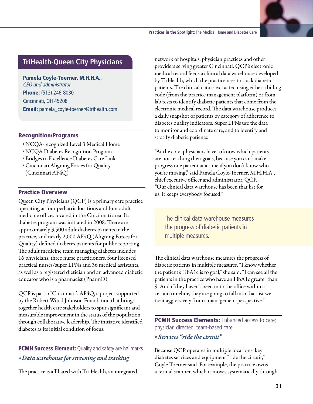

# **TriHealth-Queen City Physicians**

Pamela Coyle-Toerner, M.H.H.A., CEO and administrator Phone: (513) 246-8030 Cincinnati, OH 45208 Email: pamela\_coyle-toerner@trihealth.com

#### Recognition/Programs

- ȅȅ NCQA-recognized Level 3 Medical Home
- ȅȅ NCQA Diabetes Recognition Program
- ȅȅ Bridges to Excellence Diabetes Care Link
- ȅȅ Cincinnati Aligning Forces for Quality (Cincinnati AF4Q)

#### Practice Overview

Queen City Physicians (QCP) is a primary care practice operating at four pediatric locations and four adult medicine offices located in the Cincinnati area. Its diabetes program was initiated in 2008. There are approximately 3,500 adult diabetes patients in the practice, and nearly 2,000 AF4Q (Aligning Forces for Quality) defined diabetes patients for public reporting. The adult medicine team managing diabetes includes 16 physicians, three nurse practitioners, four licensed practical nurses/super LPNs and 36 medical assistants, as well as a registered dietician and an advanced diabetic educator who is a pharmacist (PharmD).

QCP is part of Cincinnati's AF4Q, a project supported by the Robert Wood Johnson Foundation that brings together health care stakeholders to spur significant and measurable improvement in the status of the population through collaborative leadership. The initiative identified diabetes as its initial condition of focus.

**PCMH Success Element:** Quality and safety are hallmarks »*Data warehouse for screening and tracking*

The practice is affiliated with Tri-Health, an integrated

network of hospitals, physician practices and other providers serving greater Cincinnati. QCP's electronic medical record feeds a clinical data warehouse developed by TriHealth, which the practice uses to track diabetic patients. The clinical data is extracted using either a billing code (from the practice management platform) or from lab tests to identify diabetic patients that come from the electronic medical record. The data warehouse produces a daily snapshot of patients by category of adherence to diabetes quality indicators. Super LPNs use the data to monitor and coordinate care, and to identify and stratify diabetic patients.

"At the core, physicians have to know which patients are not reaching their goals, because you can't make progress one patient at a time if you don't know who you're missing," said Pamela Coyle-Toerner, M.H.H.A., chief executive officer and administrator, QCP. "Our clinical data warehouse has been that list for us. It keeps everybody focused."

The clinical data warehouse measures the progress of diabetic patients in multiple measures.

The clinical data warehouse measures the progress of diabetic patients in multiple measures. "I know whether the patient's HbA1c is to goal," she said. "I can see all the patients in the practice who have an HbA1c greater than 9. And if they haven't been in to the office within a certain timeline, they are going to fall into that list we treat aggressively from a management perspective."

PCMH Success Elements: Enhanced access to care; physician directed, team-based care

#### »*Services "ride the circuit"*

Because QCP operates in multiple locations, key diabetes services and equipment "ride the circuit," Coyle-Toerner said. For example, the practice owns a retinal scanner, which it moves systematically through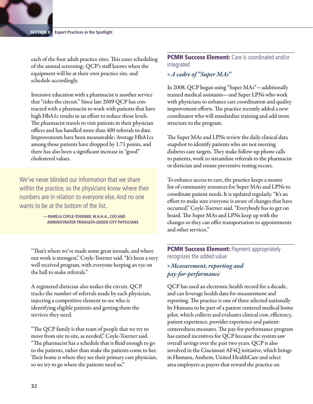each of the four adult practice sites. This eases scheduling of the annual screening; QCP's staff knows when the equipment will be at their own practice site, and schedule accordingly.

Intensive education with a pharmacist is another service that "rides the circuit." Since late 2009 QCP has contracted with a pharmacist to work with patients that have high HbA1c results in an effort to reduce those levels. The pharmacist travels to visit patients in their physician offices and has handled more than 400 referrals to date. Improvements have been measureable: Average HbA1cs among those patients have dropped by 1.71 points, and there has also been a significant increase in "good" cholesterol values.

We've never blinded our information that we share within the practice, so the physicians know where their numbers are in relation to everyone else. And no one wants to be at the bottom of the list.

> **—Pamela Coyle-Toerner, M.H.H.A., CEO and administrator TriHealth-Queen City Physicians**

"That's where we've made some great inroads, and where our work is strongest," Coyle-Toerner said. "It's been a very well received program, with everyone keeping an eye on the ball to make referrals."

A registered dietician also makes the circuit. QCP tracks the number of referrals made by each physician, injecting a competitive element to see who is identifying eligible patients and getting them the services they need.

"The QCP family is that team of people that we try to move from site to site, as needed," Coyle-Toerner said. "The pharmacist has a schedule that is fluid enough to go to the patients, rather than make the patients come to her. Their home is where they see their primary care physician, so we try to go where the patients need us."

# **PCMH Success Element:** Care is coordinated and/or integrated

»*A cadre of "Super MAs"*

In 2008, QCP began using "Super MAs"—additionally trained medical assistants—and Super LPNs who work with physicians to enhance care coordination and quality improvement efforts. The practice recently added a new coordinator who will standardize training and add more structure to the program.

The Super MAs and LPNs review the daily clinical data snapshot to identify patients who are not meeting diabetes care targets. They make follow-up phone calls to patients, work to streamline referrals to the pharmacist or dietician and ensure preventive testing occurs.

To enhance access to care, the practice keeps a master list of community resources for Super MAs and LPNs to coordinate patient needs. It is updated regularly. "It's an effort to make sure everyone is aware of changes that have occurred," Coyle-Toerner said. "Everybody has to get on board. The Super MAs and LPNs keep up with the changes so they can offer transportation to appointments and other services."

#### **PCMH Success Element: Payment appropriately** recognizes the added value

#### »*Measurement, reporting and pay-for-performance*

QCP has used an electronic health record for a decade, and can leverage health data for measurement and reporting. The practice is one of three selected nationally by Humana to be part of a patient centered medical home pilot, which collects and evaluates clinical cost, efficiency, patient experience, provider experience and patientcenteredness measures. The pay-for-performance program has earned incentives for QCP because the system saw overall savings over the past two years. QCP is also involved in the Cincinnati AF4Q initiative, which brings in Humana, Anthem, United HealthCare and select area employers as payers that reward the practice on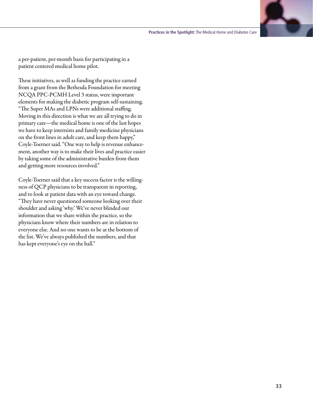

a per-patient, per-month basis for participating in a patient centered medical home pilot.

These initiatives, as well as funding the practice earned from a grant from the Bethesda Foundation for meeting NCQA PPC-PCMH Level 3 status, were important elements for making the diabetic program self-sustaining. "The Super MAs and LPNs were additional staffing. Moving in this direction is what we are all trying to do in primary care—the medical home is one of the last hopes we have to keep internists and family medicine physicians on the front lines in adult care, and keep them happy," Coyle-Toerner said. "One way to help is revenue enhancement, another way is to make their lives and practice easier by taking some of the administrative burden from them and getting more resources involved."

Coyle-Toerner said that a key success factor is the willingness of QCP physicians to be transparent in reporting, and to look at patient data with an eye toward change. "They have never questioned someone looking over their shoulder and asking 'why.' We've never blinded our information that we share within the practice, so the physicians know where their numbers are in relation to everyone else. And no one wants to be at the bottom of the list. We've always published the numbers, and that has kept everyone's eye on the ball."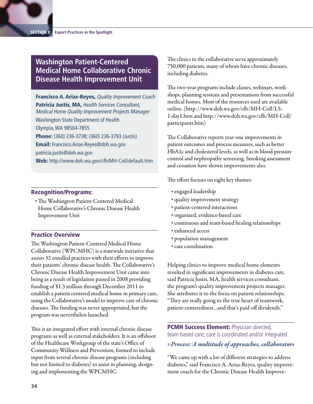## **Washington Patient-Centered Medical Home Collaborative Chronic Disease Health Improvement Unit**

Francisco A. Arias-Reyes, Quality Improvement Coach Patricia Justis, MA, Health Services Consultant, Medical Home Quality Improvement Projects Manager Washington State Department of Health Olympia, WA 98504-7855 Phone: (360) 236-3738; (360) 236-3793 (Justis) Email: Francisco.Arias-Reyes@doh.wa.gov patricia.justis@doh.wa.gov Web: http://www.doh.wa.gov/cfh/MH-Coll/default.htm

## Recognition/Programs:

ȅȅ The Washington Patient-Centered Medical Home Collaborative's Chronic Disease Health Improvement Unit

## Practice Overview

The Washington Patient-Centered Medical Home Collaborative (WPCMHC) is a statewide initiative that assists 32 enrolled practices with their efforts to improve their patients' chronic disease health. The Collaborative's Chronic Disease Health Improvement Unit came into being as a result of legislation passed in 2008 providing funding of \$1.3 million through December 2011 to establish a patient centered medical home in primary care, using the Collaborative's model to improve care of chronic diseases. The funding was never appropriated, but the program was nevertheless launched.

This is an integrated effort with internal chronic disease programs as well as external stakeholders. It is an offshoot of the Healthcare Workgroup of the state's Office of Community Wellness and Prevention, formed to include input from several chronic disease programs (including but not limited to diabetes) to assist in planning, designing and implementing the WPCMHC.

The clinics in the collaborative serve approximately 750,000 patients, many of whom have chronic diseases, including diabetes.

The two-year programs include classes, webinars, workshops, planning sessions and presentations from successful medical homes. Most of the resources used are available online. (http://www.doh.wa.gov/cfh/MH-Coll/LS-1-day1.htm and http://www.doh.wa.gov/cfh/MH-Coll/ participants.htm)

The Collaborative reports year-one improvements in patient outcomes and process measures, such as better HbA1c and cholesterol levels, as well as in blood pressure control and nephropathy screening. Smoking assessment and cessation have shown improvements also.

The effort focuses on eight key themes:

- engaged leadership
- ȅȅ quality improvement strategy
- ȅȅ patient-centered interactions
- ȅȅ organized, evidence-based care
- ȅȅ continuous and team-based healing relationships
- enhanced access
- ȅȅ population management
- care coordination

Helping clinics to improve medical home elements resulted in significant improvements in diabetes care, said Patricia Justis, MA, health services consultant, the program's quality improvement projects manager. She attributes it to the focus on patient relationships. "They are really going to the true heart of teamwork, patient-centeredness…and that's paid off dividends."

**PCMH Success Element: Physician directed,** team-based care; care is coordinated and/or integrated

»*Process: A multitude of approaches, collaborators*

"We came up with a lot of different strategies to address diabetes," said Francisco A. Arias-Reyes, quality improvement coach for the Chronic Disease Health Improve-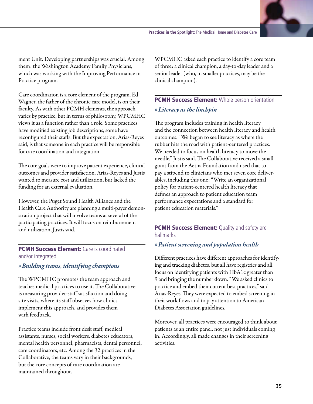

ment Unit. Developing partnerships was crucial. Among them: the Washington Academy Family Physicians, which was working with the Improving Performance in Practice program.

Care coordination is a core element of the program. Ed Wagner, the father of the chronic care model, is on their faculty. As with other PCMH elements, the approach varies by practice, but in terms of philosophy, WPCMHC views it as a function rather than a role. Some practices have modified existing job descriptions, some have reconfigured their staffs. But the expectation, Arias-Reyes said, is that someone in each practice will be responsible for care coordination and integration.

The core goals were to improve patient experience, clinical outcomes and provider satisfaction. Arias-Reyes and Justis wanted to measure cost and utilization, but lacked the funding for an external evaluation.

However, the Puget Sound Health Alliance and the Health Care Authority are planning a multi-payer demonstration project that will involve teams at several of the participating practices. It will focus on reimbursement and utilization, Justis said.

## **PCMH Success Element: Care is coordinated** and/or integrated

»*Building teams, identifying champions*

The WPCMHC promotes the team approach and teaches medical practices to use it. The Collaborative is measuring provider-staff satisfaction and doing site visits, where its staff observes how clinics implement this approach, and provides them with feedback.

Practice teams include front desk staff, medical assistants, nurses, social workers, diabetes educators, mental health personnel, pharmacists, dental personnel, care coordinators, etc. Among the 32 practices in the Collaborative, the teams vary in their backgrounds, but the core concepts of care coordination are maintained throughout.

WPCMHC asked each practice to identify a core team of three: a clinical champion, a day-to-day leader and a senior leader (who, in smaller practices, may be the clinical champion).

## **PCMH Success Element: Whole person orientation** »*Literacy as the linchpin*

The program includes training in health literacy and the connection between health literacy and health outcomes. "We began to see literacy as where the rubber hits the road with patient-centered practices. We needed to focus on health literacy to move the needle," Justis said. The Collaborative received a small grant from the Aetna Foundation and used that to pay a stipend to clinicians who met seven core deliverables, including this one: "Write an organizational policy for patient-centered health literacy that defines an approach to patient education team performance expectations and a standard for patient education materials."

## **PCMH Success Element:** Quality and safety are hallmarks

## »*Patient screening and population health*

Different practices have different approaches for identifying and tracking diabetes, but all have registries and all focus on identifying patients with HbA1c greater than 9 and bringing the number down. "We asked clinics to practice and embed their current best practices," said Arias-Reyes. They were expected to embed screening in their work flows and to pay attention to American Diabetes Association guidelines.

Moreover, all practices were encouraged to think about patients as an entire panel, not just individuals coming in. Accordingly, all made changes in their screening activities.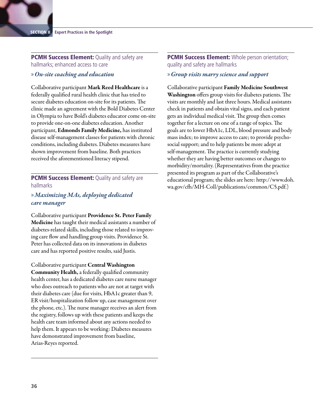SECTION II **Expert Practices in the Spotlight**

**PCMH Success Element: Quality and safety are** hallmarks; enhanced access to care

»*On-site coaching and education*

Collaborative participant Mark Reed Healthcare is a federally qualified rural health clinic that has tried to secure diabetes education on-site for its patients. The clinic made an agreement with the Bold Diabetes Center in Olympia to have Bold's diabetes educator come on-site to provide one-on-one diabetes education. Another participant, Edmonds Family Medicine, has instituted disease self-management classes for patients with chronic conditions, including diabetes. Diabetes measures have shown improvement from baseline. Both practices received the aforementioned literacy stipend.

**PCMH Success Element:** Quality and safety are hallmarks

»*Maximizing MAs, deploying dedicated care manager*

Collaborative participant Providence St. Peter Family Medicine has taught their medical assistants a number of diabetes-related skills, including those related to improving care flow and handling group visits. Providence St. Peter has collected data on its innovations in diabetes care and has reported positive results, said Justis.

Collaborative participant Central Washington Community Health, a federally qualified community health center, has a dedicated diabetes care nurse manager who does outreach to patients who are not at target with their diabetes care (due for visits, HbA1c greater than 9, ER visit/hospitalization follow up, case management over the phone, etc.). The nurse manager receives an alert from the registry, follows up with these patients and keeps the health care team informed about any actions needed to help them. It appears to be working: Diabetes measures have demonstrated improvement from baseline, Arias-Reyes reported.

**PCMH Success Element:** Whole person orientation; quality and safety are hallmarks

»*Group visits marry science and support*

Collaborative participant Family Medicine Southwest Washington offers group visits for diabetes patients. The visits are monthly and last three hours. Medical assistants check in patients and obtain vital signs, and each patient gets an individual medical visit. The group then comes together for a lecture on one of a range of topics. The goals are to lower HbA1c, LDL, blood pressure and body mass index; to improve access to care; to provide psychosocial support; and to help patients be more adept at self-management. The practice is currently studying whether they are having better outcomes or changes to morbidity/mortality. (Representatives from the practice presented its program as part of the Collaborative's educational program; the slides are here: http://www.doh. wa.gov/cfh/MH-Coll/publications/common/C5.pdf.)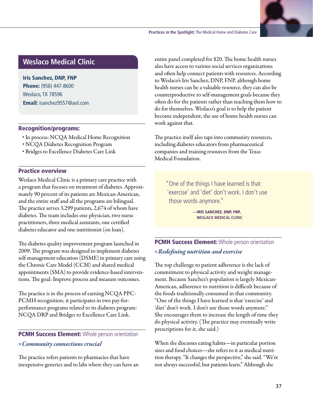

## **Weslaco Medical Clinic**

Iris Sanchez, DNP, FNP Phone: (956) 447-8600 Weslaco, TX 78596 Email: isanchez9557@aol.com

## Recognition/programs:

- ȅȅ In process: NCQA Medical Home Recognition
- ȅȅ NCQA Diabetes Recognition Program
- ȅȅ Bridges to Excellence Diabetes Care Link

## Practice overview

Weslaco Medical Clinic is a primary care practice with a program that focuses on treatment of diabetes. Approximately 90 percent of its patients are Mexican-American, and the entire staff and all the programs are bilingual. The practice serves 3,299 patients, 2,674 of whom have diabetes. The team includes one physician, two nurse practitioners, three medical assistants, one certified diabetes educator and one nutritionist (on loan).

The diabetes quality improvement program launched in 2009. The program was designed to implement diabetes self-management education (DSME) in primary care using the Chronic Care Model (CCM) and shared medical appointments (SMA) to provide evidence-based interventions. The goal: Improve process and measure outcomes.

The practice is in the process of earning NCQA PPC-PCMH recognition; it participates in two pay-forperformance programs related to its diabetes program: NCQA DRP and Bridges to Excellence Care Link.

## **PCMH Success Element:** Whole person orientation »*Community connections crucial*

The practice refers patients to pharmacies that have inexpensive generics and to labs where they can have an entire panel completed for \$20. The home health nurses also have access to various social services organizations and often help connect patients with resources. According to Weslaco's Iris Sanchez, DNP, FNP, although home health nurses can be a valuable resource, they can also be counterproductive to self-management goals because they often do for the patients rather than teaching them how to do for themselves. Weslaco's goal is to help the patient become independent; the use of home health nurses can work against that.

The practice itself also taps into community resources, including diabetes educators from pharmaceutical companies and training resources from the Texas Medical Foundation.

"One of the things I have learned is that 'exercise' and 'diet' don't work. I don't use those words anymore."

> **—**Iris Sanchez, DNP, FNP, **Weslaco Medical Clinic**

## **PCMH Success Element:** Whole person orientation »*Redefining nutrition and exercise*

The top challenge to patient adherence is the lack of commitment to physical activity and weight management. Because Sanchez's population is largely Mexican-American, adherence to nutrition is difficult because of the foods traditionally consumed in that community. "One of the things I have learned is that 'exercise' and 'diet' don't work. I don't use those words anymore." She encourages them to increase the length of time they do physical activity. (The practice may eventually write prescriptions for it, she said.)

When she discusses eating habits—in particular portion sizes and food choices—she refers to it as medical nutrition therapy. "It changes the perspective," she said. "We're not always successful, but patients learn." Although she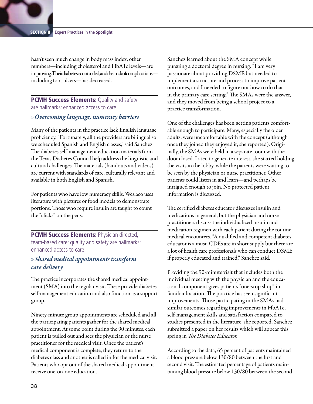hasn't seen much change in body mass index, other numbers—including cholesterol and HbA1c levels—are improving. Their diabetes is controlled, and their risk of complications including foot ulcers—has decreased.

**PCMH Success Elements: Quality and safety** are hallmarks; enhanced access to care

## »*Overcoming language, numeracy barriers*

Many of the patients in the practice lack English language proficiency. "Fortunately, all the providers are bilingual so we scheduled Spanish and English classes," said Sanchez. The diabetes self-management education materials from the Texas Diabetes Council help address the linguistic and cultural challenges. The materials (handouts and videos) are current with standards of care, culturally relevant and available in both English and Spanish.

For patients who have low numeracy skills, Weslaco uses literature with pictures or food models to demonstrate portions. Those who require insulin are taught to count the "clicks" on the pens.

PCMH Success Elements: Physician directed, team-based care; quality and safety are hallmarks; enhanced access to care

## »*Shared medical appointments transform care delivery*

The practice incorporates the shared medical appointment (SMA) into the regular visit. These provide diabetes self-management education and also function as a support group.

Ninety-minute group appointments are scheduled and all the participating patients gather for the shared medical appointment. At some point during the 90 minutes, each patient is pulled out and sees the physician or the nurse practitioner for the medical visit. Once the patient's medical component is complete, they return to the diabetes class and another is called in for the medical visit. Patients who opt out of the shared medical appointment receive one-on-one education.

Sanchez learned about the SMA concept while pursuing a doctoral degree in nursing. "I am very passionate about providing DSME but needed to implement a structure and process to improve patient outcomes, and I needed to figure out how to do that in the primary care setting." The SMAs were the answer, and they moved from being a school project to a practice transformation.

One of the challenges has been getting patients comfortable enough to participate. Many, especially the older adults, were uncomfortable with the concept (although once they joined they enjoyed it, she reported). Originally, the SMAs were held in a separate room with the door closed. Later, to generate interest, she started holding the visits in the lobby, while the patients were waiting to be seen by the physician or nurse practitioner. Other patients could listen in and learn—and perhaps be intrigued enough to join. No protected patient information is discussed.

The certified diabetes educator discusses insulin and medications in general, but the physician and nurse practitioners discuss the individualized insulin and medication regimen with each patient during the routine medical encounters. "A qualified and competent diabetes educator is a must. CDEs are in short supply but there are a lot of health care professionals who can conduct DSME if properly educated and trained," Sanchez said.

Providing the 90-minute visit that includes both the individual meeting with the physician and the educational component gives patients "one-stop shop" in a familiar location. The practice has seen significant improvements. Those participating in the SMAs had similar outcomes regarding improvements in HbA1c, self-management skills and satisfaction compared to studies presented in the literature, she reported. Sanchez submitted a paper on her results which will appear this spring in *The Diabetes Educator.*

According to the data, 65 percent of patients maintained a blood pressure below 130/80 between the first and second visit. The estimated percentage of patients maintaining blood pressure below 130/80 between the second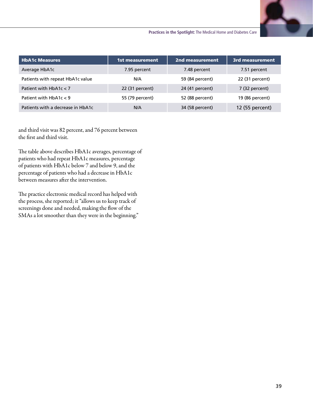

| <b>HbA1c Measures</b>             | <b>1st measurement</b> | 2nd measurement | 3rd measurement |
|-----------------------------------|------------------------|-----------------|-----------------|
| Average HbA1c                     | 7.95 percent           | 7.48 percent    | 7.51 percent    |
| Patients with repeat HbA1c value  | N/A                    | 59 (84 percent) | 22 (31 percent) |
| Patient with $HbA1c < 7$          | 22 (31 percent)        | 24 (41 percent) | 7 (32 percent)  |
| Patient with $HbA1c < 9$          | 55 (79 percent)        | 52 (88 percent) | 19 (86 percent) |
| Patients with a decrease in HbA1c | N/A                    | 34 (58 percent) | 12 (55 percent) |

and third visit was 82 percent, and 76 percent between the first and third visit.

The table above describes HbA1c averages, percentage of patients who had repeat HbA1c measures, percentage of patients with HbA1c below 7 and below 9, and the percentage of patients who had a decrease in HbA1c between measures after the intervention.

The practice electronic medical record has helped with the process, she reported; it "allows us to keep track of screenings done and needed, making the flow of the SMAs a lot smoother than they were in the beginning."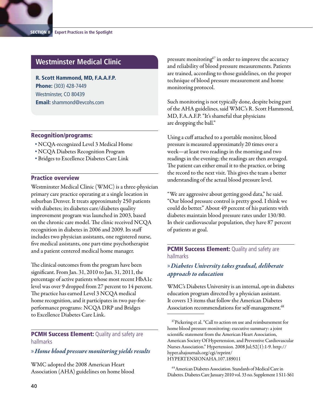## **Westminster Medical Clinic**

R. Scott Hammond, MD, F.A.A.F.P. **Phone:** (303) 428-7449 Westminster, CO 80439 Email: shammond@evcohs.com

#### Recognition/programs:

- ȅȅ NCQA-recognized Level 3 Medical Home
- ȅȅ NCQA Diabetes Recognition Program
- ȅȅ Bridges to Excellence Diabetes Care Link

## Practice overview

Westminster Medical Clinic (WMC) is a three-physician primary care practice operating at a single location in suburban Denver. It treats approximately 250 patients with diabetes; its diabetes care/diabetes quality improvement program was launched in 2003, based on the chronic care model. The clinic received NCQA recognition in diabetes in 2006 and 2009. Its staff includes two physician assistants, one registered nurse, five medical assistants, one part-time psychotherapist and a patient centered medical home manager.

The clinical outcomes from the program have been significant. From Jan. 31, 2010 to Jan. 31, 2011, the percentage of active patients whose most recent HbA1c level was over 9 dropped from 27 percent to 14 percent. The practice has earned Level 3 NCQA medical home recognition, and it participates in two pay-forperformance programs: NCQA DRP and Bridges to Excellence Diabetes Care Link.

**PCMH Success Element:** Quality and safety are hallmarks

#### »*Home blood pressure monitoring yields results*

WMC adopted the 2008 American Heart Association (AHA) guidelines on home blood pressure monitoring $67$  in order to improve the accuracy and reliability of blood pressure measurements. Patients are trained, according to those guidelines, on the proper technique of blood pressure measurement and home monitoring protocol.

Such monitoring is not typically done, despite being part of the AHA guidelines, said WMC's R. Scott Hammond, MD, F.A.A.F.P. "It's shameful that physicians are dropping the ball."

Using a cuff attached to a portable monitor, blood pressure is measured approximately 20 times over a week—at least two readings in the morning and two readings in the evening; the readings are then averaged. The patient can either email it to the practice, or bring the record to the next visit. This gives the team a better understanding of the actual blood pressure level.

"We are aggressive about getting good data," he said. "Our blood pressure control is pretty good. I think we could do better." About 49 percent of his patients with diabetes maintain blood pressure rates under 130/80. In their cardiovascular population, they have 87 percent of patients at goal.

## **PCMH Success Element: Quality and safety are** hallmarks

## »*Diabetes University takes gradual, deliberate approach to education*

WMC's Diabetes University is an internal, opt-in diabetes education program directed by a physician assistant. It covers 13 items that follow the American Diabetes Association recommendations for self-management.<sup>68</sup>

<sup>68</sup> American Diabetes Association. Standards of Medical Care in Diabetes. Diabetes Care January 2010 vol. 33 no. Supplement 1 S11-S61

<sup>67</sup>Pickering et al. "Call to action on use and reimbursement for home blood pressure monitoring: executive summary: a joint scientific statement from the American Heart Association, American Society Of Hypertension, and Preventive Cardiovascular Nurses Association." Hypertension. 2008 Jul;52(1):1-9. http:// hyper.ahajournals.org/cgi/reprint/ HYPERTENSIONAHA.107.189011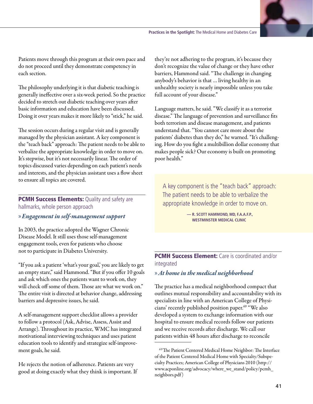

The philosophy underlying it is that diabetic teaching is generally ineffective over a six-week period. So the practice decided to stretch out diabetic teaching over years after basic information and education have been discussed. Doing it over years makes it more likely to "stick," he said.

The session occurs during a regular visit and is generally managed by the physician assistant. A key component is the "teach back" approach: The patient needs to be able to verbalize the appropriate knowledge in order to move on. It's stepwise, but it's not necessarily linear. The order of topics discussed varies depending on each patient's needs and interests, and the physician assistant uses a flow sheet to ensure all topics are covered.

## **PCMH Success Elements: Quality and safety are** hallmarks, whole person approach

## »*Engagement in self-management support*

In 2003, the practice adopted the Wagner Chronic Disease Model. It still uses those self-management engagement tools, even for patients who choose not to participate in Diabetes University.

"If you ask a patient 'what's your goal,' you are likely to get an empty stare," said Hammond. "But if you offer 10 goals and ask which ones the patients want to work on, they will check off some of them. Those are what we work on." The entire visit is directed at behavior change, addressing barriers and depressive issues, he said.

A self-management support checklist allows a provider to follow a protocol (Ask, Advise, Assess, Assist and Arrange). Throughout its practice, WMC has integrated motivational interviewing techniques and uses patient education tools to identify and strategize self-improvement goals, he said.

He rejects the notion of adherence. Patients are very good at doing exactly what they think is important. If they're not adhering to the program, it's because they don't recognize the value of change or they have other barriers, Hammond said. "The challenge in changing anybody's behavior is that … living healthy in an unhealthy society is nearly impossible unless you take full account of your disease."

Language matters, he said. "We classify it as a terrorist disease." The language of prevention and surveillance fits both terrorism and disease management, and patients understand that. "You cannot care more about the patients' diabetes than they do," he warned. "It's challenging. How do you fight a multibillion dollar economy that makes people sick? Our economy is built on promoting poor health."

A key component is the "teach back" approach: The patient needs to be able to verbalize the appropriate knowledge in order to move on.

> **— R. Scott Hammond, MD, F.A.A.F.P., Westminster Medical Clinic**

**PCMH Success Element:** Care is coordinated and/or integrated

## »*At home in the medical neighborhood*

The practice has a medical neighborhood compact that outlines mutual responsibility and accountability with its specialists in line with an American College of Physicians' recently published position paper.69 "We also developed a system to exchange information with our hospital to ensure medical records follow our patients and we receive records after discharge. We call our patients within 48 hours after discharge to reconcile

<sup>&</sup>lt;sup>69</sup>The Patient Centered Medical Home Neighbor: The Interface of the Patient Centered Medical Home with Specialty/Subspecialty Practices; American College of Physicians 2010 (http:// www.acponline.org/advocacy/where\_we\_stand/policy/pcmh\_ neighbors.pdf )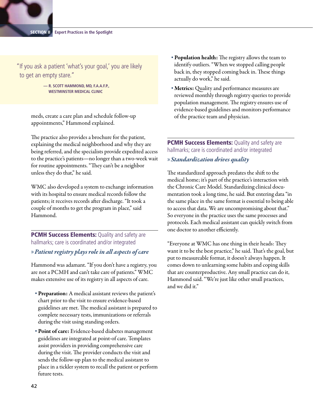

"If you ask a patient 'what's your goal,' you are likely to get an empty stare."

> **— R. Scott Hammond, MD, F.A.A.F.P., Westminster Medical Clinic**

meds, create a care plan and schedule follow-up appointments," Hammond explained.

The practice also provides a brochure for the patient, explaining the medical neighborhood and why they are being referred, and the specialists provide expedited access to the practice's patients—no longer than a two-week wait for routine appointments. "They can't be a neighbor unless they do that," he said.

WMC also developed a system to exchange information with its hospital to ensure medical records follow the patients; it receives records after discharge. "It took a couple of months to get the program in place," said Hammond.

**PCMH Success Elements: Quality and safety are** hallmarks; care is coordinated and/or integrated

## »*Patient registry plays role in all aspects of care*

Hammond was adamant. "If you don't have a registry, you are not a PCMH and can't take care of patients." WMC makes extensive use of its registry in all aspects of care.

- Preparation: A medical assistant reviews the patient's chart prior to the visit to ensure evidence-based guidelines are met. The medical assistant is prepared to complete necessary tests, immunizations or referrals during the visit using standing orders.
- Point of care: Evidence-based diabetes management guidelines are integrated at point-of care. Templates assist providers in providing comprehensive care during the visit. The provider conducts the visit and sends the follow-up plan to the medical assistant to place in a tickler system to recall the patient or perform future tests.
- **Population health:** The registry allows the team to identify outliers. "When we stopped calling people back in, they stopped coming back in. These things actually do work," he said.
- Metrics: Quality and performance measures are reviewed monthly through registry queries to provide population management. The registry ensures use of evidence-based guidelines and monitors performance of the practice team and physician.

**PCMH Success Elements: Quality and safety are** hallmarks; care is coordinated and/or integrated

## »*Standardization drives quality*

The standardized approach predates the shift to the medical home; it's part of the practice's interaction with the Chronic Care Model. Standardizing clinical documentation took a long time, he said. But entering data "in the same place in the same format is essential to being able to access that data. We are uncompromising about that." So everyone in the practice uses the same processes and protocols. Each medical assistant can quickly switch from one doctor to another efficiently.

"Everyone at WMC has one thing in their heads: They want it to be the best practice," he said. That's the goal, but put to measureable format, it doesn't always happen. It comes down to unlearning some habits and coping skills that are counterproductive. Any small practice can do it, Hammond said. "We're just like other small practices, and we did it."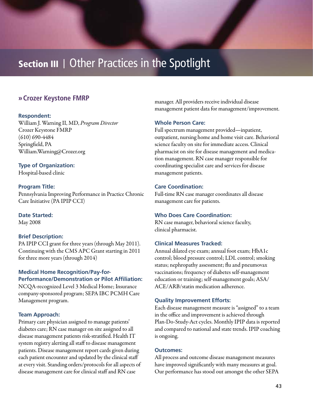# Section III **|** Other Practices in the Spotlight

## **»Crozer Keystone FMRP**

## **Respondent:**

William J. Warning II, MD, *Program Director* Crozer Keystone FMRP (610) 690-4484 Springfield, PA William.Warning@Crozer.org

## **Type of Organization:**

Hospital-based clinic

## **Program Title:**

Pennsylvania Improving Performance in Practice Chronic Care Initiative (PA IPIP CCI)

**Date Started:**  May 2008

## **Brief Description:**

PA IPIP CCI grant for three years (through May 2011). Continuing with the CMS APC Grant starting in 2011 for three more years (through 2014)

## **Medical Home Recognition/Pay-for-Performance/Demonstration or Pilot Affiliation:**

NCQA-recognized Level 3 Medical Home; Insurance company-sponsored program; SEPA IBC PCMH Care Management program.

## **Team Approach:**

Primary care physician assigned to manage patients' diabetes care; RN case manager on site assigned to all disease management patients risk-stratified. Health IT system registry alerting all staff to disease management patients. Disease management report cards given during each patient encounter and updated by the clinical staff at every visit. Standing orders/protocols for all aspects of disease management care for clinical staff and RN case

manager. All providers receive individual disease management patient data for management/improvement.

## **Whole Person Care:**

Full spectrum management provided—inpatient, outpatient, nursing home and home visit care. Behavioral science faculty on site for immediate access. Clinical pharmacist on site for disease management and medication management. RN case manager responsible for coordinating specialist care and services for disease management patients.

## **Care Coordination:**

Full-time RN case manager coordinates all disease management care for patients.

## **Who Does Care Coordination:**

RN case manager, behavioral science faculty, clinical pharmacist.

## **Clinical Measures Tracked:**

Annual dilated eye exam; annual foot exam; HbA1c control; blood pressure control; LDL control; smoking status; nephropathy assessment; flu and pneumovax vaccinations; frequency of diabetes self-management education or training; self-management goals; ASA/ ACE/ARB/statin medication adherence.

## **Quality Improvement Efforts:**

Each disease management measure is "assigned" to a team in the office and improvement is achieved through Plan-Do-Study-Act cycles. Monthly IPIP data is reported and compared to national and state trends. IPIP coaching is ongoing.

## **Outcomes:**

All process and outcome disease management measures have improved significantly with many measures at goal. Our performance has stood out amongst the other SEPA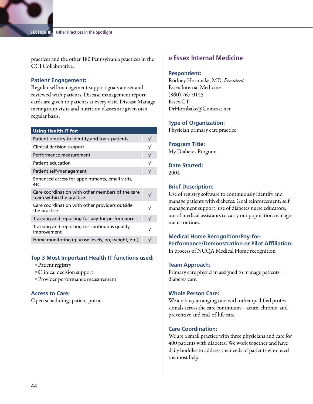practices and the other 180 Pennsylvania practices in the CCI Collaborative.

## **Patient Engagement:**

Regular self-management support goals are set and reviewed with patients. Disease management report cards are given to patients at every visit. Disease Management group visits and nutrition classes are given on a regular basis.

#### Using Health IT for:

| Patient registry to identify and track patients                              |            |
|------------------------------------------------------------------------------|------------|
| Clinical decision support                                                    | V          |
| Performance measurement                                                      | $\sqrt{ }$ |
| Patient education                                                            |            |
| Patient self-management                                                      |            |
| Enhanced access for appointments, email visits,<br>etc.                      |            |
| Care coordination with other members of the care<br>team within the practice |            |
| Care coordination with other providers outside<br>the practice               |            |
| Tracking and reporting for pay-for-performance                               |            |
| Tracking and reporting for continuous quality<br>improvement                 |            |
| Home monitoring (glucose levels, bp, weight, etc.)                           |            |

## **Top 3 Most Important Health IT functions used:**

- Patient registry
- ȅȅ Clinical decision support
- ȅȅ Provider performance measurement

#### **Access to Care:**

Open scheduling; patient portal.

## **»Essex Internal Medicine**

#### **Respondent:**

Rodney Hornbake, MD, *President* Essex Internal Medicine (860) 767-0145 Essex,CT DrHornbake@Comcast.net

#### **Type of Organization:**

Physician primary care practice

**Program Title:**  My Diabetes Program

**Date Started:**  2004

## **Brief Description:**

Use of registry software to continuously identify and manage patients with diabetes. Goal reinforcement; self management support; use of diabetes nurse educators; use of medical assistants to carry out population management routines.

**Medical Home Recognition/Pay-for-Performance/Demonstration or Pilot Affiliation:** In process of NCQA Medical Home recognition

#### **Team Approach:**

Primary care physician assigned to manage patients' diabetes care.

#### **Whole Person Care:**

We are busy arranging care with other qualified professionals across the care continuum—acute, chronic, and preventive and end-of-life care.

#### **Care Coordination:**

We are a small practice with three physicians and care for 400 patients with diabetes. We work together and have daily huddles to address the needs of patients who need the most help.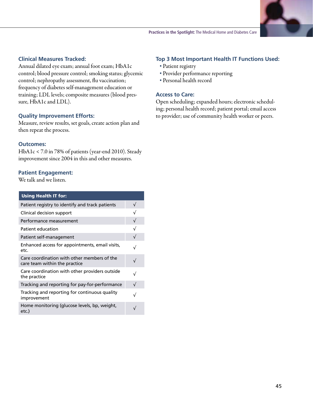

## **Clinical Measures Tracked:**

Annual dilated eye exam; annual foot exam; HbA1c control; blood pressure control; smoking status; glycemic control; nephropathy assessment, flu vaccination; frequency of diabetes self-management education or training; LDL levels; composite measures (blood pressure, HbA1c and LDL).

## **Quality Improvement Efforts:**

Measure, review results, set goals, create action plan and then repeat the process.

## **Outcomes:**

HbA1c < 7.0 in 78% of patients (year-end 2010). Steady improvement since 2004 in this and other measures.

## **Patient Engagement:**

We talk and we listen.

| <b>Using Health IT for:</b>                                                  |            |
|------------------------------------------------------------------------------|------------|
| Patient registry to identify and track patients                              | $\sqrt{ }$ |
| Clinical decision support                                                    | $\sqrt{ }$ |
| Performance measurement                                                      | $\sqrt{ }$ |
| Patient education                                                            | $\sqrt{ }$ |
| Patient self-management                                                      | $\sqrt{ }$ |
| Enhanced access for appointments, email visits,<br>etc.                      | $\sqrt{ }$ |
| Care coordination with other members of the<br>care team within the practice | $\sqrt{ }$ |
| Care coordination with other providers outside<br>the practice               | $\sqrt{}$  |
| Tracking and reporting for pay-for-performance                               | $\sqrt{ }$ |
| Tracking and reporting for continuous quality<br>improvement                 | √          |
| Home monitoring (glucose levels, bp, weight,<br>etc.)                        | $\sqrt{ }$ |

## **Top 3 Most Important Health IT Functions Used:**

- ȅȅ Patient registry
- ȅȅ Provider performance reporting
- ȅȅ Personal health record

#### **Access to Care:**

Open scheduling; expanded hours; electronic scheduling; personal health record; patient portal; email access to provider; use of community health worker or peers.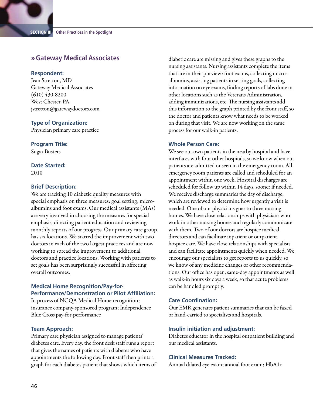## **»Gateway Medical Associates**

## **Respondent:**

Jean Stretton, MD Gateway Medical Associates (610) 430-8200 West Chester, PA jstretton@gatewaydoctors.com

#### **Type of Organization:**

Physician primary care practice

**Program Title:** 

Sugar Busters

**Date Started:**  2010

## **Brief Description:**

We are tracking 10 diabetic quality measures with special emphasis on three measures: goal setting, microalbumins and foot exams. Our medical assistants (MAs) are very involved in choosing the measures for special emphasis, directing patient education and reviewing monthly reports of our progress. Our primary care group has six locations. We started the improvement with two doctors in each of the two largest practices and are now working to spread the improvement to additional doctors and practice locations. Working with patients to set goals has been surprisingly successful in affecting overall outcomes.

## **Medical Home Recognition/Pay-for-Performance/Demonstration or Pilot Affiliation:**

In process of NCQA Medical Home recognition; insurance company-sponsored program; Independence Blue Cross pay-for-performance

## **Team Approach:**

Primary care physician assigned to manage patients' diabetes care. Every day, the front desk staff runs a report that gives the names of patients with diabetes who have appointments the following day. Front staff then prints a graph for each diabetes patient that shows which items of diabetic care are missing and gives these graphs to the nursing assistants. Nursing assistants complete the items that are in their purview: foot exams, collecting microalbumins, assisting patients in setting goals, collecting information on eye exams, finding reports of labs done in other locations such as the Veterans Administration, adding immunizations, etc. The nursing assistants add this information to the graph printed by the front staff, so the doctor and patients know what needs to be worked on during that visit. We are now working on the same process for our walk-in patients.

#### **Whole Person Care:**

We see our own patients in the nearby hospital and have interfaces with four other hospitals, so we know when our patients are admitted or seen in the emergency room. All emergency room patients are called and scheduled for an appointment within one week. Hospital discharges are scheduled for follow up within 14 days, sooner if needed. We receive discharge summaries the day of discharge, which are reviewed to determine how urgently a visit is needed. One of our physicians goes to three nursing homes. We have close relationships with physicians who work in other nursing homes and regularly communicate with them. Two of our doctors are hospice medical directors and can facilitate inpatient or outpatient hospice care. We have close relationships with specialists and can facilitate appointments quickly when needed. We encourage our specialists to get reports to us quickly, so we know of any medicine changes or other recommendations. Our office has open, same-day appointments as well as walk-in hours six days a week, so that acute problems can be handled promptly.

## **Care Coordination:**

Our EMR generates patient summaries that can be faxed or hand-carried to specialists and hospitals.

## **Insulin initiation and adjustment:**

Diabetes educator in the hospital outpatient building and our medical assistants.

#### **Clinical Measures Tracked:**

Annual dilated eye exam; annual foot exam; HbA1c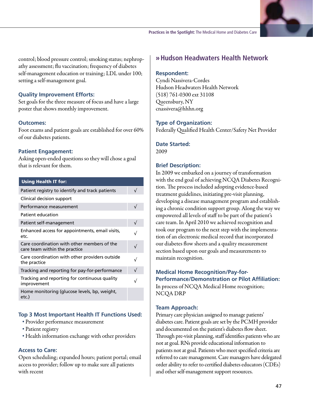

control; blood pressure control; smoking status; nephropathy assessment; flu vaccination; frequency of diabetes self-management education or training; LDL under 100; setting a self-management goal.

## **Quality Improvement Efforts:**

Set goals for the three measure of focus and have a large poster that shows monthly improvement.

## **Outcomes:**

Foot exams and patient goals are established for over 60% of our diabetes patients.

## **Patient Engagement:**

Asking open-ended questions so they will chose a goal that is relevant for them.

| <b>Using Health IT for:</b>                                                  |            |
|------------------------------------------------------------------------------|------------|
| Patient registry to identify and track patients                              | $\sqrt{ }$ |
| Clinical decision support                                                    |            |
| Performance measurement                                                      | $\sqrt{ }$ |
| Patient education                                                            |            |
| Patient self-management                                                      | $\sqrt{}$  |
| Enhanced access for appointments, email visits,<br>etc.                      | $\sqrt{}$  |
| Care coordination with other members of the<br>care team within the practice | $\sqrt{}$  |
| Care coordination with other providers outside<br>the practice               | $\sqrt{}$  |
| Tracking and reporting for pay-for-performance                               | $\sqrt{ }$ |
| Tracking and reporting for continuous quality<br>improvement                 | $\sqrt{}$  |
| Home monitoring (glucose levels, bp, weight,<br>etc.)                        |            |

## **Top 3 Most Important Health IT Functions Used:**

- ȅȅ Provider performance measurement
- Patient registry
- ȅȅ Health information exchange with other providers

## **Access to Care:**

Open scheduling; expanded hours; patient portal; email access to provider; follow up to make sure all patients with recent

## **»Hudson Headwaters Health Network**

## **Respondent:**

Cyndi Nassivera-Cordes Hudson Headwaters Health Network (518) 761-0300 ext 31108 Queensbury, NY cnassivera@hhhn.org

## **Type of Organization:**

Federally Qualified Health Center/Safety Net Provider

# **Date Started:**

2009

## **Brief Description:**

In 2009 we embarked on a journey of transformation with the end goal of achieving NCQA Diabetes Recognition. The process included adopting evidence-based treatment guidelines, initiating pre-visit planning, developing a disease management program and establishing a chronic condition support group. Along the way we empowered all levels of staff to be part of the patient's care team. In April 2010 we achieved recognition and took our program to the next step with the implementation of an electronic medical record that incorporated our diabetes flow sheets and a quality measurement section based upon our goals and measurements to maintain recognition.

**Medical Home Recognition/Pay-for-Performance/Demonstration or Pilot Affiliation:** In process of NCQA Medical Home recognition; NCQA DRP

## **Team Approach:**

Primary care physician assigned to manage patients' diabetes care. Patient goals are set by the PCMH provider and documented on the patient's diabetes flow sheet. Through pre-visit planning, staff identifies patients who are not at goal. RNs provide educational information to patients not at goal. Patients who meet specified criteria are referred to care management. Care managers have delegated order ability to refer to certified diabetes educators (CDEs) and other self-management support resources.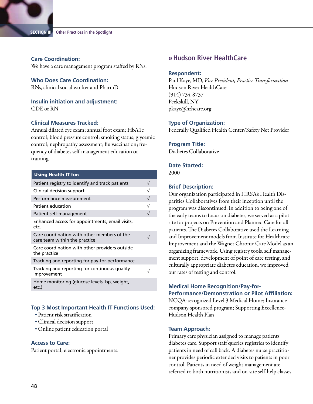## **Care Coordination:**

We have a care management program staffed by RNs.

**Who Does Care Coordination:**  RNs, clinical social worker and PharmD

## **Insulin initiation and adjustment:**  CDE or RN

## **Clinical Measures Tracked:**

Annual dilated eye exam; annual foot exam; HbA1c control; blood pressure control; smoking status; glycemic control; nephropathy assessment; flu vaccination; frequency of diabetes self-management education or training.

| <b>Using Health IT for:</b>                                                  |            |
|------------------------------------------------------------------------------|------------|
| Patient registry to identify and track patients                              | $\sqrt{ }$ |
| Clinical decision support                                                    | $\sqrt{}$  |
| Performance measurement                                                      | $\sqrt{ }$ |
| Patient education                                                            |            |
| Patient self-management                                                      |            |
| Enhanced access for appointments, email visits,<br>etc.                      |            |
| Care coordination with other members of the<br>care team within the practice |            |
| Care coordination with other providers outside<br>the practice               |            |
| Tracking and reporting for pay-for-performance                               |            |
| Tracking and reporting for continuous quality<br>improvement                 |            |
| Home monitoring (glucose levels, bp, weight,<br>etc.)                        |            |

## **Top 3 Most Important Health IT Functions Used:**

- ȅȅ Patient risk stratification
- ȅȅ Clinical decision support
- ȅȅ Online patient education portal

#### **Access to Care:**

Patient portal; electronic appointments.

## **»Hudson River HealthCare**

## **Respondent:**

Paul Kaye, MD, *Vice President, Practice Transformation* Hudson River HealthCare (914) 734-8737 Peekskill, NY pkaye@hrhcare.org

#### **Type of Organization:**

Federally Qualified Health Center/Safety Net Provider

**Program Title:**  Diabetes Collaborative

**Date Started:**  2000

#### **Brief Description:**

Our organization participated in HRSA's Health Disparities Collaboratives from their inception until the program was discontinued. In addition to being one of the early teams to focus on diabetes, we served as a pilot site for projects on Prevention and Planned Care for all patients. The Diabetes Collaborative used the Learning and Improvement models from Institute for Healthcare Improvement and the Wagner Chronic Care Model as an organizing framework. Using registry tools, self management support, development of point of care testing, and culturally appropriate diabetes education, we improved our rates of testing and control.

## **Medical Home Recognition/Pay-for-Performance/Demonstration or Pilot Affiliation:** NCQA-recognized Level 3 Medical Home; Insurance

company-sponsored program; Supporting Excellence-Hudson Health Plan

#### **Team Approach:**

Primary care physician assigned to manage patients' diabetes care. Support staff queries registries to identify patients in need of call back. A diabetes nurse practitioner provides periodic extended visits to patients in poor control. Patients in need of weight management are referred to both nutritionists and on-site self-help classes.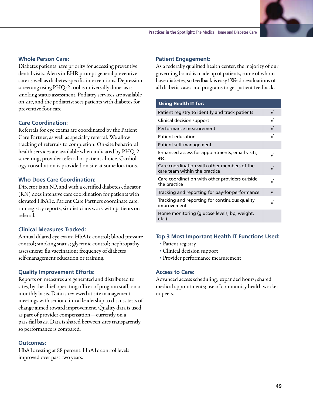

Diabetes patients have priority for accessing preventive dental visits. Alerts in EHR prompt general preventive care as well as diabetes-specific interventions. Depression screening using PHQ-2 tool is universally done, as is smoking status assessment. Podiatry services are available on site, and the podiatrist sees patients with diabetes for preventive foot care.

## **Care Coordination:**

Referrals for eye exams are coordinated by the Patient Care Partner, as well as specialty referral. We allow tracking of referrals to completion. On-site behavioral health services are available when indicated by PHQ-2 screening, provider referral or patient choice. Cardiology consultation is provided on site at some locations.

## **Who Does Care Coordination:**

Director is an NP, and with a certified diabetes educator (RN) does intensive care coordination for patients with elevated HbA1c. Patient Care Partners coordinate care, run registry reports, six dieticians work with patients on referral.

## **Clinical Measures Tracked:**

Annual dilated eye exam; HbA1c control; blood pressure control; smoking status; glycemic control; nephropathy assessment; flu vaccination; frequency of diabetes self-management education or training.

## **Quality Improvement Efforts:**

Reports on measures are generated and distributed to sites, by the chief operating officer of program staff, on a monthly basis. Data is reviewed at site management meetings with senior clinical leadership to discuss tests of change aimed toward improvement. Quality data is used as part of provider compensation—currently on a pass-fail basis. Data is shared between sites transparently so performance is compared.

#### **Outcomes:**

HbA1c testing at 88 percent. HbA1c control levels improved over past two years.

#### **Patient Engagement:**

As a federally qualified health center, the majority of our governing board is made up of patients, some of whom have diabetes, so feedback is easy! We do evaluations of all diabetic cases and programs to get patient feedback.

#### Using Health IT for:

| Patient registry to identify and track patients                              | $\sqrt{ }$ |
|------------------------------------------------------------------------------|------------|
| Clinical decision support                                                    | $\sqrt{}$  |
| Performance measurement                                                      | $\sqrt{}$  |
| Patient education                                                            | √          |
| Patient self-management                                                      |            |
| Enhanced access for appointments, email visits,<br>etc.                      |            |
| Care coordination with other members of the<br>care team within the practice | $\sqrt{}$  |
| Care coordination with other providers outside<br>the practice               | $\sqrt{}$  |
| Tracking and reporting for pay-for-performance                               | $\sqrt{ }$ |
| Tracking and reporting for continuous quality<br>improvement                 | $\sqrt{}$  |
| Home monitoring (glucose levels, bp, weight,<br>etc.)                        |            |

#### **Top 3 Most Important Health IT Functions Used:**

- Patient registry
- ȅȅ Clinical decision support
- ȅȅ Provider performance measurement

#### **Access to Care:**

Advanced access scheduling; expanded hours; shared medical appointments; use of community health worker or peers.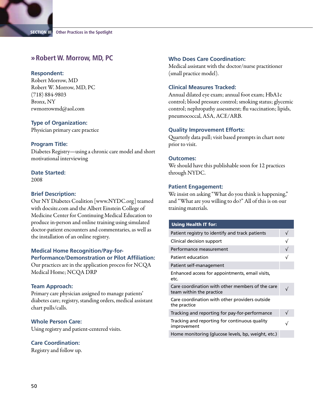## **»Robert W. Morrow, MD, PC**

#### **Respondent:**

Robert Morrow, MD Robert W. Morrow, MD, PC (718) 884-9803 Bronx, NY rwmorrowmd@aol.com

## **Type of Organization:**

Physician primary care practice

#### **Program Title:**

Diabetes Registry—using a chronic care model and short motivational interviewing

#### **Date Started:**

2008

#### **Brief Description:**

Our NY Diabetes Coalition [www.NYDC.org] teamed with docsite.com and the Albert Einstein College of Medicine Center for Continuing Medical Education to produce in-person and online training using simulated doctor-patient encounters and commentaries, as well as the installation of an online registry.

## **Medical Home Recognition/Pay-for-Performance/Demonstration or Pilot Affiliation:**

Our practices are in the application process for NCQA Medical Home; NCQA DRP

## **Team Approach:**

Primary care physician assigned to manage patients' diabetes care; registry, standing orders, medical assistant chart pulls/calls.

#### **Whole Person Care:**

Using registry and patient-centered visits.

#### **Care Coordination:**

Registry and follow up.

#### **Who Does Care Coordination:**

Medical assistant with the doctor/nurse practitioner (small practice model).

### **Clinical Measures Tracked:**

Annual dilated eye exam; annual foot exam; HbA1c control; blood pressure control; smoking status; glycemic control; nephropathy assessment; flu vaccination; lipids, pneumococcal, ASA, ACE/ARB.

#### **Quality Improvement Efforts:**

Quarterly data pull; visit based prompts in chart note prior to visit.

#### **Outcomes:**

We should have this publishable soon for 12 practices through NYDC.

#### **Patient Engagement:**

We insist on asking "What do you think is happening," and "What are you willing to do?" All of this is on our training materials.

| <b>Using Health IT for:</b>                                                  |           |
|------------------------------------------------------------------------------|-----------|
| Patient registry to identify and track patients                              | $\sqrt{}$ |
| Clinical decision support                                                    | $\sqrt{}$ |
| Performance measurement                                                      | $\sqrt{}$ |
| Patient education                                                            | V         |
| Patient self-management                                                      |           |
| Enhanced access for appointments, email visits,<br>etc.                      |           |
| Care coordination with other members of the care<br>team within the practice | $\sqrt{}$ |
| Care coordination with other providers outside<br>the practice               |           |
| Tracking and reporting for pay-for-performance                               | $\sqrt{}$ |
| Tracking and reporting for continuous quality<br>improvement                 | $\sqrt{}$ |
| Home monitoring (glucose levels, bp, weight, etc.)                           |           |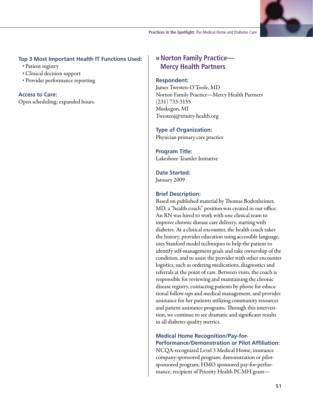

## **Top 3 Most Important Health IT Functions Used:**

- Patient registry
- ȅȅ Clinical decision support
- ȅȅ Provider performance reporting

## **Access to Care:**

Open scheduling; expanded hours.

## **»Norton Family Practice— Mercy Health Partners**

## **Respondent:**

James Twesten-O'Toole, MD Norton Family Practice—Mercy Health Partners (231) 733-3155 Muskegon, MI Twestenj@trinity-health.org

**Type of Organization:**  Physician primary care practice

**Program Title:**  Lakeshore Teamlet Initiative

**Date Started:**  January 2009

## **Brief Description:**

Based on published material by Thomas Bodenheimer, MD, a "health coach" position was created in our office. An RN was hired to work with one clinical team to improve chronic disease care delivery, starting with diabetes. At a clinical encounter, the health coach takes the history, provides education using accessible language, uses Stanford model techniques to help the patient to identify self-management goals and take ownership of the condition, and to assist the provider with other encounter logistics, such as ordering medications, diagnostics and referrals at the point of care. Between visits, the coach is responsible for reviewing and maintaining the chronic disease registry, contacting patients by phone for educational follow-ups and medical management, and provides assistance for her patients utilizing community resources and patient assistance programs. Through this intervention, we continue to see dramatic and significant results in all diabetes quality metrics.

## **Medical Home Recognition/Pay-for-Performance/Demonstration or Pilot Affiliation:**

NCQA-recognized Level 3 Medical Home; insurance company-sponsored program; demonstration or pilotsponsored program; HMO sponsored pay-for-performance; recipient of Priority Health PCMH grant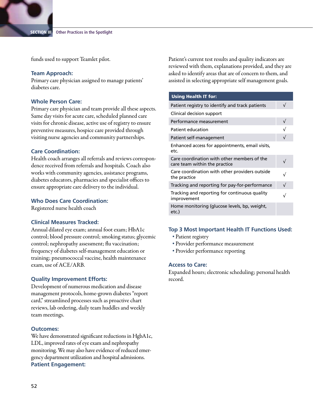funds used to support Teamlet pilot.

## **Team Approach:**

Primary care physician assigned to manage patients' diabetes care.

#### **Whole Person Care:**

Primary care physician and team provide all these aspects. Same day visits for acute care, scheduled planned care visits for chronic disease, active use of registry to ensure preventive measures, hospice care provided through visiting nurse agencies and community partnerships.

#### **Care Coordination:**

Health coach arranges all referrals and reviews correspondence received from referrals and hospitals. Coach also works with community agencies, assistance programs, diabetes educators, pharmacies and specialist offices to ensure appropriate care delivery to the individual.

#### **Who Does Care Coordination:**

Registered nurse health coach

#### **Clinical Measures Tracked:**

Annual dilated eye exam; annual foot exam; HbA1c control; blood pressure control; smoking status; glycemic control; nephropathy assessment; flu vaccination; frequency of diabetes self-management education or training; pneumococcal vaccine, health maintenance exam, use of ACE/ARB.

#### **Quality Improvement Efforts:**

Development of numerous medication and disease management protocols, home-grown diabetes "report card," streamlined processes such as proactive chart reviews, lab ordering, daily team huddles and weekly team meetings.

### **Outcomes:**

We have demonstrated significant reductions in HgbA1c, LDL, improved rates of eye exam and nephropathy monitoring. We may also have evidence of reduced emergency department utilization and hospital admissions. **Patient Engagement:** 

Patient's current test results and quality indicators are reviewed with them, explanations provided, and they are asked to identify areas that are of concern to them, and assisted in selecting appropriate self management goals.

### Using Health IT for:

| Patient registry to identify and track patients                              |           |
|------------------------------------------------------------------------------|-----------|
| Clinical decision support                                                    |           |
| Performance measurement                                                      | $\sqrt{}$ |
| Patient education                                                            |           |
| Patient self-management                                                      |           |
| Enhanced access for appointments, email visits,<br>etc.                      |           |
| Care coordination with other members of the<br>care team within the practice |           |
| Care coordination with other providers outside<br>the practice               |           |
| Tracking and reporting for pay-for-performance                               |           |
| Tracking and reporting for continuous quality<br>improvement                 |           |
| Home monitoring (glucose levels, bp, weight,<br>etc.)                        |           |
|                                                                              |           |

#### **Top 3 Most Important Health IT Functions Used:**

- Patient registry
- ȅȅ Provider performance measurement
- ȅȅ Provider performance reporting

#### **Access to Care:**

Expanded hours; electronic scheduling; personal health record.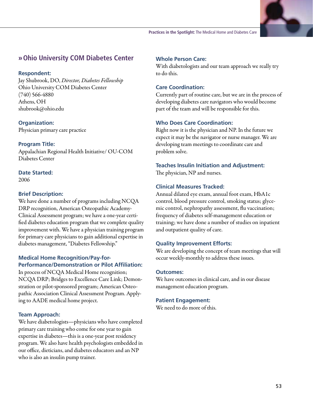

## **»Ohio University COM Diabetes Center**

#### **Respondent:**

Jay Shubrook, DO, *Director, Diabetes Fellowship* Ohio University COM Diabetes Center (740) 566-4880 Athens, OH shubrook@ohio.edu

#### **Organization:**

Physician primary care practice

#### **Program Title:**

Appalachian Regional Health Initiative/ OU-COM Diabetes Center

## **Date Started:**

2006

#### **Brief Description:**

We have done a number of programs including NCQA DRP recognition, American Osteopathic Academy-Clinical Assessment program; we have a one-year certified diabetes education program that we complete quality improvement with. We have a physician training program for primary care physicians to gain additional expertise in diabetes management, "Diabetes Fellowship."

## **Medical Home Recognition/Pay-for-Performance/Demonstration or Pilot Affiliation:**

In process of NCQA Medical Home recognition; NCQA DRP; Bridges to Excellence Care Link; Demonstration or pilot-sponsored program; American Osteopathic Association Clinical Assessment Program. Applying to AADE medical home project.

## **Team Approach:**

We have diabetologists—physicians who have completed primary care training who come for one year to gain expertise in diabetes—this is a one-year post residency program. We also have health psychologists embedded in our office, dieticians, and diabetes educators and an NP who is also an insulin pump trainer.

#### **Whole Person Care:**

With diabetologists and our team approach we really try to do this.

#### **Care Coordination:**

Currently part of routine care, but we are in the process of developing diabetes care navigators who would become part of the team and will be responsible for this.

#### **Who Does Care Coordination:**

Right now it is the physician and NP. In the future we expect it may be the navigator or nurse manager. We are developing team meetings to coordinate care and problem solve.

## **Teaches Insulin Initiation and Adjustment:**

The physician, NP and nurses.

## **Clinical Measures Tracked:**

Annual dilated eye exam, annual foot exam, HbA1c control, blood pressure control, smoking status; glycemic control, nephropathy assessment, flu vaccination; frequency of diabetes self-management education or training; we have done a number of studies on inpatient and outpatient quality of care.

## **Quality Improvement Efforts:**

We are developing the concept of team meetings that will occur weekly-monthly to address these issues.

#### **Outcomes:**

We have outcomes in clinical care, and in our disease management education program.

#### **Patient Engagement:**

We need to do more of this.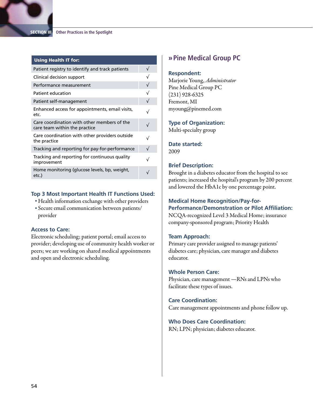#### Using Health IT for:

| Patient registry to identify and track patients                              |            |
|------------------------------------------------------------------------------|------------|
| Clinical decision support                                                    |            |
| Performance measurement                                                      | $\sqrt{}$  |
| Patient education                                                            | $\sqrt{}$  |
| Patient self-management                                                      | $\sqrt{ }$ |
| Enhanced access for appointments, email visits,<br>etc.                      | $\sqrt{}$  |
| Care coordination with other members of the<br>care team within the practice | $\sqrt{}$  |
| Care coordination with other providers outside<br>the practice               |            |
| Tracking and reporting for pay-for-performance                               | $\sqrt{ }$ |
| Tracking and reporting for continuous quality<br>improvement                 |            |
| Home monitoring (glucose levels, bp, weight,<br>etc.)                        |            |
|                                                                              |            |

## **Top 3 Most Important Health IT Functions Used:**

- ȅȅ Health information exchange with other providers
- ȅȅ Secure email communication between patients/ provider

## **Access to Care:**

Electronic scheduling; patient portal; email access to provider; developing use of community health worker or peers; we are working on shared medical appointments and open and electronic scheduling.

## **»Pine Medical Group PC**

## **Respondent:**

Marjorie Young, *Administrator* Pine Medical Group PC (231) 928-6325 Fremont, MI myoung@pinemed.com

## **Type of Organization:**

Multi-specialty group

**Date started:**  2009

## **Brief Description:**

Brought in a diabetes educator from the hospital to see patients; increased the hospital's program by 200 percent and lowered the HbA1c by one percentage point.

## **Medical Home Recognition/Pay-for-Performance/Demonstration or Pilot Affiliation:**

NCQA-recognized Level 3 Medical Home; insurance company-sponsored program; Priority Health

## **Team Approach:**

Primary care provider assigned to manage patients' diabetes care; physician, care manager and diabetes educator.

### **Whole Person Care:**

Physician, care management —RNs and LPNs who facilitate these types of issues.

## **Care Coordination:**

Care management appointments and phone follow up.

## **Who Does Care Coordination:**

RN; LPN; physician; diabetes educator.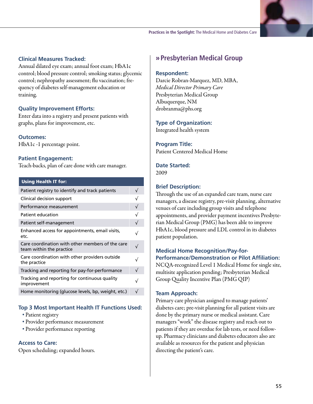

Annual dilated eye exam; annual foot exam; HbA1c control; blood pressure control; smoking status; glycemic control; nephropathy assessment; flu vaccination; frequency of diabetes self-management education or training.

## **Quality Improvement Efforts:**

Enter data into a registry and present patients with graphs, plans for improvement, etc.

## **Outcomes:**

HbA1c -1 percentage point.

#### **Patient Engagement:**

Teach-backs, plan of care done with care manager.

| <b>Using Health IT for:</b> |  |
|-----------------------------|--|
|                             |  |

| --------------------                                                         |            |
|------------------------------------------------------------------------------|------------|
| Patient registry to identify and track patients                              |            |
| Clinical decision support                                                    |            |
| Performance measurement                                                      | $\sqrt{ }$ |
| <b>Patient education</b>                                                     | $\sqrt{}$  |
| Patient self-management                                                      | $\sqrt{ }$ |
| Enhanced access for appointments, email visits,<br>etc.                      | $\sqrt{}$  |
| Care coordination with other members of the care<br>team within the practice |            |
| Care coordination with other providers outside<br>the practice               |            |
| Tracking and reporting for pay-for-performance                               | $\sqrt{ }$ |
| Tracking and reporting for continuous quality<br>improvement                 | $\sqrt{}$  |
| Home monitoring (glucose levels, bp, weight, etc.)                           | $\sqrt{ }$ |
|                                                                              |            |

## **Top 3 Most Important Health IT Functions Used:**

- Patient registry
- ȅȅ Provider performance measurement
- ȅȅ Provider performance reporting

#### **Access to Care:**

Open scheduling; expanded hours.

## **»Presbyterian Medical Group**

#### **Respondent:**

Darcie Robran-Marquez, MD, MBA, *Medical Director Primary Care* Presbyterian Medical Group Albuquerque, NM drobranma@phs.org

#### **Type of Organization:**

Integrated health system

**Program Title:**  Patient Centered Medical Home

## **Date Started:**

2009

#### **Brief Description:**

Through the use of an expanded care team, nurse care managers, a disease registry, pre-visit planning, alternative venues of care including group visits and telephone appointments, and provider payment incentives Presbyterian Medical Group (PMG) has been able to improve HbA1c, blood pressure and LDL control in its diabetes patient population.

## **Medical Home Recognition/Pay-for-Performance/Demonstration or Pilot Affiliation:**

NCQA-recognized Level 1 Medical Home for single site, multisite application pending; Presbyterian Medical Group Quality Incentive Plan (PMG QIP)

#### **Team Approach:**

Primary care physician assigned to manage patients' diabetes care; pre-visit planning for all patient visits are done by the primary nurse or medical assistant. Care managers "work" the disease registry and reach out to patients if they are overdue for lab tests, or need followup. Pharmacy clinicians and diabetes educators also are available as resources for the patient and physician directing the patient's care.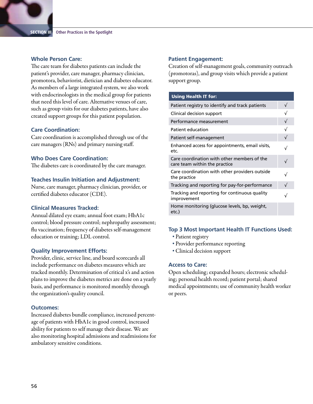### **Whole Person Care:**

The care team for diabetes patients can include the patient's provider, care manager, pharmacy clinician, promotora, behaviorist, dietician and diabetes educator. As members of a large integrated system, we also work with endocrinologists in the medical group for patients that need this level of care. Alternative venues of care, such as group visits for our diabetes patients, have also created support groups for this patient population.

#### **Care Coordination:**

Care coordination is accomplished through use of the care managers (RNs) and primary nursing staff.

#### **Who Does Care Coordination:**

The diabetes care is coordinated by the care manager.

#### **Teaches Insulin Initiation and Adjustment:**

Nurse, care manager, pharmacy clinician, provider, or certified diabetes educator (CDE).

#### **Clinical Measures Tracked:**

Annual dilated eye exam; annual foot exam; HbA1c control; blood pressure control; nephropathy assessment; flu vaccination; frequency of diabetes self-management education or training; LDL control.

#### **Quality Improvement Efforts:**

Provider, clinic, service line, and board scorecards all include performance on diabetes measures which are tracked monthly. Determination of critical x's and action plans to improve the diabetes metrics are done on a yearly basis, and performance is monitored monthly through the organization's quality council.

#### **Outcomes:**

Increased diabetes bundle compliance, increased percentage of patients with HbA1c in good control, increased ability for patients to self manage their disease. We are also monitoring hospital admissions and readmissions for ambulatory sensitive conditions.

#### **Patient Engagement:**

Creation of self-management goals, community outreach (promotoras), and group visits which provide a patient support group.

## Using Health IT for:

| Patient registry to identify and track patients                              | $\sqrt{}$  |
|------------------------------------------------------------------------------|------------|
| Clinical decision support                                                    | $\sqrt{}$  |
| Performance measurement                                                      | $\sqrt{ }$ |
| <b>Patient education</b>                                                     | $\sqrt{}$  |
| Patient self-management                                                      | $\sqrt{}$  |
| Enhanced access for appointments, email visits,<br>etc.                      | $\sqrt{}$  |
| Care coordination with other members of the<br>care team within the practice | $\sqrt{}$  |
| Care coordination with other providers outside<br>the practice               | $\sqrt{}$  |
| Tracking and reporting for pay-for-performance                               | $\sqrt{}$  |
| Tracking and reporting for continuous quality<br>improvement                 | $\sqrt{}$  |
| Home monitoring (glucose levels, bp, weight,<br>etc.)                        |            |
|                                                                              |            |

#### **Top 3 Most Important Health IT Functions Used:**

- Patient registry
- ȅȅ Provider performance reporting
- Clinical decision support

#### **Access to Care:**

Open scheduling; expanded hours; electronic scheduling; personal health record; patient portal; shared medical appointments; use of community health worker or peers.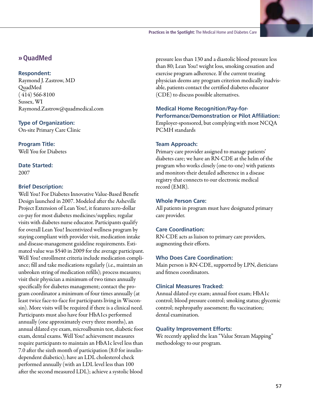

## **»QuadMed**

## **Respondent:**

Raymond J. Zastrow, MD QuadMed ( 414) 566-8100 Sussex, WI Raymond.Zastrow@quadmedical.com

## **Type of Organization:**

On-site Primary Care Clinic

**Program Title:**  Well You for Diabetes

**Date Started:**  2007

## **Brief Description:**

Well You! For Diabetes Innovative Value-Based Benefit Design launched in 2007. Modeled after the Asheville Project Extension of Lean You!, it features zero-dollar co-pay for most diabetes medicines/supplies; regular visits with diabetes nurse educator. Participants qualify for overall Lean You! Incentivized wellness program by staying compliant with provider visit, medication intake and disease-management guideline requirements. Estimated value was \$540 in 2009 for the average participant. Well You! enrollment criteria include medication compliance; fill and take medications regularly (i.e., maintain an unbroken string of medication refills); process measures; visit their physician a minimum of two times annually specifically for diabetes management; contact the program coordinator a minimum of four times annually (at least twice face-to-face for participants living in Wisconsin). More visits will be required if there is a clinical need. Participants must also have four HbA1cs performed annually (one approximately every three months), an annual dilated eye exam, microalbumin test, diabetic foot exam, dental exams. Well You! achievement measures require participants to maintain an HbA1c level less than 7.0 after the sixth month of participation (8.0 for insulindependent diabetics); have an LDL cholesterol check performed annually (with an LDL level less than 100 after the second measured LDL); achieve a systolic blood

pressure less than 130 and a diastolic blood pressure less than 80; Lean You! weight loss, smoking cessation and exercise program adherence. If the current treating physician deems any program criterion medically inadvisable, patients contact the certified diabetes educator (CDE) to discuss possible alternatives.

## **Medical Home Recognition/Pay-for-Performance/Demonstration or Pilot Affiliation:** Employer-sponsored, but complying with most NCQA PCMH standards

## **Team Approach:**

Primary care provider assigned to manage patients' diabetes care; we have an RN-CDE at the helm of the program who works closely (one-to-one) with patients and monitors their detailed adherence in a disease registry that connects to our electronic medical record (EMR).

## **Whole Person Care:**

All patients in program must have designated primary care provider.

## **Care Coordination:**

RN-CDE acts as liaison to primary care providers, augmenting their efforts.

## **Who Does Care Coordination:**

Main person is RN-CDE, supported by LPN, dieticians and fitness coordinators.

## **Clinical Measures Tracked:**

Annual dilated eye exam; annual foot exam; HbA1c control; blood pressure control; smoking status; glycemic control; nephropathy assessment; flu vaccination; dental examination.

## **Quality Improvement Efforts:**

We recently applied the lean "Value Stream Mapping" methodology to our program.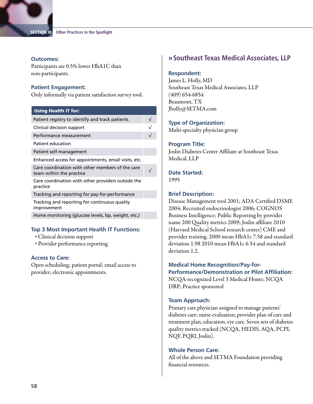### **Outcomes:**

Participants are 0.5% lower HbA1C than non-participants.

## **Patient Engagement:**

Only informally via patient satisfaction survey tool.

## Using Health IT for:

| <u>osnig nearan ni 1011</u>                                                  |           |
|------------------------------------------------------------------------------|-----------|
| Patient registry to identify and track patients                              |           |
| Clinical decision support                                                    | $\sqrt{}$ |
| Performance measurement                                                      |           |
| Patient education                                                            |           |
| Patient self-management                                                      |           |
| Enhanced access for appointments, email visits, etc.                         |           |
| Care coordination with other members of the care<br>team within the practice |           |
| Care coordination with other providers outside the<br>practice               |           |
| Tracking and reporting for pay-for-performance                               |           |
| Tracking and reporting for continuous quality<br>improvement                 |           |
| Home monitoring (glucose levels, bp, weight, etc.)                           |           |
|                                                                              |           |

## **Top 3 Most Important Health IT Functions:**

- Clinical decision support
- ȅȅ Provider performance reporting

## **Access to Care:**

Open scheduling; patient portal; email access to provider; electronic appointments.

## **»Southeast Texas Medical Associates, LLP**

## **Respondent:**

James L. Holly, MD Southeast Texas Medical Associates, LLP (409) 654-6854 Beaumont, TX Jholly@SETMA.com

## **Type of Organization:**

Multi-specialty physician group

## **Program Title:**

Joslin Diabetes Center Affiliate at Southeast Texas Medical, LLP

#### **Date Started:**  1995

## **Brief Description:**

Disease Management tool 2001; ADA Certified DSME 2004; Recruited endocrinologist 2006; COGNOS Business Intelligence; Public Reporting by provider name 200 Quality metrics 2009; Joslin affiliate 2010 (Harvard Medical School research center) CME and provider training. 2000 mean HbA1c 7.58 and standard deviation 1.98 2010 mean HbA1c 6.54 and standard deviation 1.2.

## **Medical Home Recognition/Pay-for-Performance/Demonstration or Pilot Affiliation:** NCQA-recognized Level 3 Medical Home; NCQA DRP; Practice sponsored

## **Team Approach:**

Primary care physician assigned to manage patients' diabetes care; nurse evaluation, provider plan of care and treatment plan, education, eye care. Seven sets of diabetes quality metrics tracked (NCQA, HEDIS, AQA, PCPI, NQF, PQRI, Joslin).

## **Whole Person Care:**

All of the above and SETMA Foundation providing financial resources.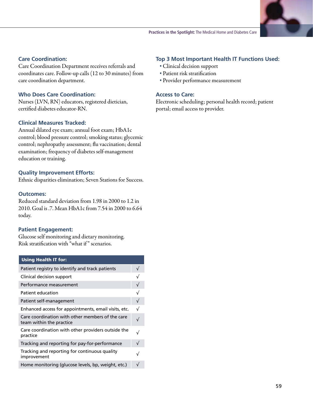

## **Care Coordination:**

Care Coordination Department receives referrals and coordinates care. Follow-up calls (12 to 30 minutes) from care coordination department.

## **Who Does Care Coordination:**

Nurses (LVN, RN) educators, registered dietician, certified diabetes educator-RN.

## **Clinical Measures Tracked:**

Annual dilated eye exam; annual foot exam; HbA1c control; blood pressure control; smoking status; glycemic control; nephropathy assessment; flu vaccination; dental examination; frequency of diabetes self-management education or training.

## **Quality Improvement Efforts:**

Ethnic disparities elimination; Seven Stations for Success.

#### **Outcomes:**

Reduced standard deviation from 1.98 in 2000 to 1.2 in 2010. Goal is .7. Mean HbA1c from 7.54 in 2000 to 6.64 today.

## **Patient Engagement:**

Glucose self monitoring and dietary monitoring. Risk stratification with "what if " scenarios.

| <b>Using Health IT for:</b>                                                  |            |
|------------------------------------------------------------------------------|------------|
| Patient registry to identify and track patients                              | V          |
| Clinical decision support                                                    | $\sqrt{}$  |
| Performance measurement                                                      | $\sqrt{ }$ |
| Patient education                                                            | V          |
| Patient self-management                                                      | $\sqrt{}$  |
| Enhanced access for appointments, email visits, etc.                         | $\sqrt{}$  |
| Care coordination with other members of the care<br>team within the practice | $\sqrt{}$  |
| Care coordination with other providers outside the<br>practice               |            |
| Tracking and reporting for pay-for-performance                               | $\sqrt{}$  |
| Tracking and reporting for continuous quality<br>improvement                 |            |
| Home monitoring (glucose levels, bp, weight, etc.)                           | $\sqrt{}$  |

## **Top 3 Most Important Health IT Functions Used:**

- ȅȅ Clinical decision support
- ȅȅ Patient risk stratification
- ȅȅ Provider performance measurement

#### **Access to Care:**

Electronic scheduling; personal health record; patient portal; email access to provider.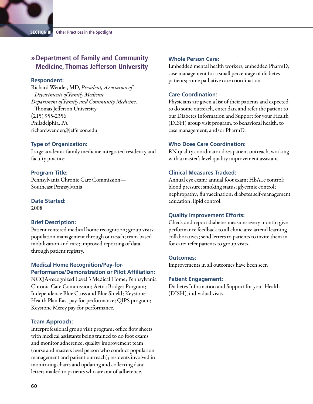## **»Department of Family and Community Medicine, Thomas Jefferson University**

## **Respondent:**

Richard Wender, MD, *President, Association of Departments of Family Medicine Department of Family and Community Medicine,*  Thomas Jefferson University (215) 955-2356 Philadelphia, PA richard.wender@jefferson.edu

## **Type of Organization:**

Large academic family medicine integrated residency and faculty practice

## **Program Title:**

Pennsylvania Chronic Care Commission— Southeast Pennsylvania

### **Date Started:**

2008

## **Brief Description:**

Patient centered medical home recognition; group visits; population management through outreach; team-based mobilization and care; improved reporting of data through patient registry.

## **Medical Home Recognition/Pay-for-Performance/Demonstration or Pilot Affiliation:**

NCQA-recognized Level 3 Medical Home; Pennsylvania Chronic Care Commission; Aetna Bridges Program; Independence Blue Cross and Blue Shield; Keystone Health Plan East pay-for-performance; QIPS program; Keystone Mercy pay-for-performance.

## **Team Approach:**

Interprofessional group visit program; office flow sheets with medical assistants being trained to do foot exams and monitor adherence; quality improvement team (nurse and masters level person who conduct population management and patient outreach); residents involved in monitoring charts and updating and collecting data; letters mailed to patients who are out of adherence.

## **Whole Person Care:**

Embedded mental health workers, embedded PharmD; case management for a small percentage of diabetes patients; some palliative care coordination.

## **Care Coordination:**

Physicians are given a list of their patients and expected to do some outreach, enter data and refer the patient to our Diabetes Information and Support for your Health (DISH) group visit program, to behavioral health, to case management, and/or PharmD.

## **Who Does Care Coordination:**

RN quality coordinator does patient outreach, working with a master's level quality improvement assistant.

## **Clinical Measures Tracked:**

Annual eye exam; annual foot exam; HbA1c control; blood pressure; smoking status; glycemic control; nephropathy; flu vaccination; diabetes self-management education; lipid control.

## **Quality Improvement Efforts:**

Check and report diabetes measures every month; give performance feedback to all clinicians; attend learning collaboratives; send letters to patients to invite them in for care; refer patients to group visits.

#### **Outcomes:**

Improvements in all outcomes have been seen

#### **Patient Engagement:**

Diabetes Information and Support for your Health (DISH), individual visits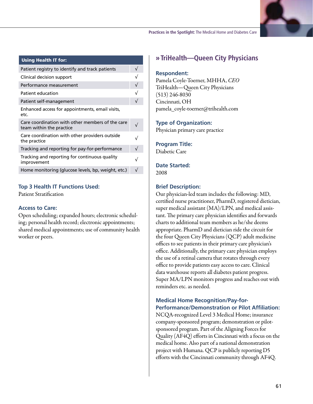

#### Using Health IT for:

| Patient registry to identify and track patients                              |           |
|------------------------------------------------------------------------------|-----------|
| Clinical decision support                                                    |           |
| Performance measurement                                                      | V         |
| Patient education                                                            |           |
| Patient self-management                                                      | V         |
| Enhanced access for appointments, email visits,<br>etc.                      |           |
| Care coordination with other members of the care<br>team within the practice |           |
| Care coordination with other providers outside<br>the practice               |           |
| Tracking and reporting for pay-for-performance                               | $\sqrt{}$ |
| Tracking and reporting for continuous quality<br>improvement                 | √         |
| Home monitoring (glucose levels, bp, weight, etc.)                           |           |
|                                                                              |           |

## **Top 3 Health IT Functions Used:**

Patient Stratification

#### **Access to Care:**

Open scheduling; expanded hours; electronic scheduling; personal health record; electronic appointments; shared medical appointments; use of community health worker or peers.

## **»TriHealth—Queen City Physicians**

### **Respondent:**

Pamela Coyle-Toerner, MHHA, *CEO* TriHealth—Queen City Physicians (513) 246-8030 Cincinnati, OH pamela\_coyle-toerner@trihealth.com

#### **Type of Organization:**

Physician primary care practice

**Program Title:**  Diabetic Care

**Date Started:** 

2008

#### **Brief Description:**

Our physician-led team includes the following: MD, certified nurse practitioner, PharmD, registered dietician, super medical assistant (MA)/LPN, and medical assistant. The primary care physician identifies and forwards charts to additional team members as he/she deems appropriate. PharmD and dietician ride the circuit for the four Queen City Physicians (QCP) adult medicine offices to see patients in their primary care physician's office. Additionally, the primary care physician employs the use of a retinal camera that rotates through every office to provide patients easy access to care. Clinical data warehouse reports all diabetes patient progress. Super MA/LPN monitors progress and reaches out with reminders etc. as needed.

## **Medical Home Recognition/Pay-for-Performance/Demonstration or Pilot Affiliation:**

NCQA-recognized Level 3 Medical Home; insurance company-sponsored program; demonstration or pilotsponsored program. Part of the Aligning Forces for Quality (AF4Q) efforts in Cincinnati with a focus on the medical home. Also part of a national demonstration project with Humana. QCP is publicly reporting D5 efforts with the Cincinnati community through AF4Q.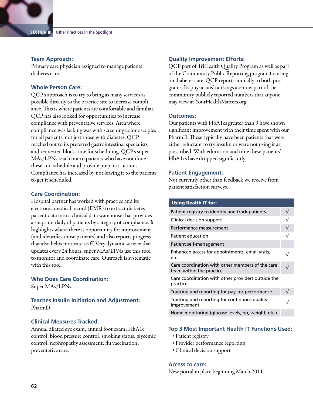### **Team Approach:**

Primary care physician assigned to manage patients' diabetes care.

## **Whole Person Care:**

QCP's approach is to try to bring as many services as possible directly to the practice site to increase compliance. This is where patients are comfortable and familiar. QCP has also looked for opportunities to increase compliance with preventative services. Area where compliance was lacking was with screening colonoscopies for all patients, not just those with diabetes. QCP reached out to its preferred gastrointestinal specialists and requested block time for scheduling. QCP's super MAs/LPNs reach out to patients who have not done these and schedule and provide prep instructions. Compliance has increased by not leaving it to the patients to get it scheduled.

#### **Care Coordination:**

Hospital partner has worked with practice and its electronic medical record (EMR) to extract diabetes patient data into a clinical data warehouse that provides a snapshot daily of patients by category of compliance. It highlights where there is opportunity for improvement (and identifies those patients) and also reports progress that also helps motivate staff. Very dynamic service that updates every 24 hours; super MAs/LPNs use this tool to monitor and coordinate care. Outreach is systematic with this tool.

## **Who Does Care Coordination:**

Super MAs/LPNs.

**Teaches Insulin Initiation and Adjustment:**  PharmD

### **Clinical Measures Tracked:**

Annual dilated eye exam; annual foot exam; HbA1c control; blood pressure control; smoking status; glycemic control; nephropathy assessment; flu vaccination; preventative care.

#### **Quality Improvement Efforts:**

QCP part of TriHealth Quality Program as well as part of the Community Public Reporting program focusing on diabetes care. QCP reports annually to both programs. Its physicians' rankings are now part of the community publicly reported numbers that anyone may view at YourHealthMatters.org.

#### **Outcomes:**

Our patients with HbA1cs greater than 9 have shown significant improvement with their time spent with our PharmD. These typically have been patients that were either reluctant to try insulin or were not using it as prescribed. With education and time these patients' HbA1cs have dropped significantly.

#### **Patient Engagement:**

Not currently other than feedback we receive from patient satisfaction surveys.

| <b>Using Health IT for:</b>                                                  |            |
|------------------------------------------------------------------------------|------------|
| Patient registry to identify and track patients                              | $\sqrt{ }$ |
| Clinical decision support                                                    |            |
| Performance measurement                                                      | $\sqrt{ }$ |
| Patient education                                                            |            |
| Patient self-management                                                      |            |
| Enhanced access for appointments, email visits,<br>etc.                      |            |
| Care coordination with other members of the care<br>team within the practice |            |
| Care coordination with other providers outside the<br>practice               |            |
| Tracking and reporting for pay-for-performance                               | $\sqrt{ }$ |
| Tracking and reporting for continuous quality<br>improvement                 | $\sqrt{}$  |
| Home monitoring (glucose levels, bp, weight, etc.)                           |            |

#### **Top 3 Most Important Health IT Functions Used:**

- Patient registry
- ȅȅ Provider performance reporting
- ȅȅ Clinical decision support

#### **Access to care:**

New portal in place beginning March 2011.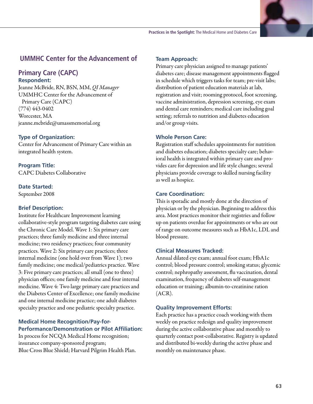## **UMMHC Center for the Advancement of**

## **Primary Care (CAPC) Respondent:**

Jeanne McBride, RN, BSN, MM, *QI Manager* UMMHC Center for the Advancement of Primary Care (CAPC) (774) 443-0402 Worcester, MA jeanne.mcbride@umassmemorial.org

## **Type of Organization:**

Center for Advancement of Primary Care within an integrated health system.

**Program Title:**  CAPC Diabetes Collaborative

## **Date Started:**

September 2008

## **Brief Description:**

Institute for Healthcare Improvement learning collaborative-style program targeting diabetes care using the Chronic Care Model. Wave 1: Six primary care practices; three family medicine and three internal medicine; two residency practices; four community practices. Wave 2: Six primary care practices; three internal medicine (one hold over from Wave 1); two family medicine; one medical/pediatrics practice. Wave 3: Five primary care practices; all small (one to three) physician offices; one family medicine and four internal medicine. Wave 4: Two large primary care practices and the Diabetes Center of Excellence; one family medicine and one internal medicine practice; one adult diabetes specialty practice and one pediatric specialty practice.

## **Medical Home Recognition/Pay-for-Performance/Demonstration or Pilot Affiliation:**

In process for NCQA Medical Home recognition; insurance company-sponsored program; Blue Cross Blue Shield; Harvard Pilgrim Health Plan.

## **Team Approach:**

Primary care physician assigned to manage patients' diabetes care; disease management appointments flagged in schedule which triggers tasks for team; pre-visit labs; distribution of patient education materials at lab, registration and visit; rooming protocol, foot screening, vaccine administration, depression screening, eye exam and dental care reminders; medical care including goal setting; referrals to nutrition and diabetes education and/or group visits.

## **Whole Person Care:**

Registration staff schedules appointments for nutrition and diabetes education; diabetes specialty care; behavioral health is integrated within primary care and provides care for depression and life style changes; several physicians provide coverage to skilled nursing facility as well as hospice.

### **Care Coordination:**

This is sporadic and mostly done at the direction of physician or by the physician. Beginning to address this area. Most practices monitor their registries and follow up on patients overdue for appointments or who are out of range on outcome measures such as HbA1c, LDL and blood pressure.

## **Clinical Measures Tracked:**

Annual dilated eye exam; annual foot exam; HbA1c control; blood pressure control; smoking status; glycemic control; nephropathy assessment, flu vaccination, dental examination, frequency of diabetes self-management education or training; albumin-to-creatinine ration (ACR).

#### **Quality Improvement Efforts:**

Each practice has a practice coach working with them weekly on practice redesign and quality improvement during the active collaborative phase and monthly to quarterly contact post-collaborative. Registry is updated and distributed bi-weekly during the active phase and monthly on maintenance phase.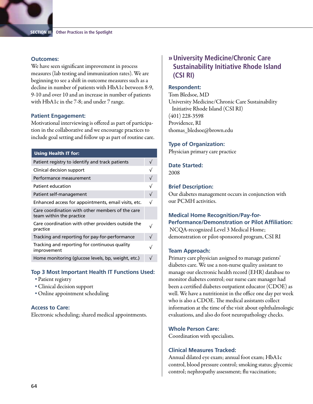## **Outcomes:**

We have seen significant improvement in process measures (lab testing and immunization rates). We are beginning to see a shift in outcome measures such as a decline in number of patients with HbA1c between 8-9, 9-10 and over 10 and an increase in number of patients with HbA1c in the 7-8; and under 7 range.

## **Patient Engagement:**

Motivational interviewing is offered as part of participation in the collaborative and we encourage practices to include goal setting and follow up as part of routine care.

#### Using Health IT for:

| Patient registry to identify and track patients                              |            |
|------------------------------------------------------------------------------|------------|
| Clinical decision support                                                    | v          |
| Performance measurement                                                      | $\sqrt{}$  |
| Patient education                                                            |            |
| Patient self-management                                                      | $\sqrt{ }$ |
| Enhanced access for appointments, email visits, etc.                         | √          |
| Care coordination with other members of the care<br>team within the practice |            |
| Care coordination with other providers outside the<br>practice               |            |
| Tracking and reporting for pay-for-performance                               |            |
| Tracking and reporting for continuous quality<br>improvement                 |            |
| Home monitoring (glucose levels, bp, weight, etc.)                           |            |
|                                                                              |            |

## **Top 3 Most Important Health IT Functions Used:**

- Patient registry
- ȅȅ Clinical decision support
- Online appointment scheduling

## **Access to Care:**

Electronic scheduling; shared medical appointments.

## **»University Medicine/Chronic Care Sustainability Initiative Rhode Island (CSI RI)**

## **Respondent:**

Tom Bledsoe, MD University Medicine/Chronic Care Sustainability Initiative Rhode Island (CSI RI) (401) 228-3598 Providence, RI thomas\_bledsoe@brown.edu

## **Type of Organization:**

Physician primary care practice

**Date Started:**  2008

## **Brief Description:**

Our diabetes management occurs in conjunction with our PCMH activities.

## **Medical Home Recognition/Pay-for-Performance/Demonstration or Pilot Affiliation:**

 NCQA-recognized Level 3 Medical Home; demonstration or pilot-sponsored program, CSI RI

## **Team Approach:**

Primary care physician assigned to manage patients' diabetes care. We use a non-nurse quality assistant to manage our electronic health record (EHR) database to monitor diabetes control; our nurse care manager had been a certified diabetes outpatient educator (CDOE) as well. We have a nutritionist in the office one day per week who is also a CDOE. The medical assistants collect information at the time of the visit about ophthalmologic evaluations, and also do foot neuropathology checks.

#### **Whole Person Care:**

Coordination with specialists.

## **Clinical Measures Tracked:**

Annual dilated eye exam; annual foot exam; HbA1c control, blood pressure control; smoking status; glycemic control; nephropathy assessment; flu vaccination;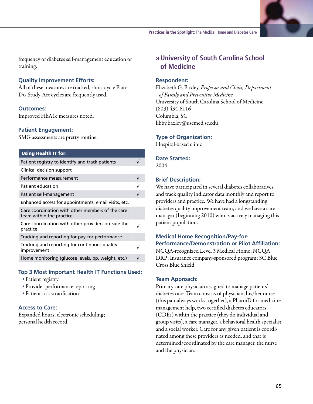

frequency of diabetes self-management education or training.

## **Quality Improvement Efforts:**

All of these measures are tracked, short cycle Plan-Do-Study-Act cycles are frequently used.

## **Outcomes:**

Improved HbA1c measures noted.

## **Patient Engagement:**

SMG assessments are pretty routine.

#### Using Health IT for:

| Patient registry to identify and track patients                              |  |
|------------------------------------------------------------------------------|--|
| Clinical decision support                                                    |  |
| Performance measurement                                                      |  |
| Patient education                                                            |  |
| Patient self-management                                                      |  |
| Enhanced access for appointments, email visits, etc.                         |  |
| Care coordination with other members of the care<br>team within the practice |  |
| Care coordination with other providers outside the<br>practice               |  |
| Tracking and reporting for pay-for-performance                               |  |
| Tracking and reporting for continuous quality<br>improvement                 |  |
| Home monitoring (glucose levels, bp, weight, etc.)                           |  |
|                                                                              |  |

## **Top 3 Most Important Health IT Functions Used:**

- Patient registry
- ȅȅ Provider performance reporting
- ȅȅ Patient risk stratification

## **Access to Care:**

Expanded hours; electronic scheduling; personal health record.

## **»University of South Carolina School of Medicine**

### **Respondent:**

Elizabeth G. Baxley, *Professor and Chair, Department of Family and Preventive Medicine* University of South Carolina School of Medicine (803) 434-6116 Columbia, SC libby.baxley@uscmed.sc.edu

## **Type of Organization:**

Hospital-based clinic

## **Date Started:**

2004

## **Brief Description:**

We have participated in several diabetes collaboratives and track quality indicator data monthly and report to providers and practice. We have had a longstanding diabetes quality improvement team, and we have a care manager (beginning 2010) who is actively managing this patient population.

## **Medical Home Recognition/Pay-for-Performance/Demonstration or Pilot Affiliation:** NCQA-recognized Level 3 Medical Home; NCQA DRP; Insurance company-sponsored program; SC Blue Cross Blue Shield

#### **Team Approach:**

Primary care physician assigned to manage patients' diabetes care. Team consists of physician, his/her nurse (this pair always works together), a PharmD for medicine management help, two certified diabetes educators (CDEs) within the practice (they do individual and group visits), a care manager, a behavioral health specialist and a social worker. Care for any given patient is coordinated among these providers as needed, and that is determined/coordinated by the care manager, the nurse and the physician.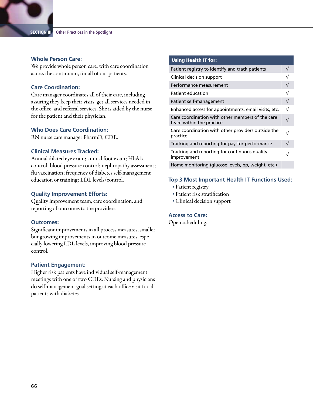## **Whole Person Care:**

We provide whole person care, with care coordination across the continuum, for all of our patients.

## **Care Coordination:**

Care manager coordinates all of their care, including assuring they keep their visits, get all services needed in the office, and referral services. She is aided by the nurse for the patient and their physician.

## **Who Does Care Coordination:**

RN nurse care manager PharmD, CDE.

## **Clinical Measures Tracked:**

Annual dilated eye exam; annual foot exam; HbA1c control; blood pressure control; nephropathy assessment; flu vaccination; frequency of diabetes self-management education or training; LDL levels/control.

## **Quality Improvement Efforts:**

Quality improvement team, care coordination, and reporting of outcomes to the providers.

## **Outcomes:**

Significant improvements in all process measures, smaller but growing improvements in outcome measures, especially lowering LDL levels, improving blood pressure control.

## **Patient Engagement:**

Higher risk patients have individual self-management meetings with one of two CDEs. Nursing and physicians do self-management goal setting at each office visit for all patients with diabetes.

#### Using Health IT for:

| Patient registry to identify and track patients                              |            |
|------------------------------------------------------------------------------|------------|
| Clinical decision support                                                    | $\sqrt{}$  |
| Performance measurement                                                      | $\sqrt{ }$ |
| Patient education                                                            | $\sqrt{}$  |
| Patient self-management                                                      | $\sqrt{ }$ |
| Enhanced access for appointments, email visits, etc.                         | $\sqrt{}$  |
| Care coordination with other members of the care<br>team within the practice | $\sqrt{}$  |
| Care coordination with other providers outside the<br>practice               | $\sqrt{}$  |
| Tracking and reporting for pay-for-performance                               | $\sqrt{ }$ |
| Tracking and reporting for continuous quality<br>improvement                 |            |
| Home monitoring (glucose levels, bp, weight, etc.)                           |            |

## **Top 3 Most Important Health IT Functions Used:**

- Patient registry
- ȅȅ Patient risk stratification
- ȅȅ Clinical decision support

#### **Access to Care:**

Open scheduling.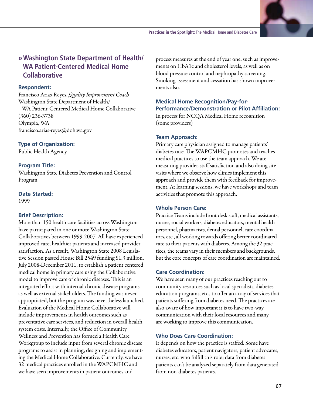

## **»Washington State Department of Health/ WA Patient-Centered Medical Home Collaborative**

## **Respondent:**

Francisco Arias-Reyes, *Quality Improvement Coach*  Washington State Department of Health/ WA Patient-Centered Medical Home Collaborative (360) 236-3738 Olympia, WA francisco.arias-reyes@doh.wa.gov

## **Type of Organization:**

Public Health Agency

## **Program Title:**

Washington State Diabetes Prevention and Control Program

## **Date Started:**

1999

## **Brief Description:**

More than 150 health care facilities across Washington have participated in one or more Washington State Collaboratives between 1999-2007. All have experienced improved care, healthier patients and increased provider satisfaction. As a result, Washington State 2008 Legislative Session passed House Bill 2549 funding \$1.3 million, July 2008-December 2011, to establish a patient centered medical home in primary care using the Collaborative model to improve care of chronic diseases. This is an integrated effort with internal chronic disease programs as well as external stakeholders. The funding was never appropriated, but the program was nevertheless launched. Evaluation of the Medical Home Collaborative will include improvements in health outcomes such as preventative care services, and reduction in overall health system costs. Internally, the Office of Community Wellness and Prevention has formed a Health Care Workgroup to include input from several chronic disease programs to assist in planning, designing and implementing the Medical Home Collaborative. Currently, we have 32 medical practices enrolled in the WAPCMHC and we have seen improvements in patient outcomes and

process measures at the end of year one, such as improvements on HbA1c and cholesterol levels, as well as on blood pressure control and nephropathy screening. Smoking assessment and cessation has shown improvements also.

## **Medical Home Recognition/Pay-for-Performance/Demonstration or Pilot Affiliation:** In process for NCQA Medical Home recognition (some providers)

## **Team Approach:**

Primary care physician assigned to manage patients' diabetes care. The WAPCMHC promotes and teaches medical practices to use the team approach. We are measuring provider-staff satisfaction and also doing site visits where we observe how clinics implement this approach and provide them with feedback for improvement. At learning sessions, we have workshops and team activities that promote this approach.

## **Whole Person Care:**

Practice Teams include front desk staff, medical assistants, nurses, social workers, diabetes educators, mental health personnel, pharmacists, dental personnel, care coordinators, etc., all working towards offering better coordinated care to their patients with diabetes. Among the 32 practices, the teams vary in their members and backgrounds, but the core concepts of care coordination are maintained.

## **Care Coordination:**

We have seen many of our practices reaching out to community resources such as local specialists, diabetes education programs, etc., to offer an array of services that patients suffering from diabetes need. The practices are also aware of how important it is to have two-way communication with their local resources and many are working to improve this communication.

## **Who Does Care Coordination:**

It depends on how the practice is staffed. Some have diabetes educators, patient navigators, patient advocates, nurses, etc. who fulfill this role; data from diabetes patients can't be analyzed separately from data generated from non-diabetes patients.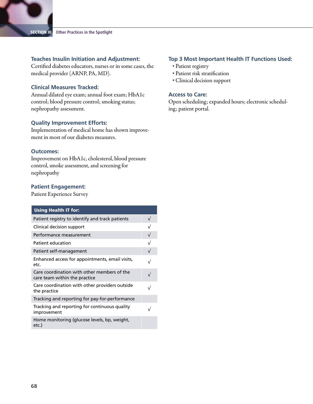#### **Teaches Insulin Initiation and Adjustment:**

Certified diabetes educators, nurses or in some cases, the medical provider (ARNP, PA, MD).

#### **Clinical Measures Tracked:**

Annual dilated eye exam; annual foot exam; HbA1c control; blood pressure control; smoking status; nephropathy assessment.

### **Quality Improvement Efforts:**

Implementation of medical home has shown improvement in most of our diabetes measures.

## **Outcomes:**

Improvement on HbA1c, cholesterol, blood pressure control, smoke assessment, and screening for nephropathy

#### **Patient Engagement:**

Patient Experience Survey

| <b>Using Health IT for:</b>                                                  |           |
|------------------------------------------------------------------------------|-----------|
| Patient registry to identify and track patients                              | $\sqrt{}$ |
| Clinical decision support                                                    | $\sqrt{}$ |
| Performance measurement                                                      | $\sqrt{}$ |
| Patient education                                                            | $\sqrt{}$ |
| Patient self-management                                                      | $\sqrt{}$ |
| Enhanced access for appointments, email visits,<br>etc.                      | $\sqrt{}$ |
| Care coordination with other members of the<br>care team within the practice | $\sqrt{}$ |
| Care coordination with other providers outside<br>the practice               | √         |
| Tracking and reporting for pay-for-performance                               |           |
| Tracking and reporting for continuous quality<br>improvement                 |           |
| Home monitoring (glucose levels, bp, weight,<br>etc.)                        |           |

## **Top 3 Most Important Health IT Functions Used:**

- Patient registry
- ȅȅ Patient risk stratification
- ȅȅ Clinical decision support

#### **Access to Care:**

Open scheduling; expanded hours; electronic scheduling; patient portal.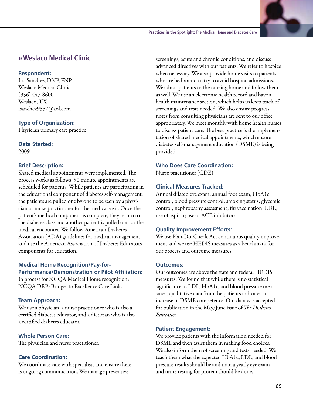

# **»Weslaco Medical Clinic**

#### **Respondent:**

Iris Sanchez, DNP, FNP Weslaco Medical Clinic (956) 447-8600 Weslaco, TX isanchez9557@aol.com

#### **Type of Organization:**

Physician primary care practice

# **Date Started:**

2009

### **Brief Description:**

Shared medical appointments were implemented. The process works as follows: 90 minute appointments are scheduled for patients. While patients are participating in the educational component of diabetes self-management, the patients are pulled one by one to be seen by a physician or nurse practitioner for the medical visit. Once the patient's medical component is complete, they return to the diabetes class and another patient is pulled out for the medical encounter. We follow American Diabetes Association (ADA) guidelines for medical management and use the American Association of Diabetes Educators components for education.

## **Medical Home Recognition/Pay-for-Performance/Demonstration or Pilot Affiliation:**

In process for NCQA Medical Home recognition; NCQA DRP; Bridges to Excellence Care Link.

### **Team Approach:**

We use a physician, a nurse practitioner who is also a certified diabetes educator, and a dietician who is also a certified diabetes educator.

### **Whole Person Care:**

The physician and nurse practitioner.

### **Care Coordination:**

We coordinate care with specialists and ensure there is ongoing communication. We manage preventive

screenings, acute and chronic conditions, and discuss advanced directives with our patients. We refer to hospice when necessary. We also provide home visits to patients who are bedbound to try to avoid hospital admissions. We admit patients to the nursing home and follow them as well. We use an electronic health record and have a health maintenance section, which helps us keep track of screenings and tests needed. We also ensure progress notes from consulting physicians are sent to our office appropriately. We meet monthly with home health nurses to discuss patient care. The best practice is the implementation of shared medical appointments, which ensure diabetes self-management education (DSME) is being provided.

### **Who Does Care Coordination:**

Nurse practitioner (CDE)

#### **Clinical Measures Tracked:**

Annual dilated eye exam; annual foot exam; HbA1c control; blood pressure control; smoking status; glycemic control; nephropathy assessment; flu vaccination; LDL; use of aspirin; use of ACE inhibitors.

#### **Quality Improvement Efforts:**

We use Plan-Do-Check-Act continuous quality improvement and we use HEDIS measures as a benchmark for our process and outcome measures.

#### **Outcomes:**

Our outcomes are above the state and federal HEDIS measures. We found that while there is no statistical significance in LDL, HbA1c, and blood pressure measures, qualitative data from the patients indicates an increase in DSME competence. Our data was accepted for publication in the May/June issue of *The Diabetes Educator.*

#### **Patient Engagement:**

We provide patients with the information needed for DSME and then assist them in making food choices. We also inform them of screening and tests needed. We teach them what the expected HbA1c, LDL, and blood pressure results should be and than a yearly eye exam and urine testing for protein should be done.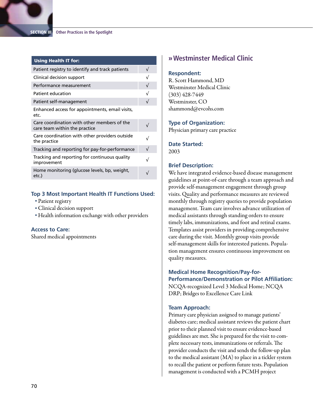#### Using Health IT for:

| Patient registry to identify and track patients                              |           |
|------------------------------------------------------------------------------|-----------|
| Clinical decision support                                                    |           |
| Performance measurement                                                      |           |
| Patient education                                                            |           |
| Patient self-management                                                      |           |
| Enhanced access for appointments, email visits,<br>etc.                      |           |
| Care coordination with other members of the<br>care team within the practice |           |
| Care coordination with other providers outside<br>the practice               | $\sqrt{}$ |
| Tracking and reporting for pay-for-performance                               |           |
| Tracking and reporting for continuous quality<br>improvement                 | $\sqrt{}$ |
| Home monitoring (glucose levels, bp, weight,<br>etc.)                        |           |

#### **Top 3 Most Important Health IT Functions Used:**

- Patient registry
- ȅȅ Clinical decision support
- ȅȅ Health information exchange with other providers

#### **Access to Care:**

Shared medical appointments

# **»Westminster Medical Clinic**

#### **Respondent:**

R. Scott Hammond, MD Westminster Medical Clinic (303) 428-7449 Westminster, CO shammond@evcohs.com

#### **Type of Organization:**

Physician primary care practice

**Date Started:**  2003

### **Brief Description:**

We have integrated evidence-based disease management guidelines at point-of-care through a team approach and provide self-management engagement through group visits. Quality and performance measures are reviewed monthly through registry queries to provide population management. Team care involves advance utilization of medical assistants through standing orders to ensure timely labs, immunizations, and foot and retinal exams. Templates assist providers in providing comprehensive care during the visit. Monthly group visits provide self-management skills for interested patients. Population management ensures continuous improvement on quality measures.

**Medical Home Recognition/Pay-for-Performance/Demonstration or Pilot Affiliation:** NCQA-recognized Level 3 Medical Home; NCQA DRP; Bridges to Excellence Care Link

#### **Team Approach:**

Primary care physician assigned to manage patients' diabetes care; medical assistant reviews the patient chart prior to their planned visit to ensure evidence-based guidelines are met. She is prepared for the visit to complete necessary tests, immunizations or referrals. The provider conducts the visit and sends the follow-up plan to the medical assistant (MA) to place in a tickler system to recall the patient or perform future tests. Population management is conducted with a PCMH project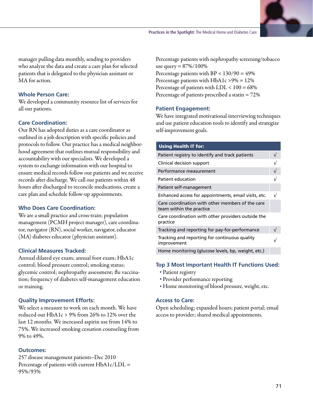

#### **Whole Person Care:**

We developed a community resource list of services for all our patients.

#### **Care Coordination:**

Our RN has adopted duties as a care coordinator as outlined in a job description with specific policies and protocols to follow. Our practice has a medical neighborhood agreement that outlines mutual responsibility and accountability with our specialists. We developed a system to exchange information with our hospital to ensure medical records follow our patients and we receive records after discharge. We call our patients within 48 hours after discharged to reconcile medications, create a care plan and schedule follow-up appointments.

#### **Who Does Care Coordination:**

We are a small practice and cross-train; population management (PCMH project manager), care coordinator, navigator (RN), social worker, navigator, educator (MA) diabetes educator (physician assistant).

#### **Clinical Measures Tracked:**

Annual dilated eye exam; annual foot exam; HbA1c control; blood pressure control; smoking status; glycemic control; nephropathy assessment; flu vaccination; frequency of diabetes self-management education or training.

### **Quality Improvement Efforts:**

We select a measure to work on each month. We have reduced our HbA1c > 9% from 26% to 12% over the last 12 months. We increased aspirin use from 14% to 75%. We increased smoking cessation counseling from 9% to 49%.

#### **Outcomes:**

257 disease management patients–Dec 2010 Percentage of patients with current HbA1c/LDL = 95%/93%

Percentage patients with nephropathy screening/tobacco use query =  $87\%/100\%$ Percentage patients with  $BP < 130/90 = 49\%$ Percentage patients with HbA1c >9% = 12% Percentage of patients with LDL < 100 = 68% Percentage of patients prescribed a statin = 72%

#### **Patient Engagement:**

We have integrated motivational interviewing techniques and use patient education tools to identify and strategize self-improvement goals.

| <b>Using Health IT for:</b>                                                  |            |
|------------------------------------------------------------------------------|------------|
| Patient registry to identify and track patients                              |            |
| Clinical decision support                                                    |            |
| Performance measurement                                                      | $\sqrt{ }$ |
| Patient education                                                            |            |
| Patient self-management                                                      |            |
| Enhanced access for appointments, email visits, etc.                         |            |
| Care coordination with other members of the care<br>team within the practice |            |
| Care coordination with other providers outside the<br>practice               |            |
| Tracking and reporting for pay-for-performance                               |            |
| Tracking and reporting for continuous quality<br>improvement                 |            |
| Home monitoring (glucose levels, bp, weight, etc.)                           |            |

#### **Top 3 Most Important Health IT Functions Used:**

- Patient registry
- ȅȅ Provider performance reporting
- ȅȅ Home monitoring of blood pressure, weight, etc.

#### **Access to Care:**

Open scheduling; expanded hours; patient portal; email access to provider; shared medical appointments.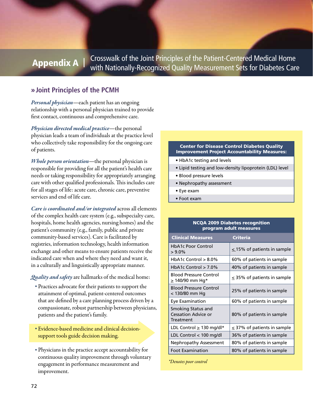Crosswalk of the Joint Principles of the Patient-Centered Medical Home Appendix A | Crosswalk of the John Principles of the Patient-Centered Medical Home<br>with Nationally-Recognized Quality Measurement Sets for Diabetes Care

# **»Joint Principles of the PCMH**

*Personal physician*—each patient has an ongoing relationship with a personal physician trained to provide first contact, continuous and comprehensive care.

*Physician directed medical practice*—the personal physician leads a team of individuals at the practice level who collectively take responsibility for the ongoing care of patients.

*Whole person orientation*—the personal physician is responsible for providing for all the patient's health care needs or taking responsibility for appropriately arranging care with other qualified professionals. This includes care for all stages of life: acute care, chronic care, preventive services and end of life care.

*Care is coordinated and/or integrated* across all elements of the complex health care system (e.g., subspecialty care, hospitals, home health agencies, nursing homes) and the patient's community (e.g., family, public and private community-based services). Care is facilitated by registries, information technology, health information exchange and other means to ensure patients receive the indicated care when and where they need and want it, in a culturally and linguistically appropriate manner.

*Quality and safety* are hallmarks of the medical home:

ȅȅ Practices advocate for their patients to support the attainment of optimal, patient-centered outcomes that are defined by a care planning process driven by a compassionate, robust partnership between physicians, patients and the patient's family.

ȅȅ Evidence-based medicine and clinical decisionsupport tools guide decision making.

ȅȅ Physicians in the practice accept accountability for continuous quality improvement through voluntary engagement in performance measurement and improvement.

#### Center for Disease Control Diabetes Quality Improvement Project Accountability Measures:

- HbA1c testing and levels
- Lipid testing and low-density lipoprotein (LDL) level
- Blood pressure levels
- Nephropathy assessment
- Eye exam
- Foot exam

#### NCQA 2009 Diabetes recognition program adult measures

| <b>Clinical Measures</b>                                      | <b>Criteria</b>                  |
|---------------------------------------------------------------|----------------------------------|
| <b>HbA1c Poor Control</b><br>$> 9.0\%$                        | $\leq$ 15% of patients in sample |
| HbA1c Control $> 8.0\%$                                       | 60% of patients in sample        |
| HbA1c Control $>$ 7.0%                                        | 40% of patients in sample        |
| <b>Blood Pressure Control</b><br>> 140/90 mm Hq*              | $\leq$ 35% of patients in sample |
| <b>Blood Pressure Control</b><br>< 130/80 mm Hg               | 25% of patients in sample        |
| Eye Examination                                               | 60% of patients in sample        |
| Smoking Status and<br><b>Cessation Advice or</b><br>Treatment | 80% of patients in sample        |
| LDL Control $\geq$ 130 mg/dl*                                 | $\leq$ 37% of patients in sample |
| LDL Control < 100 mg/dl                                       | 36% of patients in sample        |
| <b>Nephropathy Assessment</b>                                 | 80% of patients in sample        |
| <b>Foot Examination</b>                                       | 80% of patients in sample        |

*\*Denotes poor control*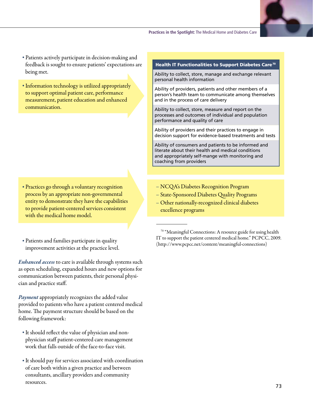

- Patients actively participate in decision-making and feedback is sought to ensure patients' expectations are being met.
- Information technology is utilized appropriately to support optimal patient care, performance measurement, patient education and enhanced communication.

- ȅȅ Practices go through a voluntary recognition process by an appropriate non-governmental entity to demonstrate they have the capabilities to provide patient-centered services consistent with the medical home model.
- ȅȅ Patients and families participate in quality improvement activities at the practice level.

*Enhanced access* to care is available through systems such as open scheduling, expanded hours and new options for communication between patients, their personal physician and practice staff.

*Payment* appropriately recognizes the added value provided to patients who have a patient centered medical home. The payment structure should be based on the following framework:

- It should reflect the value of physician and nonphysician staff patient-centered care management work that falls outside of the face-to-face visit.
- ȅȅ It should pay for services associated with coordination of care both within a given practice and between consultants, ancillary providers and community resources.

#### Health IT Functionalities to Support Diabetes Care<sup>70</sup>

Ability to collect, store, manage and exchange relevant personal health information

Ability of providers, patients and other members of a person's health team to communicate among themselves and in the process of care delivery

Ability to collect, store, measure and report on the processes and outcomes of individual and population performance and quality of care

Ability of providers and their practices to engage in decision support for evidence-based treatments and tests

Ability of consumers and patients to be informed and literate about their health and medical conditions and appropriately self-mange with monitoring and coaching from providers

- NCQA's Diabetes Recognition Program
- State-Sponsored Diabetes Quality Programs
- Other nationally-recognized clinical diabetes excellence programs

70 "Meaningful Connections: A resource guide for using health IT to support the patient centered medical home." PCPCC, 2009. (http://www.pcpcc.net/content/meaningful-connections)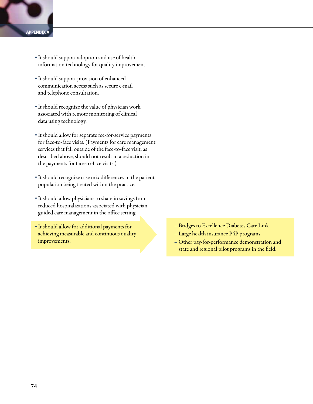- ȅȅ It should support adoption and use of health information technology for quality improvement.
- ȅȅ It should support provision of enhanced communication access such as secure e-mail and telephone consultation.
- ȅȅ It should recognize the value of physician work associated with remote monitoring of clinical data using technology.
- ȅȅ It should allow for separate fee-for-service payments for face-to-face visits. (Payments for care management services that fall outside of the face-to-face visit, as described above, should not result in a reduction in the payments for face-to-face visits.)
- ȅȅ It should recognize case mix differences in the patient population being treated within the practice.
- ȅȅ It should allow physicians to share in savings from reduced hospitalizations associated with physicianguided care management in the office setting.
- ȅȅ It should allow for additional payments for achieving measurable and continuous quality improvements.
- Bridges to Excellence Diabetes Care Link
- Large health insurance P4P programs
- Other pay-for-performance demonstration and state and regional pilot programs in the field.